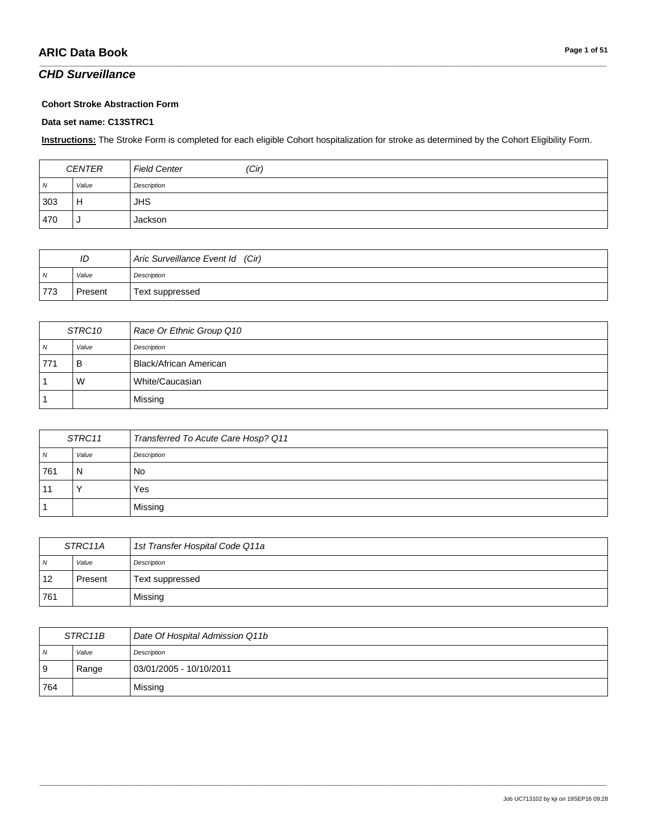### *CHD Surveillance*

#### **Cohort Stroke Abstraction Form**

#### **Data set name: C13STRC1**

**Instructions:** The Stroke Form is completed for each eligible Cohort hospitalization for stroke as determined by the Cohort Eligibility Form.

\_\_\_\_\_\_\_\_\_\_\_\_\_\_\_\_\_\_\_\_\_\_\_\_\_\_\_\_\_\_\_\_\_\_\_\_\_\_\_\_\_\_\_\_\_\_\_\_\_\_\_\_\_\_\_\_\_\_\_\_\_\_\_\_\_\_\_\_\_\_\_\_\_\_\_\_\_\_\_\_\_\_\_\_\_\_\_\_\_\_\_\_\_\_\_\_\_\_\_\_\_\_\_\_\_\_\_\_\_\_\_\_\_\_\_\_\_\_\_\_\_\_\_\_\_\_\_\_\_\_\_\_\_\_\_\_\_\_\_\_\_\_\_\_\_\_\_\_\_\_\_\_\_\_\_\_\_\_\_\_\_\_\_\_\_\_\_\_\_\_\_\_\_\_\_\_\_\_\_\_\_\_\_\_\_\_\_\_\_\_\_\_\_

| <b>CENTER</b>  |       | <b>Field Center</b> | (Cir) |
|----------------|-------|---------------------|-------|
| $\overline{N}$ | Value | Description         |       |
| 303            | Н     | <b>JHS</b>          |       |
| 470            |       | Jackson             |       |

| ID             |         | Aric Surveillance Event Id (Cir) |
|----------------|---------|----------------------------------|
| $\overline{N}$ | Value   | Description                      |
| 773            | Present | Text suppressed                  |

| STRC10   |       | Race Or Ethnic Group Q10 |
|----------|-------|--------------------------|
| <b>N</b> | Value | Description              |
| 771      | в     | Black/African American   |
|          | W     | White/Caucasian          |
|          |       | Missing                  |

| STRC11 |       | Transferred To Acute Care Hosp? Q11 |
|--------|-------|-------------------------------------|
| 7V     | Value | Description                         |
| 761    | N     | No                                  |
|        |       | Yes                                 |
|        |       | Missing                             |

| STRC11A        |         | 1st Transfer Hospital Code Q11a |
|----------------|---------|---------------------------------|
| $\overline{N}$ | Value   | Description                     |
| 12             | Present | Text suppressed                 |
| 761            |         | Missing                         |

| STRC11B        |       | Date Of Hospital Admission Q11b |
|----------------|-------|---------------------------------|
| $\overline{N}$ | Value | Description                     |
| l 9            | Range | 03/01/2005 - 10/10/2011         |
| 764            |       | Missing                         |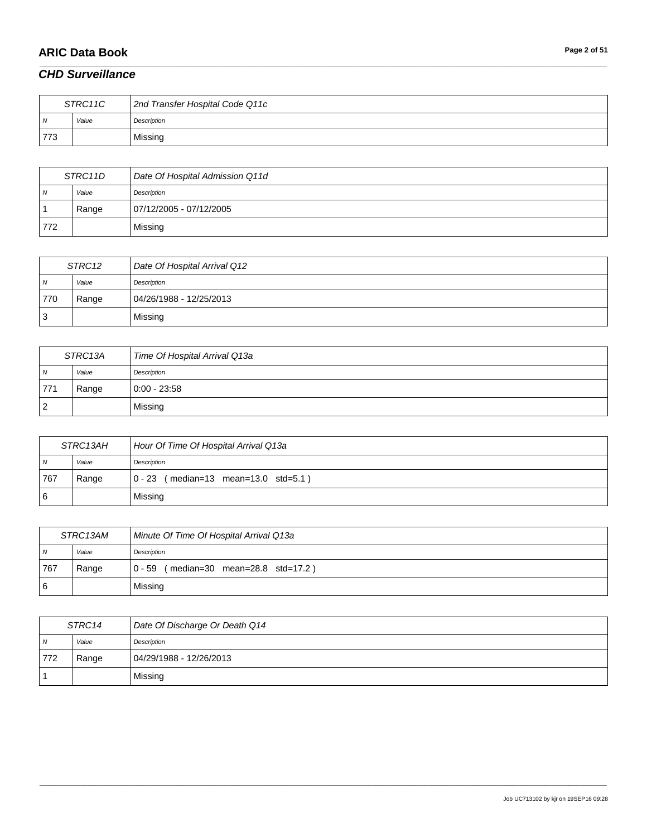# **ARIC Data Book Page 2 of 51**

### *CHD Surveillance*

| STRC11C |       | 2nd Transfer Hospital Code Q11c |
|---------|-------|---------------------------------|
| - N     | Value | Description                     |
| 773     |       | Missing                         |

\_\_\_\_\_\_\_\_\_\_\_\_\_\_\_\_\_\_\_\_\_\_\_\_\_\_\_\_\_\_\_\_\_\_\_\_\_\_\_\_\_\_\_\_\_\_\_\_\_\_\_\_\_\_\_\_\_\_\_\_\_\_\_\_\_\_\_\_\_\_\_\_\_\_\_\_\_\_\_\_\_\_\_\_\_\_\_\_\_\_\_\_\_\_\_\_\_\_\_\_\_\_\_\_\_\_\_\_\_\_\_\_\_\_\_\_\_\_\_\_\_\_\_\_\_\_\_\_\_\_\_\_\_\_\_\_\_\_\_\_\_\_\_\_\_\_\_\_\_\_\_\_\_\_\_\_\_\_\_\_\_\_\_\_\_\_\_\_\_\_\_\_\_\_\_\_\_\_\_\_\_\_\_\_\_\_\_\_\_\_\_\_\_

| STRC11D |       | Date Of Hospital Admission Q11d |
|---------|-------|---------------------------------|
| N       | Value | Description                     |
|         | Range | 07/12/2005 - 07/12/2005         |
| 772     |       | Missing                         |

| STRC12 |       | Date Of Hospital Arrival Q12 |
|--------|-------|------------------------------|
| N      | Value | Description                  |
| 770    | Range | 04/26/1988 - 12/25/2013      |
| ت      |       | Missing                      |

| STRC13A |       | Time Of Hospital Arrival Q13a |
|---------|-------|-------------------------------|
| N       | Value | Description                   |
| 771     | Range | $0:00 - 23:58$                |
|         |       | Missing                       |

| STRC13AH |       | Hour Of Time Of Hospital Arrival Q13a  |
|----------|-------|----------------------------------------|
| . N      | Value | Description                            |
| 767      | Range | $0 - 23$ (median=13 mean=13.0 std=5.1) |
| <b>6</b> |       | Missing                                |

| STRC13AM       |       | Minute Of Time Of Hospital Arrival Q13a    |
|----------------|-------|--------------------------------------------|
| $\overline{N}$ | Value | Description                                |
| 767            | Range | (median=30 mean=28.8 std=17.2)<br>$0 - 59$ |
| 6              |       | Missing                                    |

| STRC14         |       | Date Of Discharge Or Death Q14 |
|----------------|-------|--------------------------------|
| N <sub>N</sub> | Value | Description                    |
| 772            | Range | 04/29/1988 - 12/26/2013        |
|                |       | Missing                        |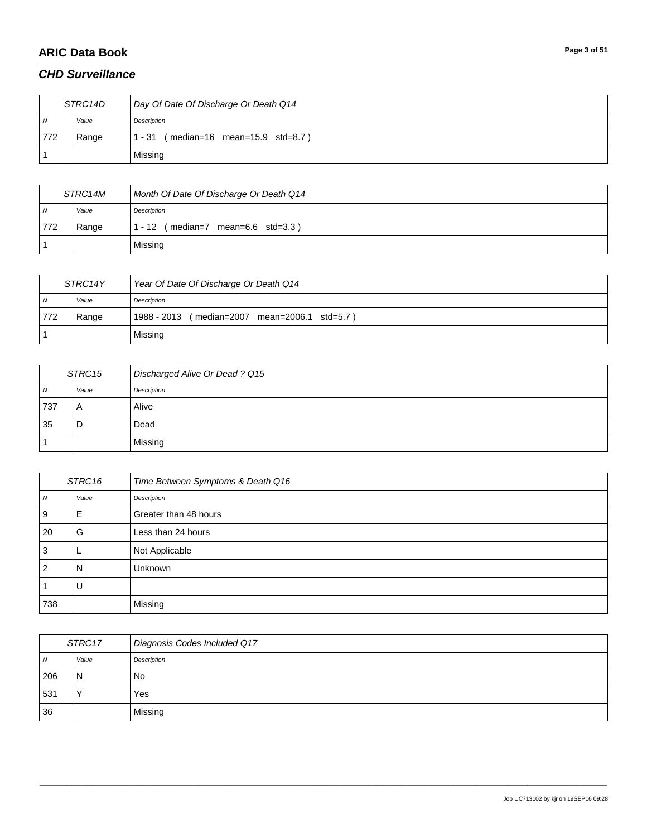# **ARIC Data Book Page 3 of 51**

### *CHD Surveillance*

| STRC14D |       | Day Of Date Of Discharge Or Death Q14           |
|---------|-------|-------------------------------------------------|
| 7V      | Value | Description                                     |
| 772     | Range | $(median=16 \, mean=15.9 \, std=8.7)$<br>1 - 31 |
|         |       | Missing                                         |

\_\_\_\_\_\_\_\_\_\_\_\_\_\_\_\_\_\_\_\_\_\_\_\_\_\_\_\_\_\_\_\_\_\_\_\_\_\_\_\_\_\_\_\_\_\_\_\_\_\_\_\_\_\_\_\_\_\_\_\_\_\_\_\_\_\_\_\_\_\_\_\_\_\_\_\_\_\_\_\_\_\_\_\_\_\_\_\_\_\_\_\_\_\_\_\_\_\_\_\_\_\_\_\_\_\_\_\_\_\_\_\_\_\_\_\_\_\_\_\_\_\_\_\_\_\_\_\_\_\_\_\_\_\_\_\_\_\_\_\_\_\_\_\_\_\_\_\_\_\_\_\_\_\_\_\_\_\_\_\_\_\_\_\_\_\_\_\_\_\_\_\_\_\_\_\_\_\_\_\_\_\_\_\_\_\_\_\_\_\_\_\_\_

| STRC14M        |       | Month Of Date Of Discharge Or Death Q14 |
|----------------|-------|-----------------------------------------|
| $\overline{N}$ | Value | Description                             |
| 772            | Range | (median=7 mean=6.6 std=3.3)<br>- 12     |
|                |       | Missing                                 |

| STRC14Y |       | Year Of Date Of Discharge Or Death Q14           |
|---------|-------|--------------------------------------------------|
| N       | Value | Description                                      |
| 772     | Range | 1988 - 2013<br>(median=2007 mean=2006.1 std=5.7) |
|         |       | Missing                                          |

| STRC15 |       | Discharged Alive Or Dead? Q15 |
|--------|-------|-------------------------------|
| N      | Value | Description                   |
| 737    | A     | Alive                         |
| 35     | D     | Dead                          |
|        |       | Missing                       |

| STRC16         |       | Time Between Symptoms & Death Q16 |
|----------------|-------|-----------------------------------|
| N              | Value | Description                       |
| 9              | E     | Greater than 48 hours             |
| 20             | G     | Less than 24 hours                |
| 3              |       | Not Applicable                    |
| $\overline{2}$ | N     | Unknown                           |
|                | U     |                                   |
| 738            |       | Missing                           |

| STRC17       |           | Diagnosis Codes Included Q17 |
|--------------|-----------|------------------------------|
| <sub>N</sub> | Value     | Description                  |
| 206          | N         | No                           |
| 531          | $\sqrt{}$ | Yes                          |
| 36           |           | Missing                      |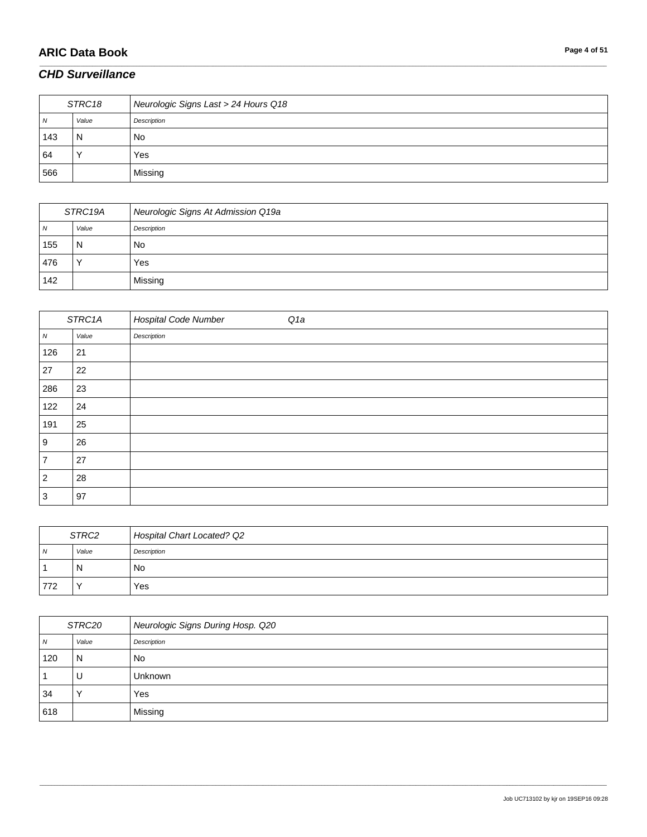# **ARIC Data Book Page 4 of 51**

#### *CHD Surveillance*

| STRC18 |       | Neurologic Signs Last > 24 Hours Q18 |
|--------|-------|--------------------------------------|
| N      | Value | Description                          |
| 143    | N     | No                                   |
| 64     |       | Yes                                  |
| 566    |       | Missing                              |

\_\_\_\_\_\_\_\_\_\_\_\_\_\_\_\_\_\_\_\_\_\_\_\_\_\_\_\_\_\_\_\_\_\_\_\_\_\_\_\_\_\_\_\_\_\_\_\_\_\_\_\_\_\_\_\_\_\_\_\_\_\_\_\_\_\_\_\_\_\_\_\_\_\_\_\_\_\_\_\_\_\_\_\_\_\_\_\_\_\_\_\_\_\_\_\_\_\_\_\_\_\_\_\_\_\_\_\_\_\_\_\_\_\_\_\_\_\_\_\_\_\_\_\_\_\_\_\_\_\_\_\_\_\_\_\_\_\_\_\_\_\_\_\_\_\_\_\_\_\_\_\_\_\_\_\_\_\_\_\_\_\_\_\_\_\_\_\_\_\_\_\_\_\_\_\_\_\_\_\_\_\_\_\_\_\_\_\_\_\_\_\_\_

| STRC19A |           | Neurologic Signs At Admission Q19a |
|---------|-----------|------------------------------------|
| N       | Value     | Description                        |
| 155     | N         | No                                 |
| 476     | $\lambda$ | Yes                                |
| 142     |           | Missing                            |

| STRC1A           |       | <b>Hospital Code Number</b><br>Q1a |
|------------------|-------|------------------------------------|
| $\boldsymbol{N}$ | Value | Description                        |
| 126              | 21    |                                    |
| 27               | 22    |                                    |
| 286              | 23    |                                    |
| 122              | 24    |                                    |
| 191              | 25    |                                    |
| 9                | 26    |                                    |
| 7                | 27    |                                    |
| $\overline{2}$   | 28    |                                    |
| 3                | 97    |                                    |

| STRC2          |       | Hospital Chart Located? Q2 |
|----------------|-------|----------------------------|
| $\overline{N}$ | Value | Description                |
|                | N     | No                         |
| 772            |       | Yes                        |

| STRC20 |       | Neurologic Signs During Hosp. Q20 |
|--------|-------|-----------------------------------|
| N      | Value | Description                       |
| 120    | N     | <b>No</b>                         |
|        | U     | <b>Unknown</b>                    |
| 34     |       | Yes                               |
| 618    |       | Missing                           |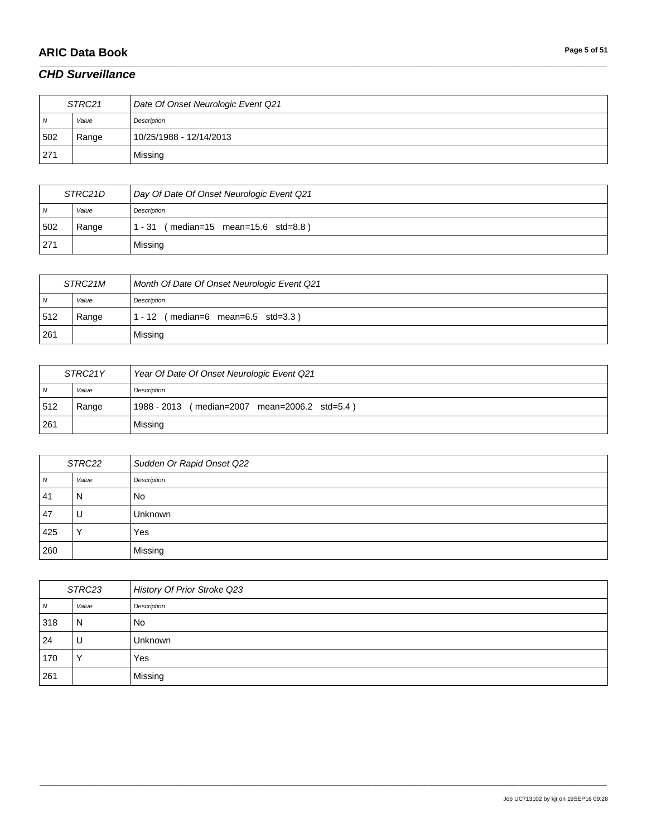# **ARIC Data Book Page 5 of 51**

#### *CHD Surveillance*

| STRC21         |       | Date Of Onset Neurologic Event Q21 |
|----------------|-------|------------------------------------|
| $\overline{N}$ | Value | Description                        |
| 502            | Range | 10/25/1988 - 12/14/2013            |
| 271            |       | Missing                            |

\_\_\_\_\_\_\_\_\_\_\_\_\_\_\_\_\_\_\_\_\_\_\_\_\_\_\_\_\_\_\_\_\_\_\_\_\_\_\_\_\_\_\_\_\_\_\_\_\_\_\_\_\_\_\_\_\_\_\_\_\_\_\_\_\_\_\_\_\_\_\_\_\_\_\_\_\_\_\_\_\_\_\_\_\_\_\_\_\_\_\_\_\_\_\_\_\_\_\_\_\_\_\_\_\_\_\_\_\_\_\_\_\_\_\_\_\_\_\_\_\_\_\_\_\_\_\_\_\_\_\_\_\_\_\_\_\_\_\_\_\_\_\_\_\_\_\_\_\_\_\_\_\_\_\_\_\_\_\_\_\_\_\_\_\_\_\_\_\_\_\_\_\_\_\_\_\_\_\_\_\_\_\_\_\_\_\_\_\_\_\_\_\_

| STRC21D        |       | Day Of Date Of Onset Neurologic Event Q21 |
|----------------|-------|-------------------------------------------|
| $\overline{N}$ | Value | Description                               |
| 502            | Range | (median=15 mean=15.6 std=8.8)<br>- 31     |
| 271            |       | Missing                                   |

| STRC21M        |       | Month Of Date Of Onset Neurologic Event Q21               |
|----------------|-------|-----------------------------------------------------------|
| $\overline{N}$ | Value | Description                                               |
| 512            | Range | $(median=6 \text{ mean}=6.5 \text{ std}=3.3)$<br>$1 - 12$ |
| 261            |       | Missing                                                   |

| STRC21Y        |       | Year Of Date Of Onset Neurologic Event Q21    |
|----------------|-------|-----------------------------------------------|
| $\overline{M}$ | Value | Description                                   |
| 512            | Range | 1988 - 2013 (median=2007 mean=2006.2 std=5.4) |
| 261            |       | Missing                                       |

| STRC22         |       | Sudden Or Rapid Onset Q22 |
|----------------|-------|---------------------------|
| $\overline{N}$ | Value | Description               |
| 41             | N     | No                        |
| 47             |       | <b>Unknown</b>            |
| 425            |       | Yes                       |
| 260            |       | Missing                   |

| STRC23 |                | History Of Prior Stroke Q23 |
|--------|----------------|-----------------------------|
| N      | Value          | Description                 |
| 318    | $\overline{N}$ | No                          |
| 24     | U              | Unknown                     |
| 170    |                | Yes                         |
| 261    |                | Missing                     |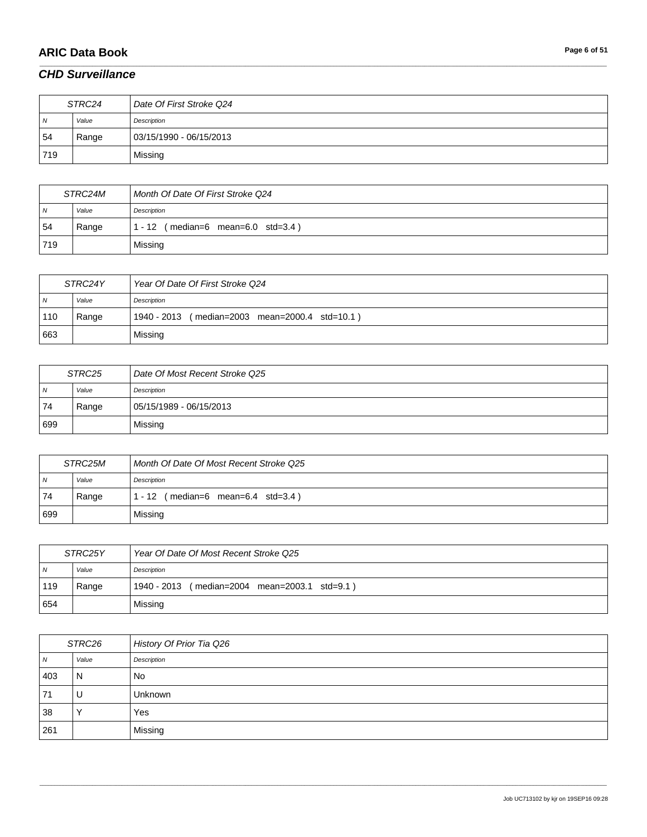# **ARIC Data Book Page 6 of 51**

### *CHD Surveillance*

| STRC24         |       | Date Of First Stroke Q24 |
|----------------|-------|--------------------------|
| $\overline{N}$ | Value | Description              |
| 54             | Range | 03/15/1990 - 06/15/2013  |
| 719            |       | Missing                  |

\_\_\_\_\_\_\_\_\_\_\_\_\_\_\_\_\_\_\_\_\_\_\_\_\_\_\_\_\_\_\_\_\_\_\_\_\_\_\_\_\_\_\_\_\_\_\_\_\_\_\_\_\_\_\_\_\_\_\_\_\_\_\_\_\_\_\_\_\_\_\_\_\_\_\_\_\_\_\_\_\_\_\_\_\_\_\_\_\_\_\_\_\_\_\_\_\_\_\_\_\_\_\_\_\_\_\_\_\_\_\_\_\_\_\_\_\_\_\_\_\_\_\_\_\_\_\_\_\_\_\_\_\_\_\_\_\_\_\_\_\_\_\_\_\_\_\_\_\_\_\_\_\_\_\_\_\_\_\_\_\_\_\_\_\_\_\_\_\_\_\_\_\_\_\_\_\_\_\_\_\_\_\_\_\_\_\_\_\_\_\_\_\_

| STRC24M        |       | Month Of Date Of First Stroke Q24                     |
|----------------|-------|-------------------------------------------------------|
| $\overline{N}$ | Value | Description                                           |
| 54             | Range | $(median=6 \text{ mean}=6.0 \text{ std}=3.4)$<br>- 12 |
| 719            |       | Missing                                               |

| STRC24Y        |       | Year Of Date Of First Stroke Q24                  |
|----------------|-------|---------------------------------------------------|
| $\overline{N}$ | Value | Description                                       |
| 110            | Range | 1940 - 2013<br>(median=2003 mean=2000.4 std=10.1) |
| 663            |       | Missing                                           |

| STRC25 |       | Date Of Most Recent Stroke Q25 |
|--------|-------|--------------------------------|
| ı N    | Value | Description                    |
| 74     | Range | 05/15/1989 - 06/15/2013        |
| 699    |       | Missing                        |

| STRC25M        |       | Month Of Date Of Most Recent Stroke Q25                 |
|----------------|-------|---------------------------------------------------------|
| $\overline{N}$ | Value | Description                                             |
| 74             | Range | $(median=6 \text{ mean}=6.4 \text{ std}=3.4)$<br>1 - 12 |
| 699            |       | Missing                                                 |

| STRC25Y |       | Year Of Date Of Most Recent Stroke Q25           |
|---------|-------|--------------------------------------------------|
| N       | Value | Description                                      |
| 119     | Range | 1940 - 2013<br>(median=2004 mean=2003.1 std=9.1) |
| 654     |       | Missing                                          |

| STRC26 |                | History Of Prior Tia Q26 |
|--------|----------------|--------------------------|
| N      | Value          | Description              |
| 403    | $\overline{N}$ | <b>No</b>                |
| 71     | U              | <b>Unknown</b>           |
| 38     |                | Yes                      |
| 261    |                | Missing                  |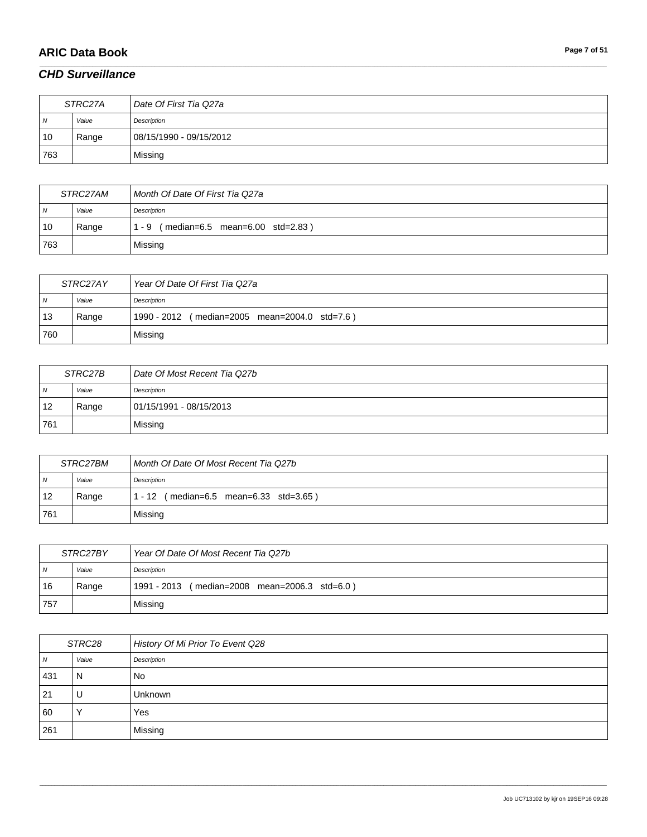# **ARIC Data Book Page 7 of 51**

### *CHD Surveillance*

| STRC27A        |       | Date Of First Tia Q27a  |
|----------------|-------|-------------------------|
| $\overline{N}$ | Value | Description             |
| 10             | Range | 08/15/1990 - 09/15/2012 |
| 763            |       | Missing                 |

\_\_\_\_\_\_\_\_\_\_\_\_\_\_\_\_\_\_\_\_\_\_\_\_\_\_\_\_\_\_\_\_\_\_\_\_\_\_\_\_\_\_\_\_\_\_\_\_\_\_\_\_\_\_\_\_\_\_\_\_\_\_\_\_\_\_\_\_\_\_\_\_\_\_\_\_\_\_\_\_\_\_\_\_\_\_\_\_\_\_\_\_\_\_\_\_\_\_\_\_\_\_\_\_\_\_\_\_\_\_\_\_\_\_\_\_\_\_\_\_\_\_\_\_\_\_\_\_\_\_\_\_\_\_\_\_\_\_\_\_\_\_\_\_\_\_\_\_\_\_\_\_\_\_\_\_\_\_\_\_\_\_\_\_\_\_\_\_\_\_\_\_\_\_\_\_\_\_\_\_\_\_\_\_\_\_\_\_\_\_\_\_\_

| <i>STRC27AM</i> |       | Month Of Date Of First Tia Q27a        |
|-----------------|-------|----------------------------------------|
| $\overline{N}$  | Value | Description                            |
| 10              | Range | (median=6.5 mean=6.00 std=2.83)<br>- 9 |
| 763             |       | Missing                                |

| STRC27AY       |       | Year Of Date Of First Tia Q27a                |
|----------------|-------|-----------------------------------------------|
| $\overline{N}$ | Value | Description                                   |
| 13             | Range | 1990 - 2012 (median=2005 mean=2004.0 std=7.6) |
| 760            |       | Missing                                       |

| STRC27B        |       | Date Of Most Recent Tia Q27b |
|----------------|-------|------------------------------|
| $\overline{N}$ | Value | Description                  |
| 12             | Range | 01/15/1991 - 08/15/2013      |
| 761            |       | Missing                      |

| <i>STRC27BM</i> |       | Month Of Date Of Most Recent Tia Q27b     |
|-----------------|-------|-------------------------------------------|
| $\overline{N}$  | Value | Description                               |
| 12              | Range | (median=6.5 mean=6.33 std=3.65)<br>1 - 12 |
| 761             |       | Missing                                   |

| STRC27BY |       | Year Of Date Of Most Recent Tia Q27b          |
|----------|-------|-----------------------------------------------|
| N        | Value | Description                                   |
| 16       | Range | 1991 - 2013 (median=2008 mean=2006.3 std=6.0) |
| 757      |       | Missing                                       |

| STRC28 |       | History Of Mi Prior To Event Q28 |
|--------|-------|----------------------------------|
| N      | Value | Description                      |
| 431    | N     | <b>No</b>                        |
| 21     | U     | <b>Unknown</b>                   |
| 60     |       | Yes                              |
| 261    |       | Missing                          |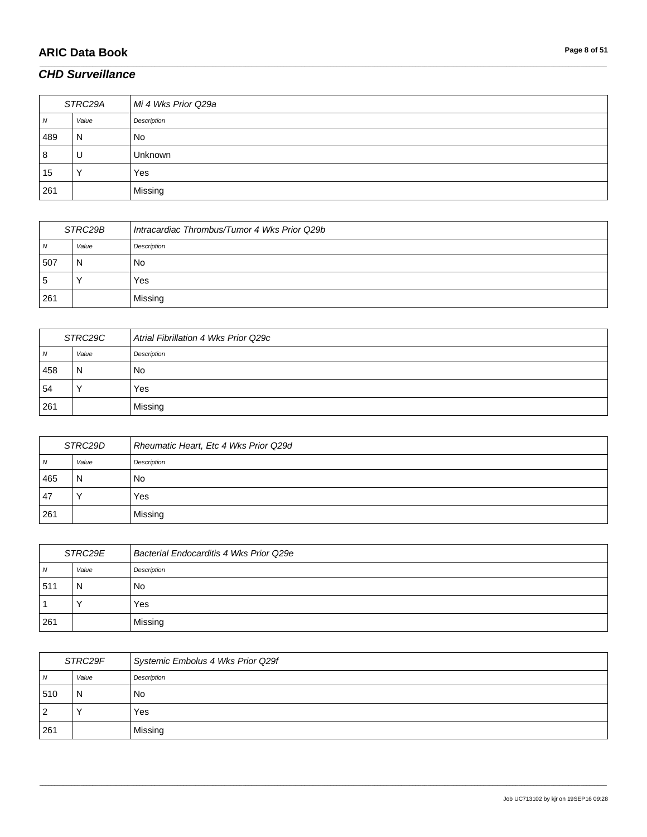# **ARIC Data Book Page 8 of 51**

#### *CHD Surveillance*

| STRC29A   |       | Mi 4 Wks Prior Q29a |
|-----------|-------|---------------------|
| <b>IV</b> | Value | Description         |
| 489       | N     | No                  |
| 8         | U     | Unknown             |
| 15        | v     | Yes                 |
| 261       |       | Missing             |

\_\_\_\_\_\_\_\_\_\_\_\_\_\_\_\_\_\_\_\_\_\_\_\_\_\_\_\_\_\_\_\_\_\_\_\_\_\_\_\_\_\_\_\_\_\_\_\_\_\_\_\_\_\_\_\_\_\_\_\_\_\_\_\_\_\_\_\_\_\_\_\_\_\_\_\_\_\_\_\_\_\_\_\_\_\_\_\_\_\_\_\_\_\_\_\_\_\_\_\_\_\_\_\_\_\_\_\_\_\_\_\_\_\_\_\_\_\_\_\_\_\_\_\_\_\_\_\_\_\_\_\_\_\_\_\_\_\_\_\_\_\_\_\_\_\_\_\_\_\_\_\_\_\_\_\_\_\_\_\_\_\_\_\_\_\_\_\_\_\_\_\_\_\_\_\_\_\_\_\_\_\_\_\_\_\_\_\_\_\_\_\_\_

| STRC29B      |       | Intracardiac Thrombus/Tumor 4 Wks Prior Q29b |
|--------------|-------|----------------------------------------------|
| <b>N</b>     | Value | Description                                  |
| 507          | N     | No                                           |
| <sub>5</sub> |       | Yes                                          |
| 261          |       | Missing                                      |

| STRC29C    |       | Atrial Fibrillation 4 Wks Prior Q29c |
|------------|-------|--------------------------------------|
| $\sqrt{N}$ | Value | Description                          |
| 458        | N     | No                                   |
| 54         |       | Yes                                  |
| 261        |       | Missing                              |

| STRC29D |       | Rheumatic Heart, Etc 4 Wks Prior Q29d |
|---------|-------|---------------------------------------|
| N       | Value | Description                           |
| 465     | N     | No                                    |
| . 47    |       | Yes                                   |
| 261     |       | Missing                               |

| STRC29E |       | Bacterial Endocarditis 4 Wks Prior Q29e |
|---------|-------|-----------------------------------------|
| N       | Value | Description                             |
| 511     | N     | No                                      |
|         |       | Yes                                     |
| 261     |       | Missing                                 |

| STRC29F |       | Systemic Embolus 4 Wks Prior Q29f |
|---------|-------|-----------------------------------|
| N       | Value | Description                       |
| 1510    | N     | No                                |
| 2       |       | Yes                               |
| 261     |       | Missing                           |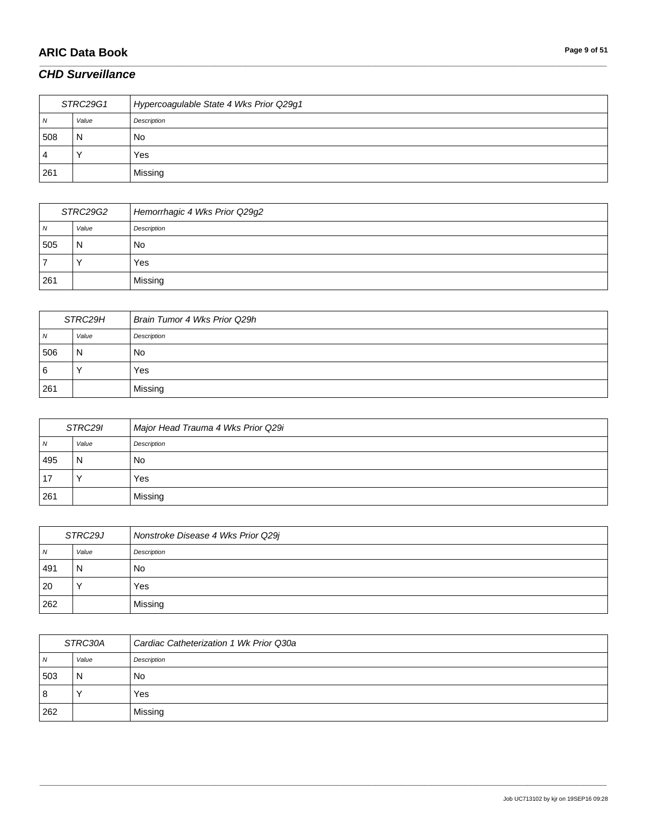# **ARIC Data Book Page 9 of 51**

### *CHD Surveillance*

| STRC29G1       |       | Hypercoagulable State 4 Wks Prior Q29g1 |
|----------------|-------|-----------------------------------------|
| $\overline{N}$ | Value | Description                             |
| 508            | N     | No.                                     |
| 4              |       | Yes                                     |
| 261            |       | Missing                                 |

\_\_\_\_\_\_\_\_\_\_\_\_\_\_\_\_\_\_\_\_\_\_\_\_\_\_\_\_\_\_\_\_\_\_\_\_\_\_\_\_\_\_\_\_\_\_\_\_\_\_\_\_\_\_\_\_\_\_\_\_\_\_\_\_\_\_\_\_\_\_\_\_\_\_\_\_\_\_\_\_\_\_\_\_\_\_\_\_\_\_\_\_\_\_\_\_\_\_\_\_\_\_\_\_\_\_\_\_\_\_\_\_\_\_\_\_\_\_\_\_\_\_\_\_\_\_\_\_\_\_\_\_\_\_\_\_\_\_\_\_\_\_\_\_\_\_\_\_\_\_\_\_\_\_\_\_\_\_\_\_\_\_\_\_\_\_\_\_\_\_\_\_\_\_\_\_\_\_\_\_\_\_\_\_\_\_\_\_\_\_\_\_\_

| STRC29G2 |       | Hemorrhagic 4 Wks Prior Q29g2 |
|----------|-------|-------------------------------|
| N        | Value | Description                   |
| 505      | N     | No                            |
|          |       | Yes                           |
| 261      |       | Missing                       |

| STRC29H |           | Brain Tumor 4 Wks Prior Q29h |
|---------|-----------|------------------------------|
| 7V      | Value     | Description                  |
| 506     | N         | No                           |
| 6       | $\lambda$ | Yes                          |
| 261     |           | Missing                      |

| STRC29I |       | Major Head Trauma 4 Wks Prior Q29i |
|---------|-------|------------------------------------|
| N       | Value | Description                        |
| 495     | N     | No                                 |
| 17      |       | Yes                                |
| 261     |       | Missing                            |

| STRC29J        |       | Nonstroke Disease 4 Wks Prior Q29j |
|----------------|-------|------------------------------------|
| $\overline{N}$ | Value | Description                        |
| 491            | N     | No.                                |
| 20             |       | Yes                                |
| 262            |       | Missing                            |

| STRC30A |       | Cardiac Catheterization 1 Wk Prior Q30a |
|---------|-------|-----------------------------------------|
| 7V      | Value | Description                             |
| 503     | N     | No                                      |
| 8       |       | Yes                                     |
| 262     |       | Missing                                 |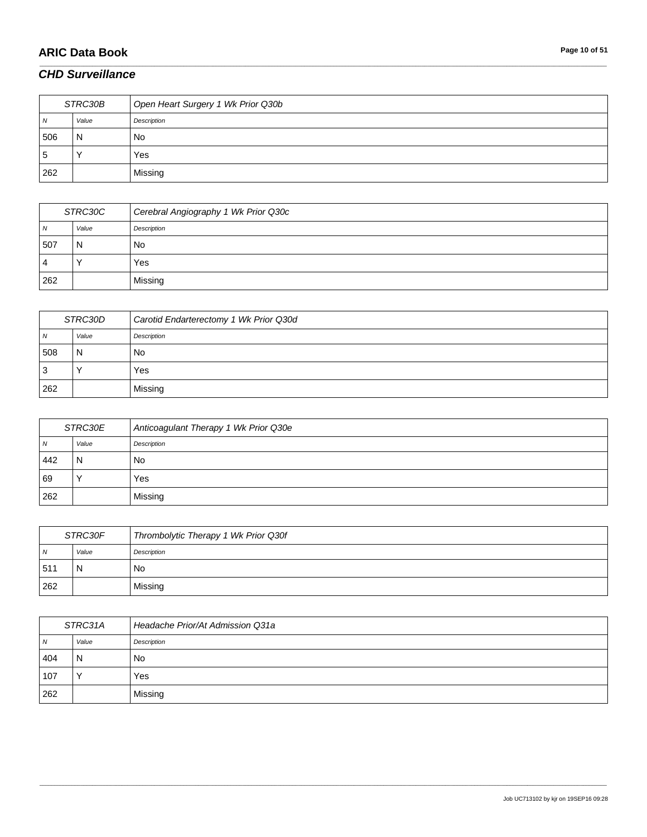# **ARIC Data Book Page 10 of 51**

### *CHD Surveillance*

| STRC30B      |       | Open Heart Surgery 1 Wk Prior Q30b |
|--------------|-------|------------------------------------|
| N            | Value | Description                        |
| 506          | 'N    | No                                 |
| <sub>5</sub> |       | Yes                                |
| 262          |       | Missing                            |

\_\_\_\_\_\_\_\_\_\_\_\_\_\_\_\_\_\_\_\_\_\_\_\_\_\_\_\_\_\_\_\_\_\_\_\_\_\_\_\_\_\_\_\_\_\_\_\_\_\_\_\_\_\_\_\_\_\_\_\_\_\_\_\_\_\_\_\_\_\_\_\_\_\_\_\_\_\_\_\_\_\_\_\_\_\_\_\_\_\_\_\_\_\_\_\_\_\_\_\_\_\_\_\_\_\_\_\_\_\_\_\_\_\_\_\_\_\_\_\_\_\_\_\_\_\_\_\_\_\_\_\_\_\_\_\_\_\_\_\_\_\_\_\_\_\_\_\_\_\_\_\_\_\_\_\_\_\_\_\_\_\_\_\_\_\_\_\_\_\_\_\_\_\_\_\_\_\_\_\_\_\_\_\_\_\_\_\_\_\_\_\_\_

| STRC30C |       | Cerebral Angiography 1 Wk Prior Q30c |
|---------|-------|--------------------------------------|
| N       | Value | Description                          |
| 507     | N     | No                                   |
| 4       |       | Yes                                  |
| 262     |       | Missing                              |

| STRC30D |       | Carotid Endarterectomy 1 Wk Prior Q30d |
|---------|-------|----------------------------------------|
| 7V      | Value | Description                            |
| 508     | N     | No                                     |
| ت       |       | Yes                                    |
| 262     |       | Missing                                |

| STRC30E |       | Anticoagulant Therapy 1 Wk Prior Q30e |
|---------|-------|---------------------------------------|
| N       | Value | Description                           |
| 442     | N     | No                                    |
| 69      |       | Yes                                   |
| 262     |       | Missing                               |

| STRC30F        |       | Thrombolytic Therapy 1 Wk Prior Q30f |
|----------------|-------|--------------------------------------|
| $\overline{N}$ | Value | Description                          |
| .511           | N     | No                                   |
| 262            |       | Missing                              |

| STRC31A |       | Headache Prior/At Admission Q31a |
|---------|-------|----------------------------------|
| N       | Value | Description                      |
| 404     | ' N   | No                               |
| 107     |       | Yes                              |
| 262     |       | Missing                          |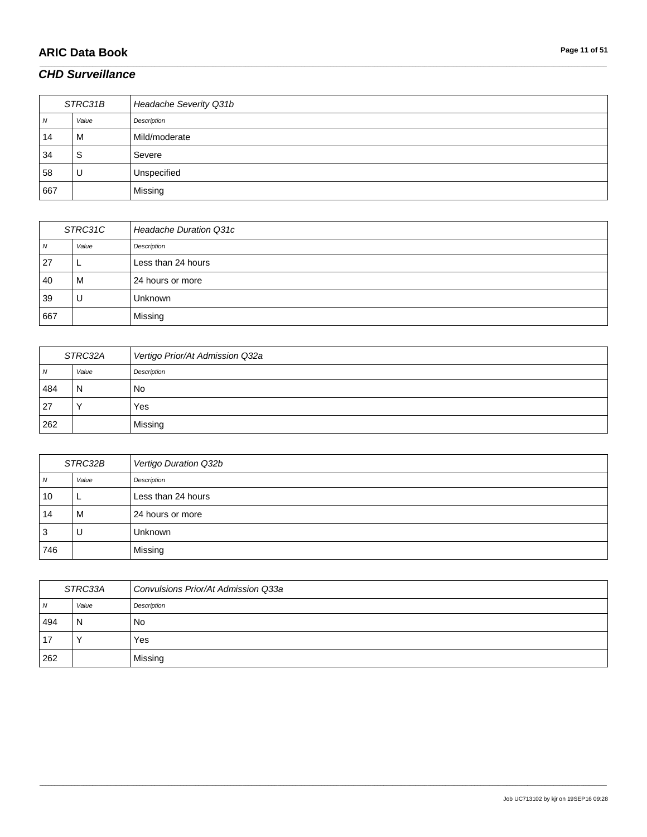# **ARIC Data Book Page 11 of 51**

### *CHD Surveillance*

| STRC31B |       | Headache Severity Q31b |
|---------|-------|------------------------|
| N       | Value | Description            |
| 14      | M     | Mild/moderate          |
| 34      | S     | Severe                 |
| 58      | U     | Unspecified            |
| 667     |       | Missing                |

\_\_\_\_\_\_\_\_\_\_\_\_\_\_\_\_\_\_\_\_\_\_\_\_\_\_\_\_\_\_\_\_\_\_\_\_\_\_\_\_\_\_\_\_\_\_\_\_\_\_\_\_\_\_\_\_\_\_\_\_\_\_\_\_\_\_\_\_\_\_\_\_\_\_\_\_\_\_\_\_\_\_\_\_\_\_\_\_\_\_\_\_\_\_\_\_\_\_\_\_\_\_\_\_\_\_\_\_\_\_\_\_\_\_\_\_\_\_\_\_\_\_\_\_\_\_\_\_\_\_\_\_\_\_\_\_\_\_\_\_\_\_\_\_\_\_\_\_\_\_\_\_\_\_\_\_\_\_\_\_\_\_\_\_\_\_\_\_\_\_\_\_\_\_\_\_\_\_\_\_\_\_\_\_\_\_\_\_\_\_\_\_\_

| STRC31C |       | <b>Headache Duration Q31c</b> |
|---------|-------|-------------------------------|
| N       | Value | Description                   |
| 27      | ┕     | Less than 24 hours            |
| 40      | M     | 24 hours or more              |
| 39      | υ     | Unknown                       |
| 667     |       | Missing                       |

| STRC32A      |       | Vertigo Prior/At Admission Q32a |
|--------------|-------|---------------------------------|
| <sub>N</sub> | Value | Description                     |
| 484          | N     | No                              |
| 27           |       | Yes                             |
| 262          |       | Missing                         |

| STRC32B |       | Vertigo Duration Q32b |
|---------|-------|-----------------------|
| Ν       | Value | Description           |
| 10      |       | Less than 24 hours    |
| 14      | м     | 24 hours or more      |
| 3       | U     | <b>Unknown</b>        |
| 746     |       | Missing               |

| STRC33A        |       | Convulsions Prior/At Admission Q33a |
|----------------|-------|-------------------------------------|
| N <sub>N</sub> | Value | Description                         |
| 494            | N     | No                                  |
| -17            |       | Yes                                 |
| 262            |       | Missing                             |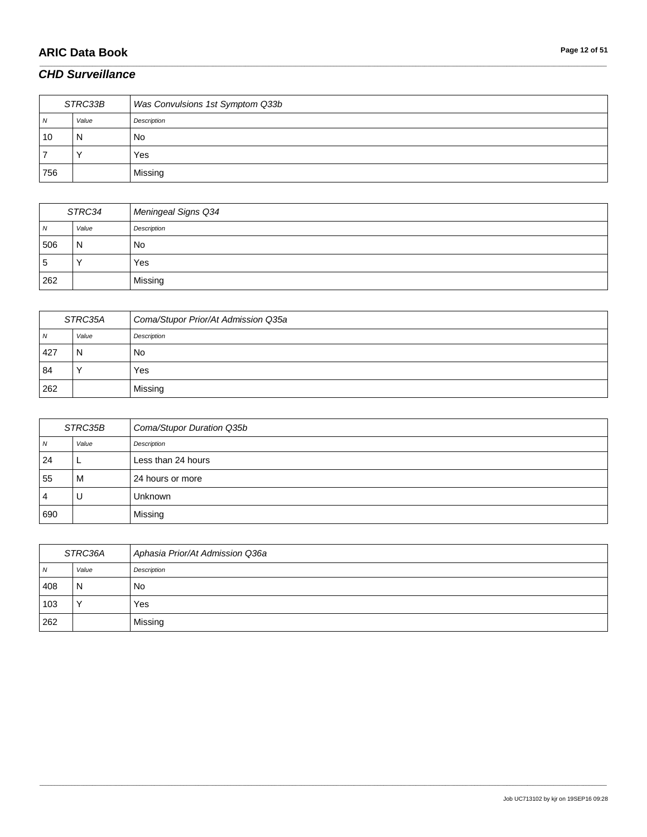# **ARIC Data Book Page 12 of 51**

### *CHD Surveillance*

| STRC33B |       | Was Convulsions 1st Symptom Q33b |
|---------|-------|----------------------------------|
| N       | Value | Description                      |
| 10      | N     | <b>No</b>                        |
|         |       | Yes                              |
| 756     |       | Missing                          |

\_\_\_\_\_\_\_\_\_\_\_\_\_\_\_\_\_\_\_\_\_\_\_\_\_\_\_\_\_\_\_\_\_\_\_\_\_\_\_\_\_\_\_\_\_\_\_\_\_\_\_\_\_\_\_\_\_\_\_\_\_\_\_\_\_\_\_\_\_\_\_\_\_\_\_\_\_\_\_\_\_\_\_\_\_\_\_\_\_\_\_\_\_\_\_\_\_\_\_\_\_\_\_\_\_\_\_\_\_\_\_\_\_\_\_\_\_\_\_\_\_\_\_\_\_\_\_\_\_\_\_\_\_\_\_\_\_\_\_\_\_\_\_\_\_\_\_\_\_\_\_\_\_\_\_\_\_\_\_\_\_\_\_\_\_\_\_\_\_\_\_\_\_\_\_\_\_\_\_\_\_\_\_\_\_\_\_\_\_\_\_\_\_

| STRC34         |       | Meningeal Signs Q34 |
|----------------|-------|---------------------|
| $\overline{N}$ | Value | Description         |
| 506            | N     | <b>No</b>           |
| 5              |       | Yes                 |
| 262            |       | Missing             |

| STRC35A      |       | Coma/Stupor Prior/At Admission Q35a |
|--------------|-------|-------------------------------------|
| <sub>N</sub> | Value | Description                         |
| 427          | N     | No                                  |
| 84           |       | Yes                                 |
| 262          |       | Missing                             |

| STRC35B |       | Coma/Stupor Duration Q35b |
|---------|-------|---------------------------|
| N       | Value | Description               |
| 24      |       | Less than 24 hours        |
| 55      | м     | 24 hours or more          |
| 4       | U     | <b>Unknown</b>            |
| 690     |       | Missing                   |

| STRC36A        |       | Aphasia Prior/At Admission Q36a |
|----------------|-------|---------------------------------|
| $\overline{N}$ | Value | Description                     |
| 408            | N     | No                              |
| 103            |       | Yes                             |
| 262            |       | Missing                         |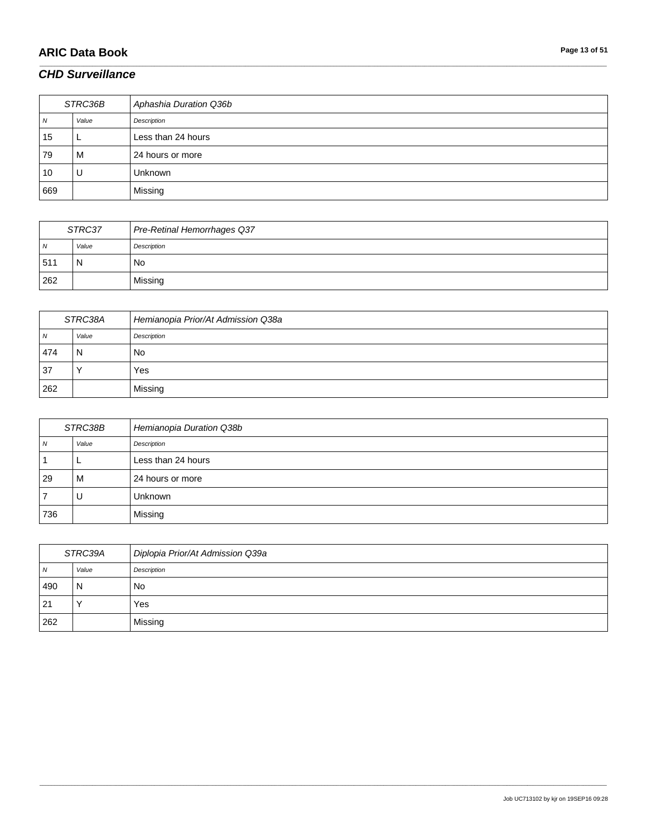# **ARIC Data Book Page 13 of 51**

### *CHD Surveillance*

| STRC36B |       | Aphashia Duration Q36b |
|---------|-------|------------------------|
| N       | Value | Description            |
| 15      |       | Less than 24 hours     |
| 79      | м     | 24 hours or more       |
| 10      | U     | <b>Unknown</b>         |
| 669     |       | Missing                |

\_\_\_\_\_\_\_\_\_\_\_\_\_\_\_\_\_\_\_\_\_\_\_\_\_\_\_\_\_\_\_\_\_\_\_\_\_\_\_\_\_\_\_\_\_\_\_\_\_\_\_\_\_\_\_\_\_\_\_\_\_\_\_\_\_\_\_\_\_\_\_\_\_\_\_\_\_\_\_\_\_\_\_\_\_\_\_\_\_\_\_\_\_\_\_\_\_\_\_\_\_\_\_\_\_\_\_\_\_\_\_\_\_\_\_\_\_\_\_\_\_\_\_\_\_\_\_\_\_\_\_\_\_\_\_\_\_\_\_\_\_\_\_\_\_\_\_\_\_\_\_\_\_\_\_\_\_\_\_\_\_\_\_\_\_\_\_\_\_\_\_\_\_\_\_\_\_\_\_\_\_\_\_\_\_\_\_\_\_\_\_\_\_

| STRC37         |       | Pre-Retinal Hemorrhages Q37 |
|----------------|-------|-----------------------------|
| N <sub>N</sub> | Value | Description                 |
| 51'            | N     | No                          |
| 262            |       | Missing                     |

| STRC38A  |       | Hemianopia Prior/At Admission Q38a |
|----------|-------|------------------------------------|
| <b>N</b> | Value | Description                        |
| 474      | N     | No                                 |
| 37       |       | Yes                                |
| 262      |       | Missing                            |

| STRC38B |       | Hemianopia Duration Q38b |
|---------|-------|--------------------------|
| N       | Value | Description              |
|         |       | Less than 24 hours       |
| 29      | м     | 24 hours or more         |
|         | U     | <b>Unknown</b>           |
| 736     |       | Missing                  |

| STRC39A        |       | Diplopia Prior/At Admission Q39a |
|----------------|-------|----------------------------------|
| $\overline{N}$ | Value | Description                      |
| 490            | N     | No                               |
| 21             |       | Yes                              |
| 262            |       | Missing                          |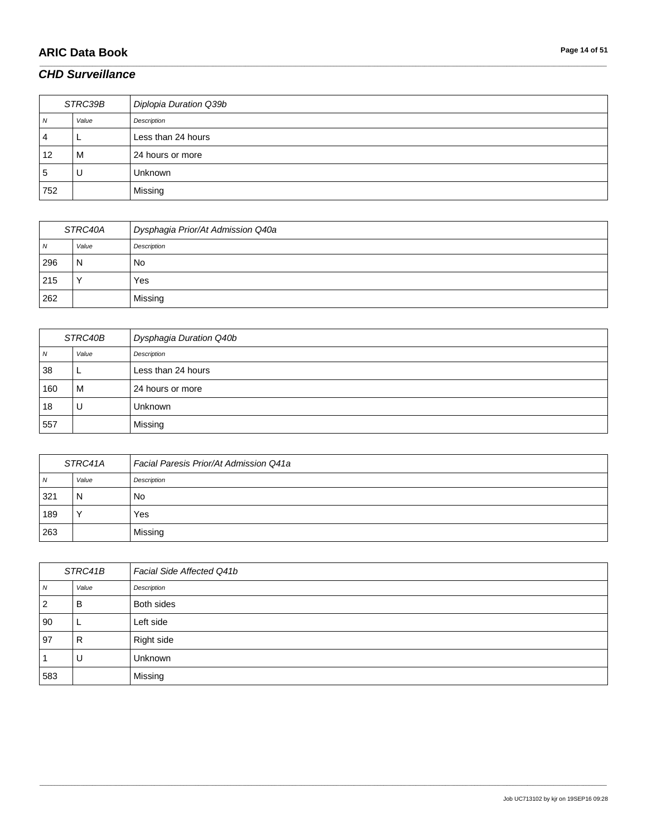# **ARIC Data Book Page 14 of 51**

### *CHD Surveillance*

| STRC39B      |       | Diplopia Duration Q39b |
|--------------|-------|------------------------|
| 7V           | Value | Description            |
| 4            |       | Less than 24 hours     |
| 12           | м     | 24 hours or more       |
| <sub>5</sub> | U     | <b>Unknown</b>         |
| 752          |       | Missing                |

\_\_\_\_\_\_\_\_\_\_\_\_\_\_\_\_\_\_\_\_\_\_\_\_\_\_\_\_\_\_\_\_\_\_\_\_\_\_\_\_\_\_\_\_\_\_\_\_\_\_\_\_\_\_\_\_\_\_\_\_\_\_\_\_\_\_\_\_\_\_\_\_\_\_\_\_\_\_\_\_\_\_\_\_\_\_\_\_\_\_\_\_\_\_\_\_\_\_\_\_\_\_\_\_\_\_\_\_\_\_\_\_\_\_\_\_\_\_\_\_\_\_\_\_\_\_\_\_\_\_\_\_\_\_\_\_\_\_\_\_\_\_\_\_\_\_\_\_\_\_\_\_\_\_\_\_\_\_\_\_\_\_\_\_\_\_\_\_\_\_\_\_\_\_\_\_\_\_\_\_\_\_\_\_\_\_\_\_\_\_\_\_\_

| STRC40A      |              | Dysphagia Prior/At Admission Q40a |
|--------------|--------------|-----------------------------------|
| <sub>N</sub> | Value        | Description                       |
| 296          | N            | No                                |
| 215          | $\checkmark$ | Yes                               |
| 262          |              | Missing                           |

| STRC40B |       | <b>Dysphagia Duration Q40b</b> |
|---------|-------|--------------------------------|
| N       | Value | Description                    |
| 38      | ►     | Less than 24 hours             |
| 160     | M     | 24 hours or more               |
| 18      | U     | Unknown                        |
| 557     |       | Missing                        |

| STRC41A |       | Facial Paresis Prior/At Admission Q41a |
|---------|-------|----------------------------------------|
| N       | Value | Description                            |
| 321     | N     | No                                     |
| 189     |       | Yes                                    |
| 263     |       | Missing                                |

| STRC41B        |              | Facial Side Affected Q41b |
|----------------|--------------|---------------------------|
| N              | Value        | Description               |
| $\overline{2}$ | B            | Both sides                |
| 90             |              | Left side                 |
| 97             | $\mathsf{R}$ | Right side                |
|                | U            | Unknown                   |
| 583            |              | Missing                   |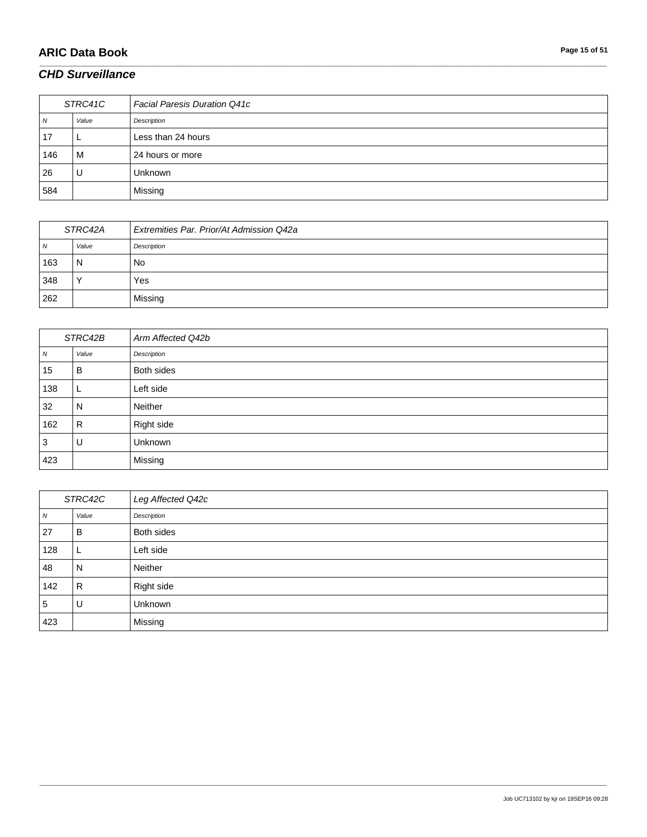# **ARIC Data Book Page 15 of 51**

### *CHD Surveillance*

| STRC41C |       | <b>Facial Paresis Duration Q41c</b> |
|---------|-------|-------------------------------------|
| N       | Value | Description                         |
| 17      |       | Less than 24 hours                  |
| 146     | M     | 24 hours or more                    |
| 26      | U     | <b>Unknown</b>                      |
| 584     |       | Missing                             |

\_\_\_\_\_\_\_\_\_\_\_\_\_\_\_\_\_\_\_\_\_\_\_\_\_\_\_\_\_\_\_\_\_\_\_\_\_\_\_\_\_\_\_\_\_\_\_\_\_\_\_\_\_\_\_\_\_\_\_\_\_\_\_\_\_\_\_\_\_\_\_\_\_\_\_\_\_\_\_\_\_\_\_\_\_\_\_\_\_\_\_\_\_\_\_\_\_\_\_\_\_\_\_\_\_\_\_\_\_\_\_\_\_\_\_\_\_\_\_\_\_\_\_\_\_\_\_\_\_\_\_\_\_\_\_\_\_\_\_\_\_\_\_\_\_\_\_\_\_\_\_\_\_\_\_\_\_\_\_\_\_\_\_\_\_\_\_\_\_\_\_\_\_\_\_\_\_\_\_\_\_\_\_\_\_\_\_\_\_\_\_\_\_

| STRC42A |       | Extremities Par. Prior/At Admission Q42a |
|---------|-------|------------------------------------------|
| N       | Value | Description                              |
| 163     | N     | No                                       |
| 348     |       | Yes                                      |
| 262     |       | Missing                                  |

| STRC42B |       | Arm Affected Q42b |
|---------|-------|-------------------|
| N       | Value | Description       |
| 15      | В     | Both sides        |
| 138     | ட     | Left side         |
| 32      | N     | Neither           |
| 162     | R     | Right side        |
| 3       | U     | Unknown           |
| 423     |       | Missing           |

| STRC42C |       | Leg Affected Q42c |
|---------|-------|-------------------|
| N       | Value | Description       |
| 27      | B     | Both sides        |
| 128     | ╺     | Left side         |
| 48      | N     | Neither           |
| 142     | R     | Right side        |
| 5       | U     | Unknown           |
| 423     |       | Missing           |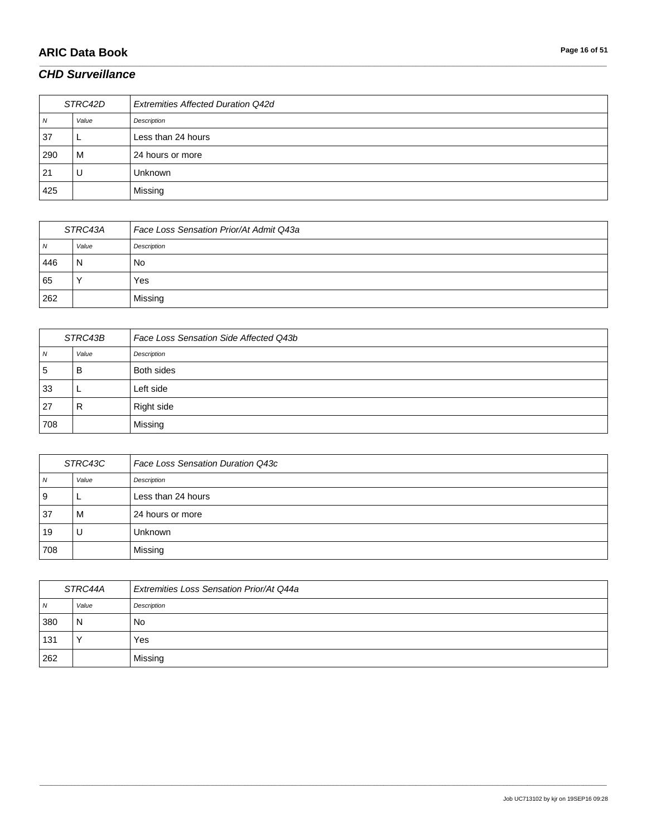# **ARIC Data Book Page 16 of 51**

### *CHD Surveillance*

| STRC42D |       | <b>Extremities Affected Duration Q42d</b> |
|---------|-------|-------------------------------------------|
| N       | Value | Description                               |
| 37      |       | Less than 24 hours                        |
| 290     | M     | 24 hours or more                          |
| 21      | U     | <b>Unknown</b>                            |
| 425     |       | Missing                                   |

\_\_\_\_\_\_\_\_\_\_\_\_\_\_\_\_\_\_\_\_\_\_\_\_\_\_\_\_\_\_\_\_\_\_\_\_\_\_\_\_\_\_\_\_\_\_\_\_\_\_\_\_\_\_\_\_\_\_\_\_\_\_\_\_\_\_\_\_\_\_\_\_\_\_\_\_\_\_\_\_\_\_\_\_\_\_\_\_\_\_\_\_\_\_\_\_\_\_\_\_\_\_\_\_\_\_\_\_\_\_\_\_\_\_\_\_\_\_\_\_\_\_\_\_\_\_\_\_\_\_\_\_\_\_\_\_\_\_\_\_\_\_\_\_\_\_\_\_\_\_\_\_\_\_\_\_\_\_\_\_\_\_\_\_\_\_\_\_\_\_\_\_\_\_\_\_\_\_\_\_\_\_\_\_\_\_\_\_\_\_\_\_\_

| STRC43A      |       | Face Loss Sensation Prior/At Admit Q43a |
|--------------|-------|-----------------------------------------|
| <sub>N</sub> | Value | Description                             |
| 446          | N     | No                                      |
| 65           |       | Yes                                     |
| 262          |       | Missing                                 |

| STRC43B |       | Face Loss Sensation Side Affected Q43b |
|---------|-------|----------------------------------------|
| N       | Value | Description                            |
| 5       | B     | Both sides                             |
| 33      |       | Left side                              |
| 27      | R     | Right side                             |
| 708     |       | Missing                                |

| STRC43C        |       | Face Loss Sensation Duration Q43c |
|----------------|-------|-----------------------------------|
| $\overline{N}$ | Value | Description                       |
| <b>9</b>       |       | Less than 24 hours                |
| -37            | M     | 24 hours or more                  |
| 19             |       | <b>Unknown</b>                    |
| 708            |       | Missing                           |

| STRC44A |                | <b>Extremities Loss Sensation Prior/At Q44a</b> |
|---------|----------------|-------------------------------------------------|
| N       | Value          | Description                                     |
| 380     | $\overline{N}$ | No                                              |
| 131     |                | Yes                                             |
| 262     |                | Missina                                         |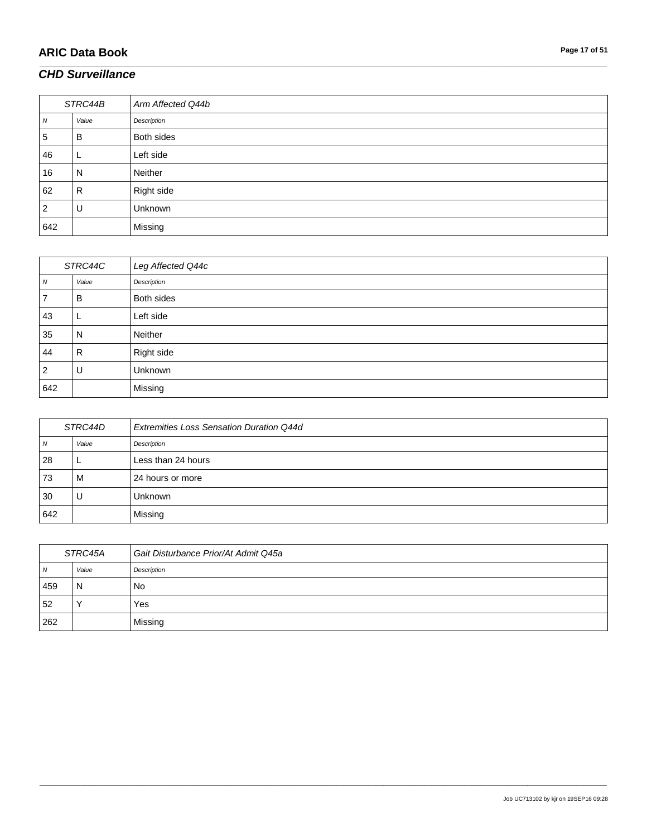# **ARIC Data Book Page 17 of 51**

### *CHD Surveillance*

| STRC44B        |       | Arm Affected Q44b |
|----------------|-------|-------------------|
| N              | Value | Description       |
| 5              | B     | Both sides        |
| 46             |       | Left side         |
| 16             | N     | Neither           |
| 62             | R     | Right side        |
| $\overline{2}$ | U     | Unknown           |
| 642            |       | Missing           |

\_\_\_\_\_\_\_\_\_\_\_\_\_\_\_\_\_\_\_\_\_\_\_\_\_\_\_\_\_\_\_\_\_\_\_\_\_\_\_\_\_\_\_\_\_\_\_\_\_\_\_\_\_\_\_\_\_\_\_\_\_\_\_\_\_\_\_\_\_\_\_\_\_\_\_\_\_\_\_\_\_\_\_\_\_\_\_\_\_\_\_\_\_\_\_\_\_\_\_\_\_\_\_\_\_\_\_\_\_\_\_\_\_\_\_\_\_\_\_\_\_\_\_\_\_\_\_\_\_\_\_\_\_\_\_\_\_\_\_\_\_\_\_\_\_\_\_\_\_\_\_\_\_\_\_\_\_\_\_\_\_\_\_\_\_\_\_\_\_\_\_\_\_\_\_\_\_\_\_\_\_\_\_\_\_\_\_\_\_\_\_\_\_

| STRC44C |       | Leg Affected Q44c |
|---------|-------|-------------------|
| N       | Value | Description       |
|         | В     | Both sides        |
| 43      | ட     | Left side         |
| 35      | N     | Neither           |
| 44      | R     | Right side        |
| 2       | U     | Unknown           |
| 642     |       | Missing           |

| STRC44D |       | <b>Extremities Loss Sensation Duration Q44d</b> |
|---------|-------|-------------------------------------------------|
| N       | Value | Description                                     |
| 28      |       | Less than 24 hours                              |
| 73      | M     | 24 hours or more                                |
| 30      | U     | Unknown                                         |
| 642     |       | Missing                                         |

| STRC45A |       | Gait Disturbance Prior/At Admit Q45a |
|---------|-------|--------------------------------------|
| N       | Value | Description                          |
| 459     | N     | No                                   |
| 52      |       | Yes                                  |
| 262     |       | Missing                              |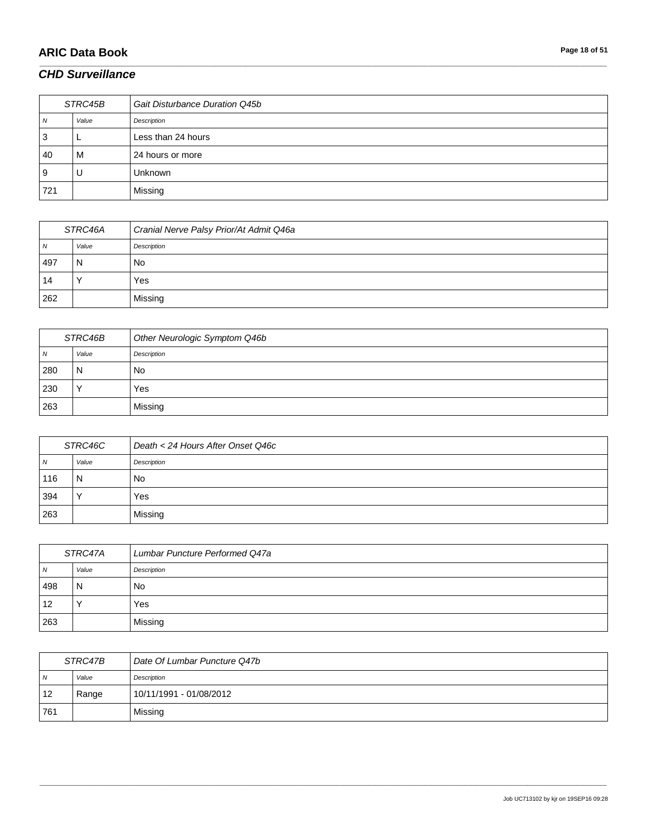# **ARIC Data Book Page 18 of 51**

### *CHD Surveillance*

| STRC45B      |       | Gait Disturbance Duration Q45b |
|--------------|-------|--------------------------------|
| $\mathbf{v}$ | Value | Description                    |
| ت            |       | Less than 24 hours             |
| 40           | м     | 24 hours or more               |
| У            | U     | <b>Unknown</b>                 |
| 721          |       | Missing                        |

\_\_\_\_\_\_\_\_\_\_\_\_\_\_\_\_\_\_\_\_\_\_\_\_\_\_\_\_\_\_\_\_\_\_\_\_\_\_\_\_\_\_\_\_\_\_\_\_\_\_\_\_\_\_\_\_\_\_\_\_\_\_\_\_\_\_\_\_\_\_\_\_\_\_\_\_\_\_\_\_\_\_\_\_\_\_\_\_\_\_\_\_\_\_\_\_\_\_\_\_\_\_\_\_\_\_\_\_\_\_\_\_\_\_\_\_\_\_\_\_\_\_\_\_\_\_\_\_\_\_\_\_\_\_\_\_\_\_\_\_\_\_\_\_\_\_\_\_\_\_\_\_\_\_\_\_\_\_\_\_\_\_\_\_\_\_\_\_\_\_\_\_\_\_\_\_\_\_\_\_\_\_\_\_\_\_\_\_\_\_\_\_\_

| STRC46A |       | Cranial Nerve Palsy Prior/At Admit Q46a |
|---------|-------|-----------------------------------------|
| N       | Value | Description                             |
| 497     | N     | No                                      |
| 14      |       | Yes                                     |
| 262     |       | Missina                                 |

| STRC46B        |       | Other Neurologic Symptom Q46b |
|----------------|-------|-------------------------------|
| $\overline{N}$ | Value | Description                   |
| 280            | N     | No                            |
| 230            |       | Yes                           |
| 263            |       | Missing                       |

| STRC46C |                      | Death < 24 Hours After Onset Q46c |
|---------|----------------------|-----------------------------------|
| N       | Value                | Description                       |
| 116     | N                    | No                                |
| 394     | $\ddot{\phantom{1}}$ | Yes                               |
| 263     |                      | Missing                           |

| STRC47A        |       | Lumbar Puncture Performed Q47a |
|----------------|-------|--------------------------------|
| $\overline{N}$ | Value | Description                    |
| 498            | N     | No.                            |
| 12             |       | Yes                            |
| 263            |       | Missing                        |

| STRC47B        |       | Date Of Lumbar Puncture Q47b |
|----------------|-------|------------------------------|
| N <sub>N</sub> | Value | Description                  |
| 12             | Range | 10/11/1991 - 01/08/2012      |
| 761            |       | Missing                      |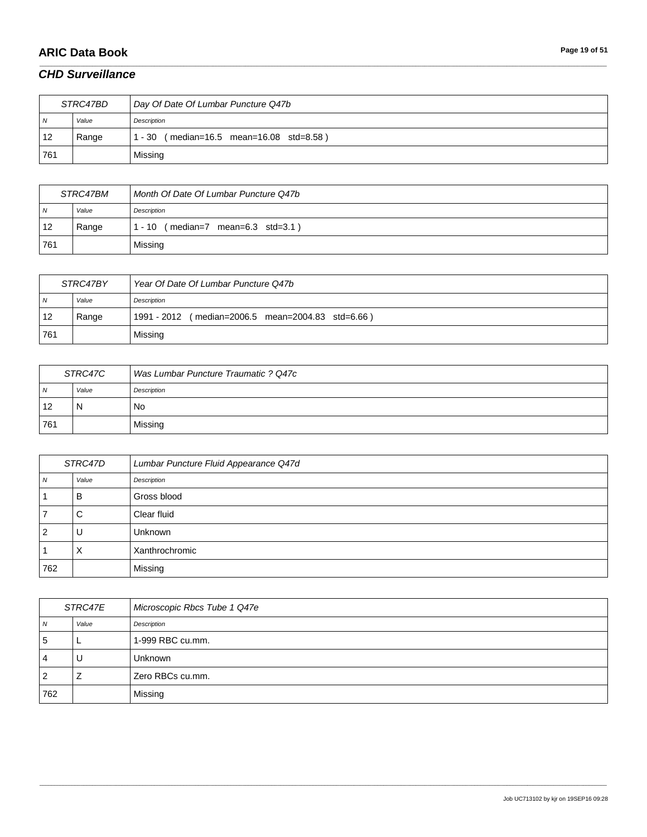# **ARIC Data Book Page 19 of 51**

### *CHD Surveillance*

| STRC47BD |       | Day Of Date Of Lumbar Puncture Q47b       |
|----------|-------|-------------------------------------------|
| N        | Value | Description                               |
| 12       | Range | (median=16.5 mean=16.08 std=8.58)<br>- 30 |
| 761      |       | Missing                                   |

\_\_\_\_\_\_\_\_\_\_\_\_\_\_\_\_\_\_\_\_\_\_\_\_\_\_\_\_\_\_\_\_\_\_\_\_\_\_\_\_\_\_\_\_\_\_\_\_\_\_\_\_\_\_\_\_\_\_\_\_\_\_\_\_\_\_\_\_\_\_\_\_\_\_\_\_\_\_\_\_\_\_\_\_\_\_\_\_\_\_\_\_\_\_\_\_\_\_\_\_\_\_\_\_\_\_\_\_\_\_\_\_\_\_\_\_\_\_\_\_\_\_\_\_\_\_\_\_\_\_\_\_\_\_\_\_\_\_\_\_\_\_\_\_\_\_\_\_\_\_\_\_\_\_\_\_\_\_\_\_\_\_\_\_\_\_\_\_\_\_\_\_\_\_\_\_\_\_\_\_\_\_\_\_\_\_\_\_\_\_\_\_\_

| <i>STRC47BM</i> |       | Month Of Date Of Lumbar Puncture Q47b |
|-----------------|-------|---------------------------------------|
| $\overline{N}$  | Value | Description                           |
| 12              | Range | $(median=7$ mean=6.3 std=3.1)<br>- 10 |
| 761             |       | Missing                               |

| STRC47BY   |       | Year Of Date Of Lumbar Puncture Q47b              |
|------------|-------|---------------------------------------------------|
| $\sqrt{N}$ | Value | Description                                       |
| 12         | Range | 1991 - 2012 (median=2006.5 mean=2004.83 std=6.66) |
| 761        |       | Missing                                           |

| STRC47C        |       | Was Lumbar Puncture Traumatic ? Q47c |
|----------------|-------|--------------------------------------|
| N <sub>N</sub> | Value | Description                          |
| 12             | N     | No                                   |
| 761            |       | Missing                              |

| STRC47D        |       | Lumbar Puncture Fluid Appearance Q47d |
|----------------|-------|---------------------------------------|
| $\overline{N}$ | Value | Description                           |
|                | в     | Gross blood                           |
| 7              | С     | Clear fluid                           |
| 2 ا            |       | Unknown                               |
|                | ⋏     | Xanthrochromic                        |
| 762            |       | Missing                               |

| STRC47E |       | Microscopic Rbcs Tube 1 Q47e |
|---------|-------|------------------------------|
| N       | Value | Description                  |
| -5      |       | 1-999 RBC cu.mm.             |
| 4       | U     | <b>Unknown</b>               |
| 2       | ∸     | Zero RBCs cu.mm.             |
| 762     |       | Missing                      |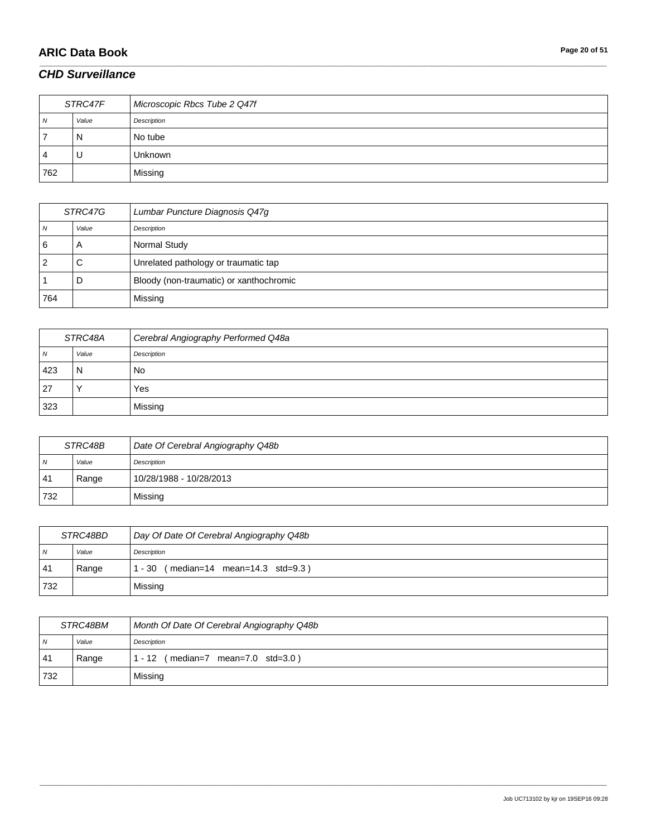# **ARIC Data Book Page 20 of 51**

### *CHD Surveillance*

| STRC47F |       | Microscopic Rbcs Tube 2 Q47f |
|---------|-------|------------------------------|
| N       | Value | Description                  |
|         | N     | No tube                      |
| 4       | U     | <b>Unknown</b>               |
| 762     |       | Missing                      |

\_\_\_\_\_\_\_\_\_\_\_\_\_\_\_\_\_\_\_\_\_\_\_\_\_\_\_\_\_\_\_\_\_\_\_\_\_\_\_\_\_\_\_\_\_\_\_\_\_\_\_\_\_\_\_\_\_\_\_\_\_\_\_\_\_\_\_\_\_\_\_\_\_\_\_\_\_\_\_\_\_\_\_\_\_\_\_\_\_\_\_\_\_\_\_\_\_\_\_\_\_\_\_\_\_\_\_\_\_\_\_\_\_\_\_\_\_\_\_\_\_\_\_\_\_\_\_\_\_\_\_\_\_\_\_\_\_\_\_\_\_\_\_\_\_\_\_\_\_\_\_\_\_\_\_\_\_\_\_\_\_\_\_\_\_\_\_\_\_\_\_\_\_\_\_\_\_\_\_\_\_\_\_\_\_\_\_\_\_\_\_\_\_

| STRC47G |       | Lumbar Puncture Diagnosis Q47g          |
|---------|-------|-----------------------------------------|
|         | Value | Description                             |
| 6       | A     | Normal Study                            |
|         | С     | Unrelated pathology or traumatic tap    |
|         | D     | Bloody (non-traumatic) or xanthochromic |
| 764     |       | Missing                                 |

| STRC48A |           | Cerebral Angiography Performed Q48a |
|---------|-----------|-------------------------------------|
| N       | Value     | Description                         |
| 423     | N         | No                                  |
| 27      | $\lambda$ | Yes                                 |
| 323     |           | Missing                             |

| STRC48B        |       | Date Of Cerebral Angiography Q48b |
|----------------|-------|-----------------------------------|
| N <sub>N</sub> | Value | Description                       |
| 41             | Range | 10/28/1988 - 10/28/2013           |
| 732            |       | Missing                           |

| STRC48BD       |       | Day Of Date Of Cerebral Angiography Q48b                  |
|----------------|-------|-----------------------------------------------------------|
| $\overline{N}$ | Value | Description                                               |
| 41             | Range | $(median=14 \text{ mean}=14.3 \text{ std}=9.3)$<br>1 - 30 |
| 732            |       | Missing                                                   |

| STRC48BM       |       | Month Of Date Of Cerebral Angiography Q48b              |
|----------------|-------|---------------------------------------------------------|
| $\overline{M}$ | Value | Description                                             |
| 41             | Range | $(median=7 \text{ mean}=7.0 \text{ std}=3.0)$<br>1 - 12 |
| 732            |       | Missing                                                 |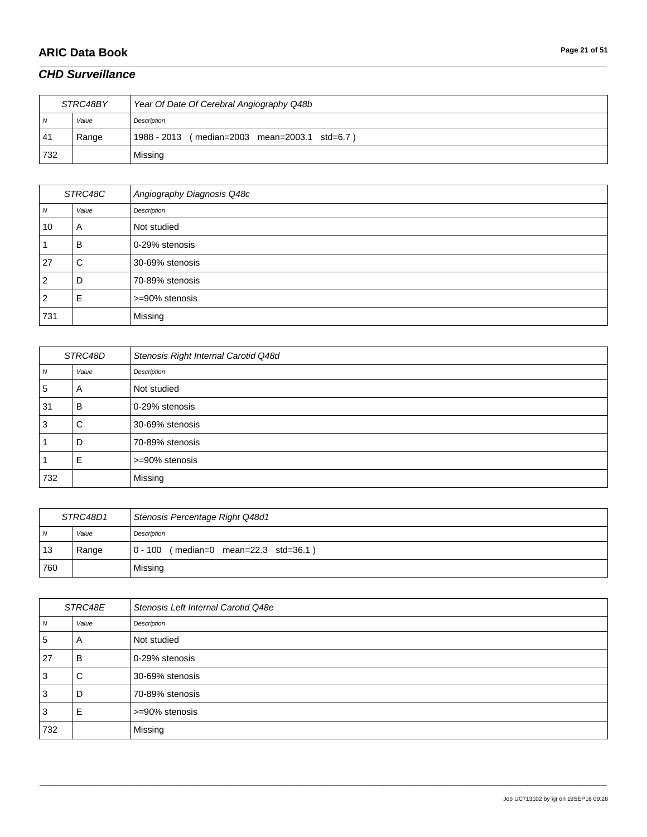# **ARIC Data Book Page 21 of 51**

### *CHD Surveillance*

| STRC48BY       |       | Year Of Date Of Cerebral Angiography Q48b     |
|----------------|-------|-----------------------------------------------|
| N <sub>N</sub> | Value | Description                                   |
| 41             | Range | 1988 - 2013 (median=2003 mean=2003.1 std=6.7) |
| 732            |       | Missing                                       |

\_\_\_\_\_\_\_\_\_\_\_\_\_\_\_\_\_\_\_\_\_\_\_\_\_\_\_\_\_\_\_\_\_\_\_\_\_\_\_\_\_\_\_\_\_\_\_\_\_\_\_\_\_\_\_\_\_\_\_\_\_\_\_\_\_\_\_\_\_\_\_\_\_\_\_\_\_\_\_\_\_\_\_\_\_\_\_\_\_\_\_\_\_\_\_\_\_\_\_\_\_\_\_\_\_\_\_\_\_\_\_\_\_\_\_\_\_\_\_\_\_\_\_\_\_\_\_\_\_\_\_\_\_\_\_\_\_\_\_\_\_\_\_\_\_\_\_\_\_\_\_\_\_\_\_\_\_\_\_\_\_\_\_\_\_\_\_\_\_\_\_\_\_\_\_\_\_\_\_\_\_\_\_\_\_\_\_\_\_\_\_\_\_

| STRC48C        |       | Angiography Diagnosis Q48c |
|----------------|-------|----------------------------|
| N              | Value | Description                |
| 10             | A     | Not studied                |
|                | B     | 0-29% stenosis             |
| 27             | С     | 30-69% stenosis            |
| $\overline{2}$ | D     | 70-89% stenosis            |
| $\overline{2}$ | E     | >=90% stenosis             |
| 731            |       | Missing                    |

| STRC48D |       | Stenosis Right Internal Carotid Q48d |
|---------|-------|--------------------------------------|
| N       | Value | Description                          |
| 5       | A     | Not studied                          |
| 31      | в     | 0-29% stenosis                       |
| 3       | С     | 30-69% stenosis                      |
|         | D     | 70-89% stenosis                      |
|         | Е     | >=90% stenosis                       |
| 732     |       | Missing                              |

| STRC48D1       |       | Stenosis Percentage Right Q48d1       |
|----------------|-------|---------------------------------------|
| $\overline{N}$ | Value | Description                           |
| 13             | Range | 0 - 100 (median=0 mean=22.3 std=36.1) |
| 760            |       | Missing                               |

| STRC48E          |       | Stenosis Left Internal Carotid Q48e |
|------------------|-------|-------------------------------------|
| $\boldsymbol{N}$ | Value | Description                         |
| 5                | A     | Not studied                         |
| 27               | в     | 0-29% stenosis                      |
| $\overline{3}$   | С     | 30-69% stenosis                     |
| 3                | υ     | 70-89% stenosis                     |
| 3                | F     | >=90% stenosis                      |
| 732              |       | Missing                             |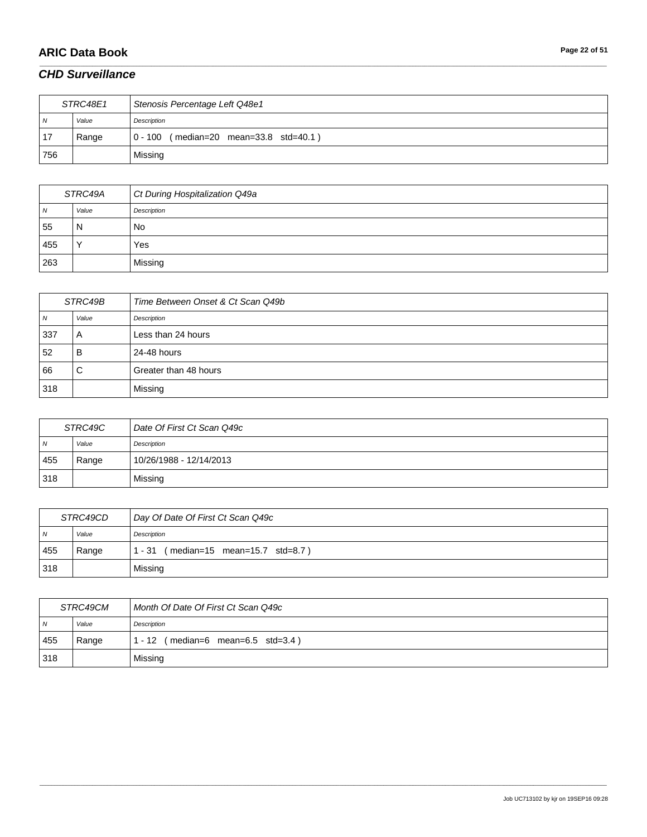# **ARIC Data Book Page 22 of 51**

### *CHD Surveillance*

| STRC48E1       |       | Stenosis Percentage Left Q48e1           |
|----------------|-------|------------------------------------------|
| $\overline{N}$ | Value | Description                              |
| 17             | Range | $0 - 100$ (median=20 mean=33.8 std=40.1) |
| 756            |       | Missing                                  |

\_\_\_\_\_\_\_\_\_\_\_\_\_\_\_\_\_\_\_\_\_\_\_\_\_\_\_\_\_\_\_\_\_\_\_\_\_\_\_\_\_\_\_\_\_\_\_\_\_\_\_\_\_\_\_\_\_\_\_\_\_\_\_\_\_\_\_\_\_\_\_\_\_\_\_\_\_\_\_\_\_\_\_\_\_\_\_\_\_\_\_\_\_\_\_\_\_\_\_\_\_\_\_\_\_\_\_\_\_\_\_\_\_\_\_\_\_\_\_\_\_\_\_\_\_\_\_\_\_\_\_\_\_\_\_\_\_\_\_\_\_\_\_\_\_\_\_\_\_\_\_\_\_\_\_\_\_\_\_\_\_\_\_\_\_\_\_\_\_\_\_\_\_\_\_\_\_\_\_\_\_\_\_\_\_\_\_\_\_\_\_\_\_

| STRC49A |             | Ct During Hospitalization Q49a |
|---------|-------------|--------------------------------|
| 7V      | Value       | Description                    |
| 55      | N           | No                             |
| 455     | $\check{ }$ | Yes                            |
| 263     |             | Missing                        |

| STRC49B        |       | Time Between Onset & Ct Scan Q49b |
|----------------|-------|-----------------------------------|
| $\overline{N}$ | Value | Description                       |
| 337            | A     | Less than 24 hours                |
| 52             | B     | 24-48 hours                       |
| 66             | С     | Greater than 48 hours             |
| 318            |       | Missing                           |

| STRC49C |       | Date Of First Ct Scan Q49c |
|---------|-------|----------------------------|
| N       | Value | Description                |
| 455     | Range | 10/26/1988 - 12/14/2013    |
| 318     |       | Missing                    |

| STRC49CD       |       | Day Of Date Of First Ct Scan Q49c               |
|----------------|-------|-------------------------------------------------|
| $\overline{N}$ | Value | Description                                     |
| 455            | Range | $(median=15 \, mean=15.7 \, std=8.7)$<br>1 - 31 |
| 318            |       | Missing                                         |

| STRC49CM       |       | Month Of Date Of First Ct Scan Q49c                     |
|----------------|-------|---------------------------------------------------------|
| $\overline{N}$ | Value | Description                                             |
| 455            | Range | $(median=6 \text{ mean}=6.5 \text{ std}=3.4)$<br>1 - 12 |
| 318            |       | Missing                                                 |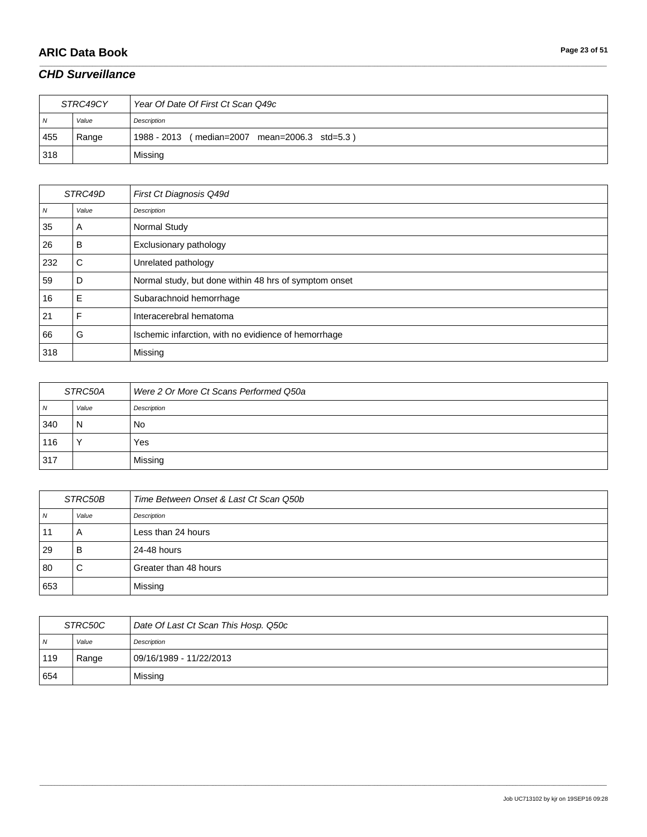# **ARIC Data Book Page 23 of 51**

### *CHD Surveillance*

| STRC49CY |       | Year Of Date Of First Ct Scan Q49c               |
|----------|-------|--------------------------------------------------|
| N        | Value | Description                                      |
| 455      | Range | 1988 - 2013<br>(median=2007 mean=2006.3 std=5.3) |
| 318      |       | Missing                                          |

\_\_\_\_\_\_\_\_\_\_\_\_\_\_\_\_\_\_\_\_\_\_\_\_\_\_\_\_\_\_\_\_\_\_\_\_\_\_\_\_\_\_\_\_\_\_\_\_\_\_\_\_\_\_\_\_\_\_\_\_\_\_\_\_\_\_\_\_\_\_\_\_\_\_\_\_\_\_\_\_\_\_\_\_\_\_\_\_\_\_\_\_\_\_\_\_\_\_\_\_\_\_\_\_\_\_\_\_\_\_\_\_\_\_\_\_\_\_\_\_\_\_\_\_\_\_\_\_\_\_\_\_\_\_\_\_\_\_\_\_\_\_\_\_\_\_\_\_\_\_\_\_\_\_\_\_\_\_\_\_\_\_\_\_\_\_\_\_\_\_\_\_\_\_\_\_\_\_\_\_\_\_\_\_\_\_\_\_\_\_\_\_\_

| STRC49D |       | First Ct Diagnosis Q49d                               |
|---------|-------|-------------------------------------------------------|
| N       | Value | Description                                           |
| 35      | A     | Normal Study                                          |
| 26      | B     | Exclusionary pathology                                |
| 232     | С     | Unrelated pathology                                   |
| 59      | D     | Normal study, but done within 48 hrs of symptom onset |
| 16      | E     | Subarachnoid hemorrhage                               |
| 21      | F     | Interacerebral hematoma                               |
| 66      | G     | Ischemic infarction, with no evidience of hemorrhage  |
| 318     |       | Missing                                               |

| STRC50A |              | Were 2 Or More Ct Scans Performed Q50a |
|---------|--------------|----------------------------------------|
| 7V      | Value        | Description                            |
| 340     | N            | No                                     |
| 116     | $\checkmark$ | Yes                                    |
| 317     |              | Missing                                |

| STRC50B |       | Time Between Onset & Last Ct Scan Q50b |
|---------|-------|----------------------------------------|
| N       | Value | Description                            |
| 11      | A     | Less than 24 hours                     |
| 29      | B     | 24-48 hours                            |
| 80      | С     | Greater than 48 hours                  |
| 653     |       | Missing                                |

| STRC50C        |       | Date Of Last Ct Scan This Hosp. Q50c |
|----------------|-------|--------------------------------------|
| $\overline{M}$ | Value | Description                          |
| 119            | Range | 09/16/1989 - 11/22/2013              |
| 654            |       | Missing                              |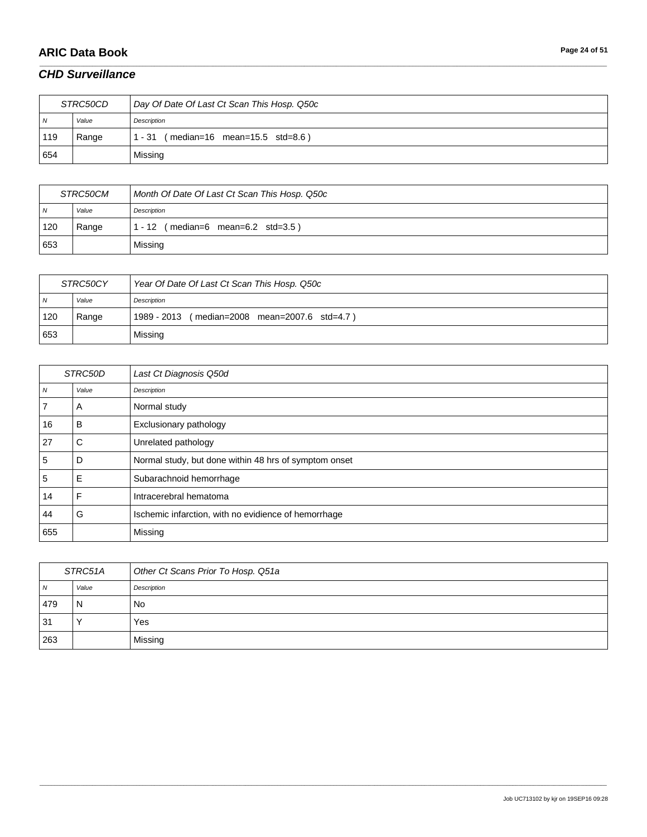# **ARIC Data Book Page 24 of 51**

### *CHD Surveillance*

| <i>STRC50CD</i> |       | Day Of Date Of Last Ct Scan This Hosp. Q50c     |
|-----------------|-------|-------------------------------------------------|
| N               | Value | Description                                     |
| 119             | Range | $(median=16 \, mean=15.5 \, std=8.6)$<br>1 - 31 |
| 654             |       | Missing                                         |

\_\_\_\_\_\_\_\_\_\_\_\_\_\_\_\_\_\_\_\_\_\_\_\_\_\_\_\_\_\_\_\_\_\_\_\_\_\_\_\_\_\_\_\_\_\_\_\_\_\_\_\_\_\_\_\_\_\_\_\_\_\_\_\_\_\_\_\_\_\_\_\_\_\_\_\_\_\_\_\_\_\_\_\_\_\_\_\_\_\_\_\_\_\_\_\_\_\_\_\_\_\_\_\_\_\_\_\_\_\_\_\_\_\_\_\_\_\_\_\_\_\_\_\_\_\_\_\_\_\_\_\_\_\_\_\_\_\_\_\_\_\_\_\_\_\_\_\_\_\_\_\_\_\_\_\_\_\_\_\_\_\_\_\_\_\_\_\_\_\_\_\_\_\_\_\_\_\_\_\_\_\_\_\_\_\_\_\_\_\_\_\_\_

| <i>STRC50CM</i> |       | Month Of Date Of Last Ct Scan This Hosp. Q50c |
|-----------------|-------|-----------------------------------------------|
| $\overline{N}$  | Value | Description                                   |
| 120             | Range | $(median=6$ mean=6.2 std=3.5)<br>- 12         |
| 653             |       | Missing                                       |

| STRC50CY       |       | Year Of Date Of Last Ct Scan This Hosp. Q50c     |
|----------------|-------|--------------------------------------------------|
| $\overline{N}$ | Value | Description                                      |
| 120            | Range | 1989 - 2013<br>(median=2008 mean=2007.6 std=4.7) |
| 653            |       | Missing                                          |

| STRC50D          |       | Last Ct Diagnosis Q50d                                |
|------------------|-------|-------------------------------------------------------|
| $\boldsymbol{N}$ | Value | Description                                           |
|                  | A     | Normal study                                          |
| 16               | в     | Exclusionary pathology                                |
| 27               | С     | Unrelated pathology                                   |
| 5                | D     | Normal study, but done within 48 hrs of symptom onset |
| 5                | Е     | Subarachnoid hemorrhage                               |
| 14               | F     | Intracerebral hematoma                                |
| 44               | G     | Ischemic infarction, with no evidience of hemorrhage  |
| 655              |       | Missing                                               |

| STRC51A |       | Other Ct Scans Prior To Hosp. Q51a |
|---------|-------|------------------------------------|
| N       | Value | Description                        |
| 479     | N     | No                                 |
| -31     |       | Yes                                |
| 263     |       | Missing                            |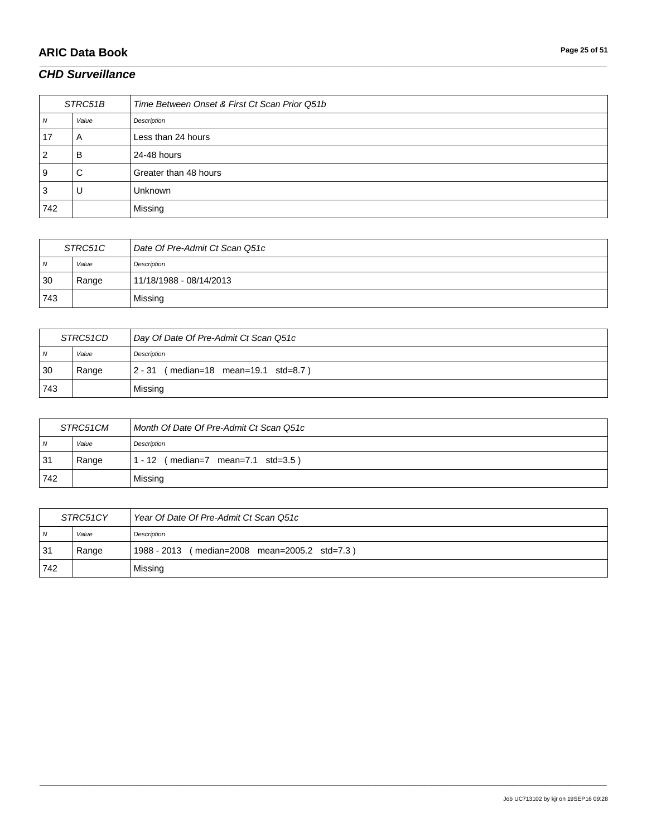# **ARIC Data Book Page 25 of 51**

### *CHD Surveillance*

| STRC51B |       | Time Between Onset & First Ct Scan Prior Q51b |
|---------|-------|-----------------------------------------------|
| N       | Value | Description                                   |
| 17      | A     | Less than 24 hours                            |
| 2       | в     | 24-48 hours                                   |
| 9       | С     | Greater than 48 hours                         |
| 3       | U     | Unknown                                       |
| 742     |       | Missing                                       |

\_\_\_\_\_\_\_\_\_\_\_\_\_\_\_\_\_\_\_\_\_\_\_\_\_\_\_\_\_\_\_\_\_\_\_\_\_\_\_\_\_\_\_\_\_\_\_\_\_\_\_\_\_\_\_\_\_\_\_\_\_\_\_\_\_\_\_\_\_\_\_\_\_\_\_\_\_\_\_\_\_\_\_\_\_\_\_\_\_\_\_\_\_\_\_\_\_\_\_\_\_\_\_\_\_\_\_\_\_\_\_\_\_\_\_\_\_\_\_\_\_\_\_\_\_\_\_\_\_\_\_\_\_\_\_\_\_\_\_\_\_\_\_\_\_\_\_\_\_\_\_\_\_\_\_\_\_\_\_\_\_\_\_\_\_\_\_\_\_\_\_\_\_\_\_\_\_\_\_\_\_\_\_\_\_\_\_\_\_\_\_\_\_

| STRC51C        |       | Date Of Pre-Admit Ct Scan Q51c |
|----------------|-------|--------------------------------|
| $\overline{N}$ | Value | Description                    |
| 30             | Range | 11/18/1988 - 08/14/2013        |
| 743            |       | Missing                        |

| STRC51CD       |       | Day Of Date Of Pre-Admit Ct Scan Q51c     |
|----------------|-------|-------------------------------------------|
| $\overline{N}$ | Value | Description                               |
| 30             | Range | (median=18 mean=19.1 std=8.7)<br>$2 - 31$ |
| 743            |       | Missing                                   |

| STRC51CM       |       | Month Of Date Of Pre-Admit Ct Scan Q51c                   |
|----------------|-------|-----------------------------------------------------------|
| N <sub>N</sub> | Value | Description                                               |
| 31             | Range | $(median=7 \text{ mean}=7.1 \text{ std}=3.5)$<br>$1 - 12$ |
| 742            |       | Missing                                                   |

| STRC51CY       |       | Year Of Date Of Pre-Admit Ct Scan Q51c        |
|----------------|-------|-----------------------------------------------|
| $\overline{N}$ | Value | Description                                   |
| 31             | Range | 1988 - 2013 (median=2008 mean=2005.2 std=7.3) |
| 742            |       | Missing                                       |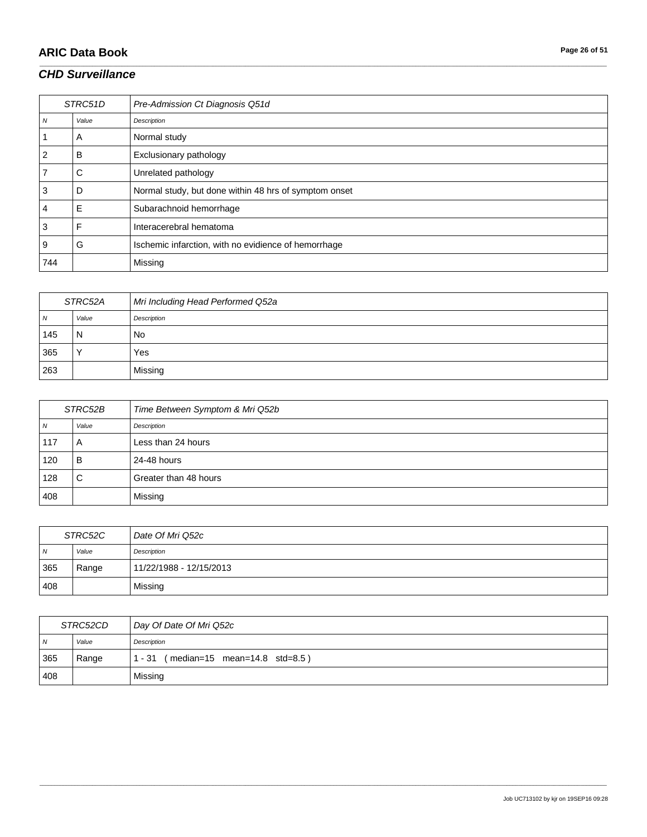# **ARIC Data Book Page 26 of 51**

### *CHD Surveillance*

| STRC51D          |       | Pre-Admission Ct Diagnosis Q51d                       |
|------------------|-------|-------------------------------------------------------|
| $\boldsymbol{N}$ | Value | Description                                           |
|                  | A     | Normal study                                          |
| 2                | B     | Exclusionary pathology                                |
|                  | С     | Unrelated pathology                                   |
| 3                | D     | Normal study, but done within 48 hrs of symptom onset |
| 4                | Е     | Subarachnoid hemorrhage                               |
| 3                | F     | Interacerebral hematoma                               |
| 9                | G     | Ischemic infarction, with no evidience of hemorrhage  |
| 744              |       | Missing                                               |

\_\_\_\_\_\_\_\_\_\_\_\_\_\_\_\_\_\_\_\_\_\_\_\_\_\_\_\_\_\_\_\_\_\_\_\_\_\_\_\_\_\_\_\_\_\_\_\_\_\_\_\_\_\_\_\_\_\_\_\_\_\_\_\_\_\_\_\_\_\_\_\_\_\_\_\_\_\_\_\_\_\_\_\_\_\_\_\_\_\_\_\_\_\_\_\_\_\_\_\_\_\_\_\_\_\_\_\_\_\_\_\_\_\_\_\_\_\_\_\_\_\_\_\_\_\_\_\_\_\_\_\_\_\_\_\_\_\_\_\_\_\_\_\_\_\_\_\_\_\_\_\_\_\_\_\_\_\_\_\_\_\_\_\_\_\_\_\_\_\_\_\_\_\_\_\_\_\_\_\_\_\_\_\_\_\_\_\_\_\_\_\_\_

| STRC52A        |       | Mri Including Head Performed Q52a |
|----------------|-------|-----------------------------------|
| $\overline{N}$ | Value | Description                       |
| 145            | N     | No.                               |
| 365            |       | Yes                               |
| 263            |       | Missing                           |

| STRC52B |       | Time Between Symptom & Mri Q52b |
|---------|-------|---------------------------------|
| N       | Value | Description                     |
| 117     | A     | Less than 24 hours              |
| 120     | B     | 24-48 hours                     |
| 128     | С     | Greater than 48 hours           |
| 408     |       | Missing                         |

| STRC52C |       | Date Of Mri Q52c        |
|---------|-------|-------------------------|
| N       | Value | Description             |
| 365     | Range | 11/22/1988 - 12/15/2013 |
| 408     |       | Missing                 |

| STRC52CD       |       | Day Of Date Of Mri Q52c                         |
|----------------|-------|-------------------------------------------------|
| $\overline{M}$ | Value | Description                                     |
| 365            | Range | $(median=15 \, mean=14.8 \, std=8.5)$<br>1 - 31 |
| 408            |       | Missing                                         |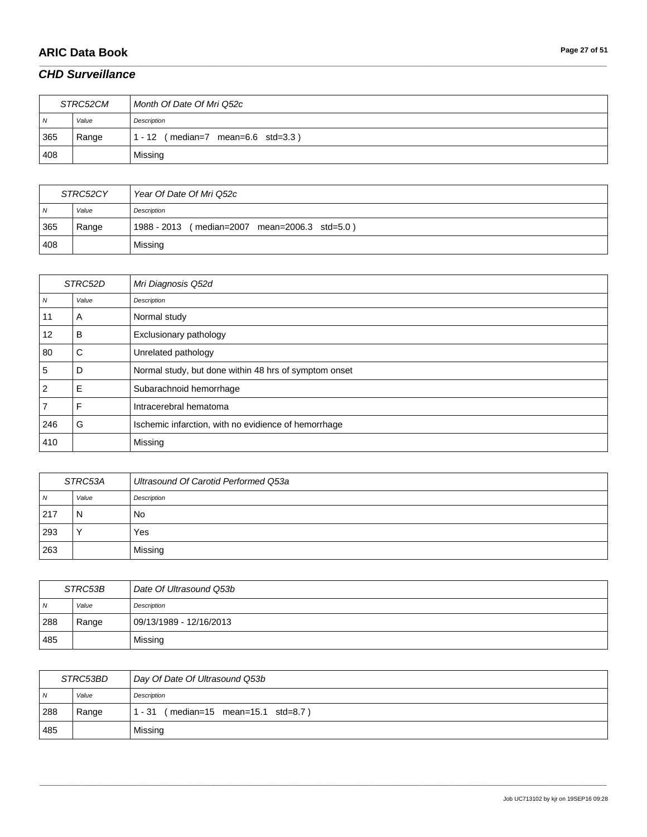# **ARIC Data Book Page 27 of 51**

#### *CHD Surveillance*

| STRC52CM       |       | Month Of Date Of Mri Q52c                 |
|----------------|-------|-------------------------------------------|
| $\overline{N}$ | Value | Description                               |
| 365            | Range | $(median=7$ mean=6.6 std=3.3)<br>$1 - 12$ |
| 408            |       | Missing                                   |

\_\_\_\_\_\_\_\_\_\_\_\_\_\_\_\_\_\_\_\_\_\_\_\_\_\_\_\_\_\_\_\_\_\_\_\_\_\_\_\_\_\_\_\_\_\_\_\_\_\_\_\_\_\_\_\_\_\_\_\_\_\_\_\_\_\_\_\_\_\_\_\_\_\_\_\_\_\_\_\_\_\_\_\_\_\_\_\_\_\_\_\_\_\_\_\_\_\_\_\_\_\_\_\_\_\_\_\_\_\_\_\_\_\_\_\_\_\_\_\_\_\_\_\_\_\_\_\_\_\_\_\_\_\_\_\_\_\_\_\_\_\_\_\_\_\_\_\_\_\_\_\_\_\_\_\_\_\_\_\_\_\_\_\_\_\_\_\_\_\_\_\_\_\_\_\_\_\_\_\_\_\_\_\_\_\_\_\_\_\_\_\_\_

| STRC52CY       |       | Year Of Date Of Mri Q52c                      |
|----------------|-------|-----------------------------------------------|
| N <sub>N</sub> | Value | Description                                   |
| 365            | Range | 1988 - 2013 (median=2007 mean=2006.3 std=5.0) |
| 408            |       | Missing                                       |

| STRC52D        |       | Mri Diagnosis Q52d                                    |
|----------------|-------|-------------------------------------------------------|
| N              | Value | Description                                           |
| 11             | A     | Normal study                                          |
| 12             | B     | Exclusionary pathology                                |
| 80             | С     | Unrelated pathology                                   |
| 5              | D     | Normal study, but done within 48 hrs of symptom onset |
| $\overline{2}$ | Е     | Subarachnoid hemorrhage                               |
|                | F     | Intracerebral hematoma                                |
| 246            | G     | Ischemic infarction, with no evidience of hemorrhage  |
| 410            |       | Missing                                               |

| STRC53A |       | Ultrasound Of Carotid Performed Q53a |
|---------|-------|--------------------------------------|
| , N     | Value | Description                          |
| 217     | N     | No.                                  |
| 293     |       | Yes                                  |
| 263     |       | Missing                              |

| STRC53B |       | Date Of Ultrasound Q53b |
|---------|-------|-------------------------|
| N       | Value | Description             |
| 288     | Range | 09/13/1989 - 12/16/2013 |
| 485     |       | Missing                 |

| STRC53BD       |       | Day Of Date Of Ultrasound Q53b                  |
|----------------|-------|-------------------------------------------------|
| $\overline{N}$ | Value | Description                                     |
| 288            | Range | $(median=15 \, mean=15.1 \, std=8.7)$<br>1 - 31 |
| 485            |       | Missing                                         |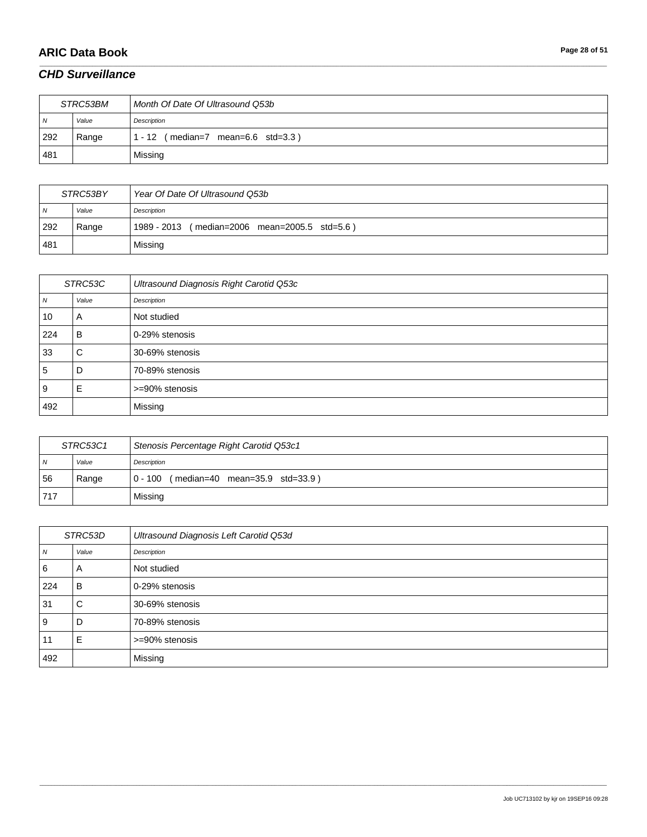# **ARIC Data Book Page 28 of 51**

### *CHD Surveillance*

| STRC53BM       |       | Month Of Date Of Ultrasound Q53b       |
|----------------|-------|----------------------------------------|
| $\overline{N}$ | Value | Description                            |
| 292            | Range | $(median=7$ mean=6.6 std=3.3)<br>$-12$ |
| 481            |       | Missing                                |

\_\_\_\_\_\_\_\_\_\_\_\_\_\_\_\_\_\_\_\_\_\_\_\_\_\_\_\_\_\_\_\_\_\_\_\_\_\_\_\_\_\_\_\_\_\_\_\_\_\_\_\_\_\_\_\_\_\_\_\_\_\_\_\_\_\_\_\_\_\_\_\_\_\_\_\_\_\_\_\_\_\_\_\_\_\_\_\_\_\_\_\_\_\_\_\_\_\_\_\_\_\_\_\_\_\_\_\_\_\_\_\_\_\_\_\_\_\_\_\_\_\_\_\_\_\_\_\_\_\_\_\_\_\_\_\_\_\_\_\_\_\_\_\_\_\_\_\_\_\_\_\_\_\_\_\_\_\_\_\_\_\_\_\_\_\_\_\_\_\_\_\_\_\_\_\_\_\_\_\_\_\_\_\_\_\_\_\_\_\_\_\_\_

| STRC53BY       |       | Year Of Date Of Ultrasound Q53b               |
|----------------|-------|-----------------------------------------------|
| $\overline{N}$ | Value | Description                                   |
| 292            | Range | 1989 - 2013 (median=2006 mean=2005.5 std=5.6) |
| 481            |       | Missing                                       |

| STRC53C |       | Ultrasound Diagnosis Right Carotid Q53c |
|---------|-------|-----------------------------------------|
| N       | Value | Description                             |
| 10      | A     | Not studied                             |
| 224     | B.    | 0-29% stenosis                          |
| 33      | C     | 30-69% stenosis                         |
| 5       | D     | 70-89% stenosis                         |
| 9       | Е     | >=90% stenosis                          |
| 492     |       | Missing                                 |

| STRC53C1       |       | Stenosis Percentage Right Carotid Q53c1   |
|----------------|-------|-------------------------------------------|
| $\overline{N}$ | Value | Description                               |
| 56             | Range | $ 0 - 100$ (median=40 mean=35.9 std=33.9) |
| 717            |       | Missing                                   |

| STRC53D |       | Ultrasound Diagnosis Left Carotid Q53d |
|---------|-------|----------------------------------------|
| N       | Value | Description                            |
| 6       | A     | Not studied                            |
| 224     | ΈB.   | 0-29% stenosis                         |
| 31      | C     | 30-69% stenosis                        |
| 9       | D     | 70-89% stenosis                        |
| 11      | E     | >=90% stenosis                         |
| 492     |       | Missing                                |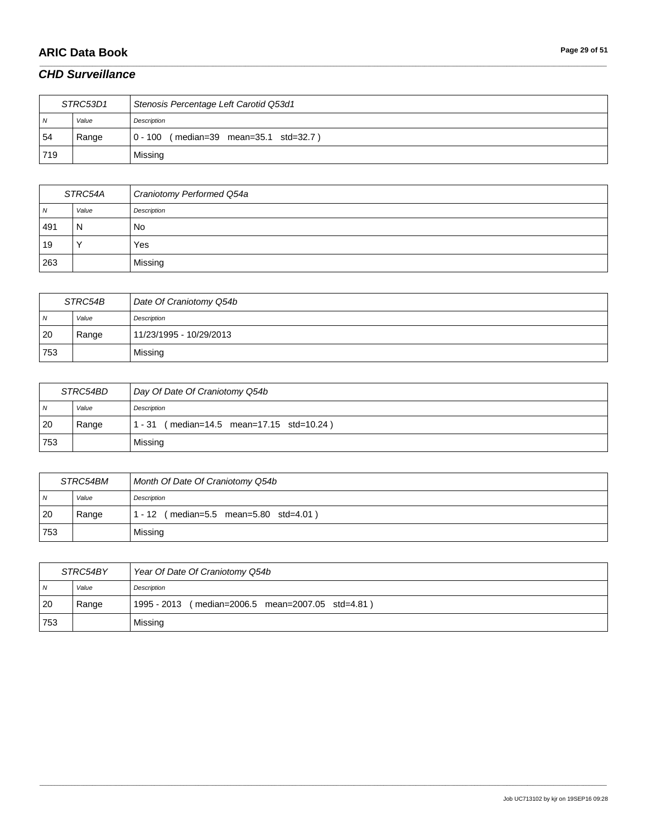# **ARIC Data Book Page 29 of 51**

### *CHD Surveillance*

| STRC53D1       |       | Stenosis Percentage Left Carotid Q53d1 |
|----------------|-------|----------------------------------------|
| $\overline{N}$ | Value | Description                            |
| 54             | Range | 0 - 100 (median=39 mean=35.1 std=32.7) |
| 719            |       | Missing                                |

\_\_\_\_\_\_\_\_\_\_\_\_\_\_\_\_\_\_\_\_\_\_\_\_\_\_\_\_\_\_\_\_\_\_\_\_\_\_\_\_\_\_\_\_\_\_\_\_\_\_\_\_\_\_\_\_\_\_\_\_\_\_\_\_\_\_\_\_\_\_\_\_\_\_\_\_\_\_\_\_\_\_\_\_\_\_\_\_\_\_\_\_\_\_\_\_\_\_\_\_\_\_\_\_\_\_\_\_\_\_\_\_\_\_\_\_\_\_\_\_\_\_\_\_\_\_\_\_\_\_\_\_\_\_\_\_\_\_\_\_\_\_\_\_\_\_\_\_\_\_\_\_\_\_\_\_\_\_\_\_\_\_\_\_\_\_\_\_\_\_\_\_\_\_\_\_\_\_\_\_\_\_\_\_\_\_\_\_\_\_\_\_\_

| STRC54A |       | Craniotomy Performed Q54a |
|---------|-------|---------------------------|
| N       | Value | Description               |
| 491     | N     | No                        |
| 19      |       | Yes                       |
| 263     |       | Missing                   |

| STRC54B        |       | Date Of Craniotomy Q54b |
|----------------|-------|-------------------------|
| N <sub>N</sub> | Value | Description             |
| <b>20</b>      | Range | 11/23/1995 - 10/29/2013 |
| 753            |       | Missing                 |

| STRC54BD       |       | Day Of Date Of Craniotomy Q54b               |
|----------------|-------|----------------------------------------------|
| $\overline{M}$ | Value | Description                                  |
| 20             | Range | (median=14.5 mean=17.15 std=10.24)<br>1 - 31 |
| 753            |       | Missing                                      |

| STRC54BM       |       | Month Of Date Of Craniotomy Q54b            |
|----------------|-------|---------------------------------------------|
| $\overline{N}$ | Value | Description                                 |
| 20             | Range | (median=5.5 mean=5.80 std=4.01)<br>$1 - 12$ |
| 753            |       | Missing                                     |

| STRC54BY       |       | Year Of Date Of Craniotomy Q54b                   |
|----------------|-------|---------------------------------------------------|
| $\overline{N}$ | Value | Description                                       |
| 20             | Range | 1995 - 2013 (median=2006.5 mean=2007.05 std=4.81) |
| 753            |       | Missing                                           |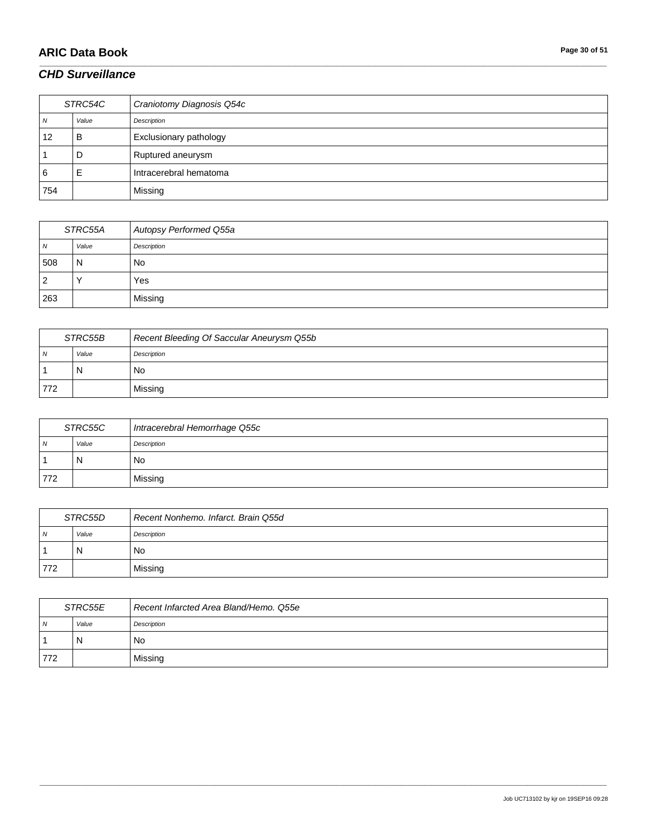# **ARIC Data Book Page 30 of 51**

### *CHD Surveillance*

| STRC54C |       | Craniotomy Diagnosis Q54c |
|---------|-------|---------------------------|
| 7V      | Value | Description               |
| 12      | B     | Exclusionary pathology    |
|         | D     | Ruptured aneurysm         |
| 6       | E     | Intracerebral hematoma    |
| 754     |       | Missing                   |

\_\_\_\_\_\_\_\_\_\_\_\_\_\_\_\_\_\_\_\_\_\_\_\_\_\_\_\_\_\_\_\_\_\_\_\_\_\_\_\_\_\_\_\_\_\_\_\_\_\_\_\_\_\_\_\_\_\_\_\_\_\_\_\_\_\_\_\_\_\_\_\_\_\_\_\_\_\_\_\_\_\_\_\_\_\_\_\_\_\_\_\_\_\_\_\_\_\_\_\_\_\_\_\_\_\_\_\_\_\_\_\_\_\_\_\_\_\_\_\_\_\_\_\_\_\_\_\_\_\_\_\_\_\_\_\_\_\_\_\_\_\_\_\_\_\_\_\_\_\_\_\_\_\_\_\_\_\_\_\_\_\_\_\_\_\_\_\_\_\_\_\_\_\_\_\_\_\_\_\_\_\_\_\_\_\_\_\_\_\_\_\_\_

| STRC55A |       | Autopsy Performed Q55a |
|---------|-------|------------------------|
| N       | Value | Description            |
| 508     | N     | No                     |
| 2       |       | Yes                    |
| 263     |       | Missing                |

| STRC55B        |       | Recent Bleeding Of Saccular Aneurysm Q55b |
|----------------|-------|-------------------------------------------|
| $\overline{N}$ | Value | Description                               |
|                | N     | No                                        |
| 772            |       | Missing                                   |

| STRC55C |       | Intracerebral Hemorrhage Q55c |
|---------|-------|-------------------------------|
| N       | Value | Description                   |
|         | N     | No                            |
| 772     |       | Missing                       |

| STRC55D        |       | Recent Nonhemo. Infarct. Brain Q55d |
|----------------|-------|-------------------------------------|
| $\overline{N}$ | Value | Description                         |
|                | N     | No                                  |
| 772            |       | Missing                             |

| STRC55E        |       | Recent Infarcted Area Bland/Hemo. Q55e |
|----------------|-------|----------------------------------------|
| $\overline{N}$ | Value | Description                            |
|                | N     | No.                                    |
| 772            |       | Missing                                |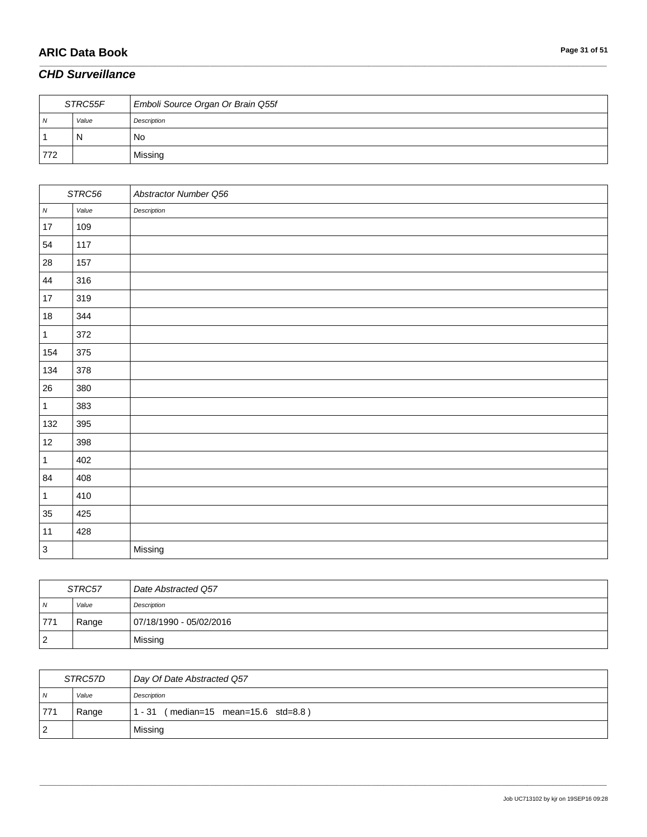# **ARIC Data Book Page 31 of 51**

### *CHD Surveillance*

| STRC55F |       | Emboli Source Organ Or Brain Q55f |
|---------|-------|-----------------------------------|
| N       | Value | Description                       |
|         | N     | No                                |
| 772     |       | Missing                           |

\_\_\_\_\_\_\_\_\_\_\_\_\_\_\_\_\_\_\_\_\_\_\_\_\_\_\_\_\_\_\_\_\_\_\_\_\_\_\_\_\_\_\_\_\_\_\_\_\_\_\_\_\_\_\_\_\_\_\_\_\_\_\_\_\_\_\_\_\_\_\_\_\_\_\_\_\_\_\_\_\_\_\_\_\_\_\_\_\_\_\_\_\_\_\_\_\_\_\_\_\_\_\_\_\_\_\_\_\_\_\_\_\_\_\_\_\_\_\_\_\_\_\_\_\_\_\_\_\_\_\_\_\_\_\_\_\_\_\_\_\_\_\_\_\_\_\_\_\_\_\_\_\_\_\_\_\_\_\_\_\_\_\_\_\_\_\_\_\_\_\_\_\_\_\_\_\_\_\_\_\_\_\_\_\_\_\_\_\_\_\_\_\_

|              | STRC56 | Abstractor Number Q56 |
|--------------|--------|-----------------------|
| ${\cal N}$   | Value  | Description           |
| 17           | 109    |                       |
| 54           | 117    |                       |
| $28\,$       | 157    |                       |
| 44           | 316    |                       |
| $17\,$       | 319    |                       |
| $18\,$       | 344    |                       |
| $\mathbf{1}$ | 372    |                       |
| 154          | 375    |                       |
| 134          | 378    |                       |
| 26           | 380    |                       |
| $\mathbf{1}$ | 383    |                       |
| 132          | 395    |                       |
| 12           | 398    |                       |
| $\mathbf{1}$ | 402    |                       |
| 84           | 408    |                       |
| $\mathbf{1}$ | 410    |                       |
| 35           | 425    |                       |
| 11           | 428    |                       |
| $\mathsf 3$  |        | Missing               |

| STRC57         |       | Date Abstracted Q57     |
|----------------|-------|-------------------------|
| $\overline{N}$ | Value | Description             |
| 771            | Range | 07/18/1990 - 05/02/2016 |
| $\overline{2}$ |       | Missing                 |

| STRC57D        |       | Day Of Date Abstracted Q57           |
|----------------|-------|--------------------------------------|
| $\overline{N}$ | Value | Description                          |
| 771            | Range | 1 - 31 (median=15 mean=15.6 std=8.8) |
| $\overline{2}$ |       | Missing                              |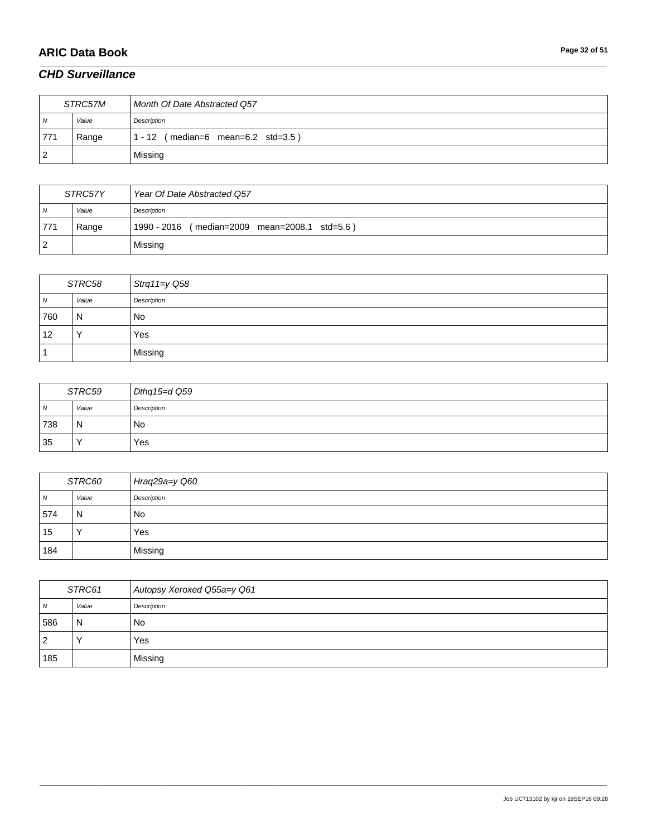# **ARIC Data Book Page 32 of 51**

### *CHD Surveillance*

| STRC57M |       | Month Of Date Abstracted Q57        |
|---------|-------|-------------------------------------|
| N       | Value | Description                         |
| 771     | Range | 1 - 12 ( median=6 mean=6.2 std=3.5) |
|         |       | Missing                             |

\_\_\_\_\_\_\_\_\_\_\_\_\_\_\_\_\_\_\_\_\_\_\_\_\_\_\_\_\_\_\_\_\_\_\_\_\_\_\_\_\_\_\_\_\_\_\_\_\_\_\_\_\_\_\_\_\_\_\_\_\_\_\_\_\_\_\_\_\_\_\_\_\_\_\_\_\_\_\_\_\_\_\_\_\_\_\_\_\_\_\_\_\_\_\_\_\_\_\_\_\_\_\_\_\_\_\_\_\_\_\_\_\_\_\_\_\_\_\_\_\_\_\_\_\_\_\_\_\_\_\_\_\_\_\_\_\_\_\_\_\_\_\_\_\_\_\_\_\_\_\_\_\_\_\_\_\_\_\_\_\_\_\_\_\_\_\_\_\_\_\_\_\_\_\_\_\_\_\_\_\_\_\_\_\_\_\_\_\_\_\_\_\_

| STRC57Y        |       | Year Of Date Abstracted Q57                   |
|----------------|-------|-----------------------------------------------|
| $\overline{N}$ | Value | Description                                   |
| 771            | Range | 1990 - 2016 (median=2009 mean=2008.1 std=5.6) |
| -2             |       | Missing                                       |

| STRC58         |              | Strq11= $y$ Q58 |
|----------------|--------------|-----------------|
| $\overline{N}$ | Value        | Description     |
| 760            | $\mathsf{N}$ | <b>No</b>       |
| 12             | $\lambda$    | Yes             |
|                |              | Missing         |

| STRC59         |       | Dthq15=d Q59 |
|----------------|-------|--------------|
| $\overline{M}$ | Value | Description  |
| 738            | 'N    | No           |
| 35             |       | Yes          |

| STRC60 |          | Hraq29a=y Q60 |
|--------|----------|---------------|
| N      | Value    | Description   |
| 574    | l N      | <b>No</b>     |
| 15     | <b>Y</b> | Yes           |
| 184    |          | Missing       |

| STRC61         |       | Autopsy Xeroxed Q55a=y Q61 |
|----------------|-------|----------------------------|
| N <sub>N</sub> | Value | Description                |
| 586            | N     | No                         |
| $\overline{2}$ |       | Yes                        |
| 185            |       | Missing                    |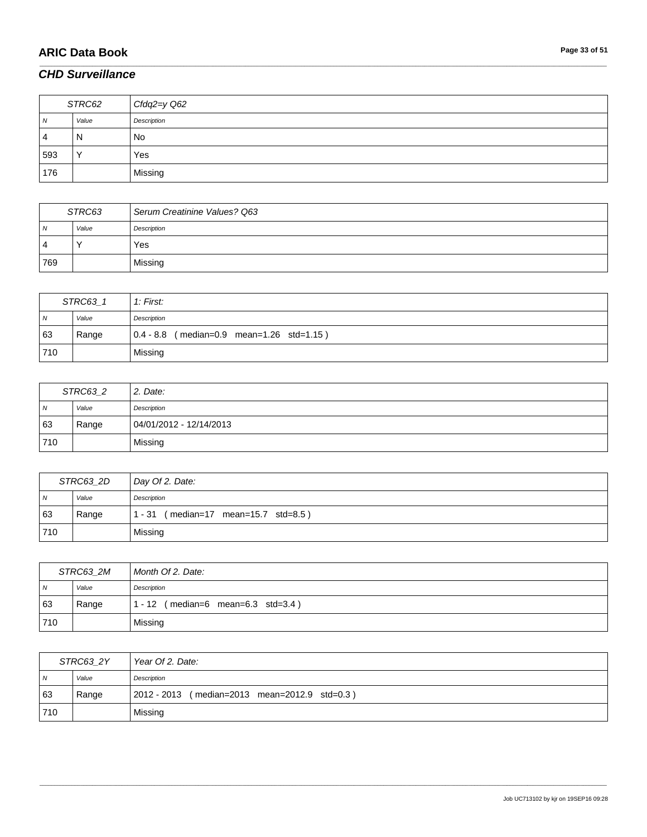# **ARIC Data Book Page 33 of 51**

### *CHD Surveillance*

| STRC62         |       | Cfdq2=y Q62 |
|----------------|-------|-------------|
| $\overline{N}$ | Value | Description |
| 4              | N     | <b>No</b>   |
| 593            |       | Yes         |
| 176            |       | Missing     |

\_\_\_\_\_\_\_\_\_\_\_\_\_\_\_\_\_\_\_\_\_\_\_\_\_\_\_\_\_\_\_\_\_\_\_\_\_\_\_\_\_\_\_\_\_\_\_\_\_\_\_\_\_\_\_\_\_\_\_\_\_\_\_\_\_\_\_\_\_\_\_\_\_\_\_\_\_\_\_\_\_\_\_\_\_\_\_\_\_\_\_\_\_\_\_\_\_\_\_\_\_\_\_\_\_\_\_\_\_\_\_\_\_\_\_\_\_\_\_\_\_\_\_\_\_\_\_\_\_\_\_\_\_\_\_\_\_\_\_\_\_\_\_\_\_\_\_\_\_\_\_\_\_\_\_\_\_\_\_\_\_\_\_\_\_\_\_\_\_\_\_\_\_\_\_\_\_\_\_\_\_\_\_\_\_\_\_\_\_\_\_\_\_

| STRC63 |       | Serum Creatinine Values? Q63 |
|--------|-------|------------------------------|
| N      | Value | Description                  |
| 4      |       | Yes                          |
| 769    |       | Missing                      |

| STRC63_1 |       | 1: First:                                   |
|----------|-------|---------------------------------------------|
| N        | Value | Description                                 |
| 63       | Range | $0.4 - 8.8$ (median=0.9 mean=1.26 std=1.15) |
| 710      |       | Missing                                     |

| STRC63_2   |       | 2. Date:                |
|------------|-------|-------------------------|
| $\sqrt{N}$ | Value | Description             |
| 63         | Range | 04/01/2012 - 12/14/2013 |
| 710        |       | Missing                 |

| STRC63_2D      |       | Day Of 2. Date:                               |
|----------------|-------|-----------------------------------------------|
| $\overline{N}$ | Value | Description                                   |
| 63             | Range | $(median=17 \ mean=15.7 \ std=8.5)$<br>1 - 31 |
| 710            |       | Missing                                       |

| STRC63 2M      |       | Month Of 2. Date:                                       |
|----------------|-------|---------------------------------------------------------|
| N <sub>N</sub> | Value | Description                                             |
| 63             | Range | $(median=6 \text{ mean}=6.3 \text{ std}=3.4)$<br>1 - 12 |
| 710            |       | Missing                                                 |

| STRC63 2Y      |       | Year Of 2. Date:                                 |
|----------------|-------|--------------------------------------------------|
| N <sub>N</sub> | Value | Description                                      |
| 63             | Range | 2012 - 2013<br>(median=2013 mean=2012.9 std=0.3) |
| 710            |       | Missing                                          |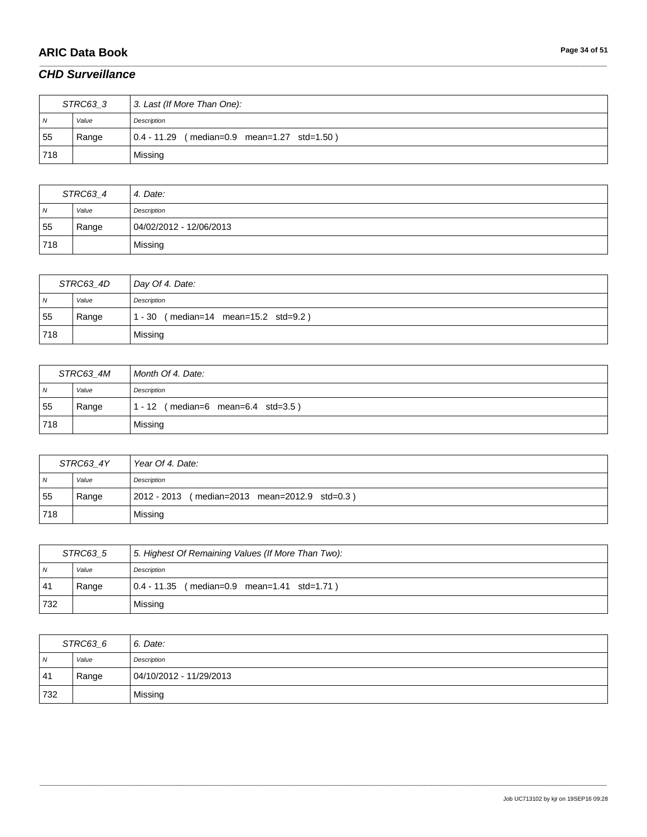# **ARIC Data Book Page 34 of 51**

### *CHD Surveillance*

| STRC63 3       |       | 3. Last (If More Than One):                 |
|----------------|-------|---------------------------------------------|
| $\overline{N}$ | Value | Description                                 |
| 55             | Range | 0.4 - 11.29 (median=0.9 mean=1.27 std=1.50) |
| 718            |       | Missing                                     |

\_\_\_\_\_\_\_\_\_\_\_\_\_\_\_\_\_\_\_\_\_\_\_\_\_\_\_\_\_\_\_\_\_\_\_\_\_\_\_\_\_\_\_\_\_\_\_\_\_\_\_\_\_\_\_\_\_\_\_\_\_\_\_\_\_\_\_\_\_\_\_\_\_\_\_\_\_\_\_\_\_\_\_\_\_\_\_\_\_\_\_\_\_\_\_\_\_\_\_\_\_\_\_\_\_\_\_\_\_\_\_\_\_\_\_\_\_\_\_\_\_\_\_\_\_\_\_\_\_\_\_\_\_\_\_\_\_\_\_\_\_\_\_\_\_\_\_\_\_\_\_\_\_\_\_\_\_\_\_\_\_\_\_\_\_\_\_\_\_\_\_\_\_\_\_\_\_\_\_\_\_\_\_\_\_\_\_\_\_\_\_\_\_

| STRC63_4 |       | 4. Date:                |
|----------|-------|-------------------------|
| N        | Value | Description             |
| 55       | Range | 04/02/2012 - 12/06/2013 |
| 718      |       | Missing                 |

| STRC63_4D      |       | Day Of 4. Date:                               |
|----------------|-------|-----------------------------------------------|
| N <sub>N</sub> | Value | Description                                   |
| 55             | Range | $(median=14 \, mean=15.2 \, std=9.2)$<br>- 30 |
| 718            |       | Missing                                       |

| STRC63 4M      |       | Month Of 4. Date:                  |
|----------------|-------|------------------------------------|
| N <sub>N</sub> | Value | Description                        |
| 55             | Range | 1 - 12 (median=6 mean=6.4 std=3.5) |
| 718            |       | Missing                            |

| STRC63 4Y      |       | Year Of 4. Date:                              |
|----------------|-------|-----------------------------------------------|
| N <sub>N</sub> | Value | Description                                   |
| 55             | Range | 2012 - 2013 (median=2013 mean=2012.9 std=0.3) |
| 718            |       | Missing                                       |

| STRC63 5       |       | 5. Highest Of Remaining Values (If More Than Two): |
|----------------|-------|----------------------------------------------------|
| $\overline{N}$ | Value | Description                                        |
| 41             | Range | 0.4 - 11.35 (median=0.9 mean=1.41 std=1.71)        |
| 732            |       | Missing                                            |

| STRC63_6       |       | 6. Date:                |
|----------------|-------|-------------------------|
| $\overline{N}$ | Value | Description             |
| 41             | Range | 04/10/2012 - 11/29/2013 |
| 732            |       | Missing                 |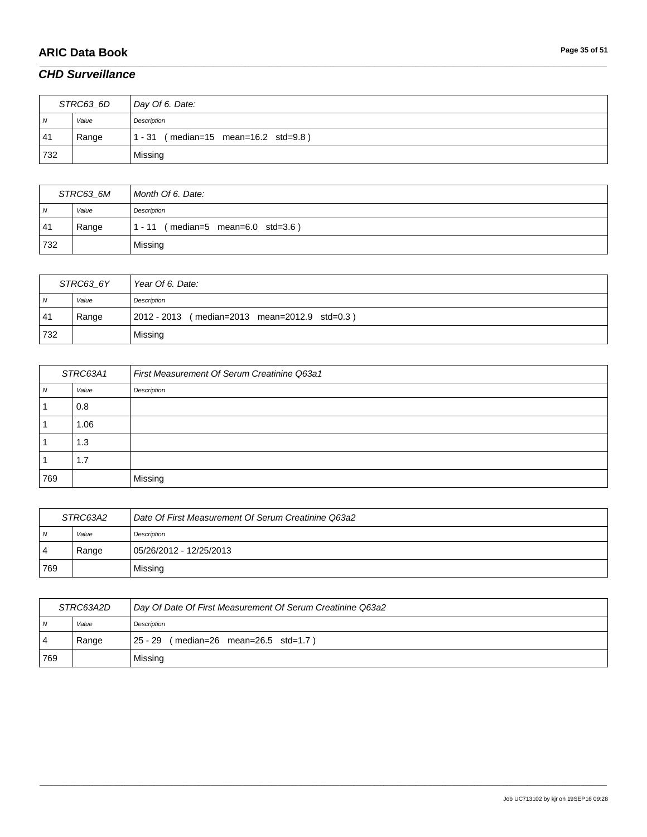# **ARIC Data Book Page 35 of 51**

### *CHD Surveillance*

| STRC63_6D      |       | Day Of 6. Date:                             |
|----------------|-------|---------------------------------------------|
| $\overline{N}$ | Value | Description                                 |
| 41             | Range | $(median=15$ mean=16.2 std=9.8)<br>$1 - 31$ |
| 732            |       | Missing                                     |

\_\_\_\_\_\_\_\_\_\_\_\_\_\_\_\_\_\_\_\_\_\_\_\_\_\_\_\_\_\_\_\_\_\_\_\_\_\_\_\_\_\_\_\_\_\_\_\_\_\_\_\_\_\_\_\_\_\_\_\_\_\_\_\_\_\_\_\_\_\_\_\_\_\_\_\_\_\_\_\_\_\_\_\_\_\_\_\_\_\_\_\_\_\_\_\_\_\_\_\_\_\_\_\_\_\_\_\_\_\_\_\_\_\_\_\_\_\_\_\_\_\_\_\_\_\_\_\_\_\_\_\_\_\_\_\_\_\_\_\_\_\_\_\_\_\_\_\_\_\_\_\_\_\_\_\_\_\_\_\_\_\_\_\_\_\_\_\_\_\_\_\_\_\_\_\_\_\_\_\_\_\_\_\_\_\_\_\_\_\_\_\_\_

| STRC63 6M |       | Month Of 6. Date:                       |
|-----------|-------|-----------------------------------------|
| N         | Value | Description                             |
| 41        | Range | (median=5 mean=6.0 std=3.6)<br>$1 - 11$ |
| 732       |       | Missing                                 |

| STRC63 6Y      |       | Year Of 6. Date:                              |
|----------------|-------|-----------------------------------------------|
| N <sub>N</sub> | Value | Description                                   |
| 41             | Range | 2012 - 2013 (median=2013 mean=2012.9 std=0.3) |
| 732            |       | Missing                                       |

| STRC63A1 |       | First Measurement Of Serum Creatinine Q63a1 |
|----------|-------|---------------------------------------------|
| N        | Value | Description                                 |
|          | 0.8   |                                             |
|          | 1.06  |                                             |
|          | 1.3   |                                             |
|          | 1.7   |                                             |
| 769      |       | Missing                                     |

| STRC63A2       |       | Date Of First Measurement Of Serum Creatinine Q63a2 |
|----------------|-------|-----------------------------------------------------|
| $\overline{N}$ | Value | Description                                         |
| $\overline{4}$ | Range | 05/26/2012 - 12/25/2013                             |
| 769            |       | Missing                                             |

| STRC63A2D  |       | Day Of Date Of First Measurement Of Serum Creatinine Q63a2 |
|------------|-------|------------------------------------------------------------|
| $\sqrt{N}$ | Value | Description                                                |
| 4          | Range | 25 - 29 (median=26 mean=26.5 std=1.7)                      |
| 769        |       | Missing                                                    |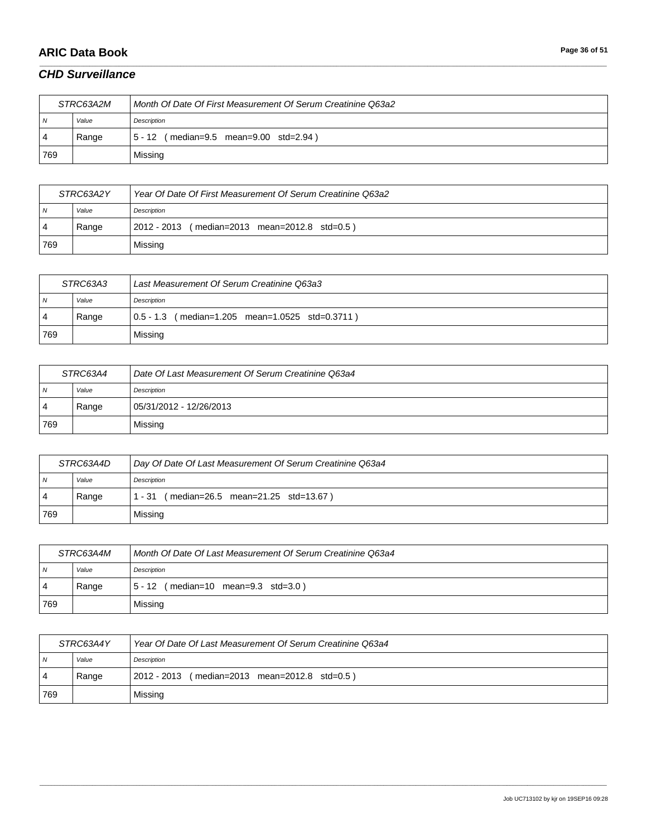# **ARIC Data Book Page 36 of 51**

### *CHD Surveillance*

| STRC63A2M |       | Month Of Date Of First Measurement Of Serum Creatinine Q63a2 |
|-----------|-------|--------------------------------------------------------------|
| N         | Value | Description                                                  |
| -4        | Range | (median=9.5 mean=9.00 std=2.94)<br>$5 - 12$                  |
| 769       |       | Missing                                                      |

\_\_\_\_\_\_\_\_\_\_\_\_\_\_\_\_\_\_\_\_\_\_\_\_\_\_\_\_\_\_\_\_\_\_\_\_\_\_\_\_\_\_\_\_\_\_\_\_\_\_\_\_\_\_\_\_\_\_\_\_\_\_\_\_\_\_\_\_\_\_\_\_\_\_\_\_\_\_\_\_\_\_\_\_\_\_\_\_\_\_\_\_\_\_\_\_\_\_\_\_\_\_\_\_\_\_\_\_\_\_\_\_\_\_\_\_\_\_\_\_\_\_\_\_\_\_\_\_\_\_\_\_\_\_\_\_\_\_\_\_\_\_\_\_\_\_\_\_\_\_\_\_\_\_\_\_\_\_\_\_\_\_\_\_\_\_\_\_\_\_\_\_\_\_\_\_\_\_\_\_\_\_\_\_\_\_\_\_\_\_\_\_\_

| STRC63A2Y |       | Year Of Date Of First Measurement Of Serum Creatinine Q63a2 |
|-----------|-------|-------------------------------------------------------------|
| N         | Value | Description                                                 |
|           | Range | (median=2013 mean=2012.8 std=0.5)<br>  2012 - 2013          |
| 769       |       | Missing                                                     |

| STRC63A3       |       | Last Measurement Of Serum Creatinine Q63a3      |
|----------------|-------|-------------------------------------------------|
| $\overline{N}$ | Value | Description                                     |
| 4              | Range | 0.5 - 1.3 (median=1.205 mean=1.0525 std=0.3711) |
| 769            |       | Missing                                         |

| STRC63A4 |       | Date Of Last Measurement Of Serum Creatinine Q63a4 |
|----------|-------|----------------------------------------------------|
| N        | Value | Description                                        |
| 4        | Range | 05/31/2012 - 12/26/2013                            |
| 769      |       | Missing                                            |

| STRC63A4D |       | Day Of Date Of Last Measurement Of Serum Creatinine Q63a4 |
|-----------|-------|-----------------------------------------------------------|
| N         | Value | Description                                               |
| -4        | Range | (median=26.5 mean=21.25 std=13.67)<br>$1 - 31$            |
| 769       |       | Missing                                                   |

| STRC63A4M |       | Month Of Date Of Last Measurement Of Serum Creatinine Q63a4 |
|-----------|-------|-------------------------------------------------------------|
| N         | Value | Description                                                 |
| 4         | Range | $(median=10$ mean=9.3 std=3.0)<br>5 - 12                    |
| 769       |       | Missing                                                     |

| STRC63A4Y |       | Year Of Date Of Last Measurement Of Serum Creatinine Q63a4 |
|-----------|-------|------------------------------------------------------------|
| N         | Value | Description                                                |
| <b>4</b>  | Range | $ 2012 - 2013$ (median=2013 mean=2012.8 std=0.5)           |
| 769       |       | Missing                                                    |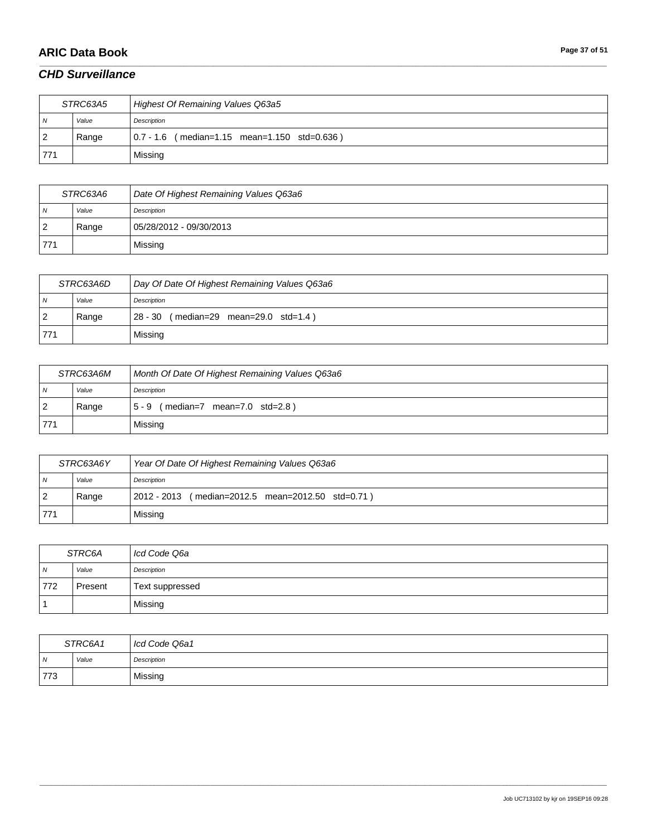# **ARIC Data Book Page 37 of 51**

### *CHD Surveillance*

| STRC63A5       |       | Highest Of Remaining Values Q63a5            |
|----------------|-------|----------------------------------------------|
| $\overline{N}$ | Value | Description                                  |
| <u>2</u>       | Range | 0.7 - 1.6 (median=1.15 mean=1.150 std=0.636) |
| 771            |       | Missing                                      |

\_\_\_\_\_\_\_\_\_\_\_\_\_\_\_\_\_\_\_\_\_\_\_\_\_\_\_\_\_\_\_\_\_\_\_\_\_\_\_\_\_\_\_\_\_\_\_\_\_\_\_\_\_\_\_\_\_\_\_\_\_\_\_\_\_\_\_\_\_\_\_\_\_\_\_\_\_\_\_\_\_\_\_\_\_\_\_\_\_\_\_\_\_\_\_\_\_\_\_\_\_\_\_\_\_\_\_\_\_\_\_\_\_\_\_\_\_\_\_\_\_\_\_\_\_\_\_\_\_\_\_\_\_\_\_\_\_\_\_\_\_\_\_\_\_\_\_\_\_\_\_\_\_\_\_\_\_\_\_\_\_\_\_\_\_\_\_\_\_\_\_\_\_\_\_\_\_\_\_\_\_\_\_\_\_\_\_\_\_\_\_\_\_

| STRC63A6 |       | Date Of Highest Remaining Values Q63a6 |
|----------|-------|----------------------------------------|
| N        | Value | Description                            |
| -2       | Range | 05/28/2012 - 09/30/2013                |
| 771      |       | Missing                                |

| STRC63A6D      |       | Day Of Date Of Highest Remaining Values Q63a6 |
|----------------|-------|-----------------------------------------------|
| N              | Value | Description                                   |
| $\overline{2}$ | Range | 28 - 30 (median=29 mean=29.0 std=1.4)         |
| 771            |       | Missing                                       |

| STRC63A6M      |       | Month Of Date Of Highest Remaining Values Q63a6 |
|----------------|-------|-------------------------------------------------|
| $\overline{N}$ | Value | Description                                     |
| -2             | Range | (median=7 mean=7.0 std=2.8)<br>$5 - 9$          |
| 771            |       | Missing                                         |

| STRC63A6Y      |       | Year Of Date Of Highest Remaining Values Q63a6    |
|----------------|-------|---------------------------------------------------|
| N <sub>N</sub> | Value | Description                                       |
| $\overline{2}$ | Range | 2012 - 2013 (median=2012.5 mean=2012.50 std=0.71) |
| 771            |       | Missing                                           |

| STRC6A         |         | Icd Code Q6a    |
|----------------|---------|-----------------|
| $\overline{N}$ | Value   | Description     |
| 772            | Present | Text suppressed |
|                |         | Missing         |

| STRC6A1 |       | Icd Code Q6a1 |
|---------|-------|---------------|
| ı N     | Value | Description   |
| 773     |       | Missing       |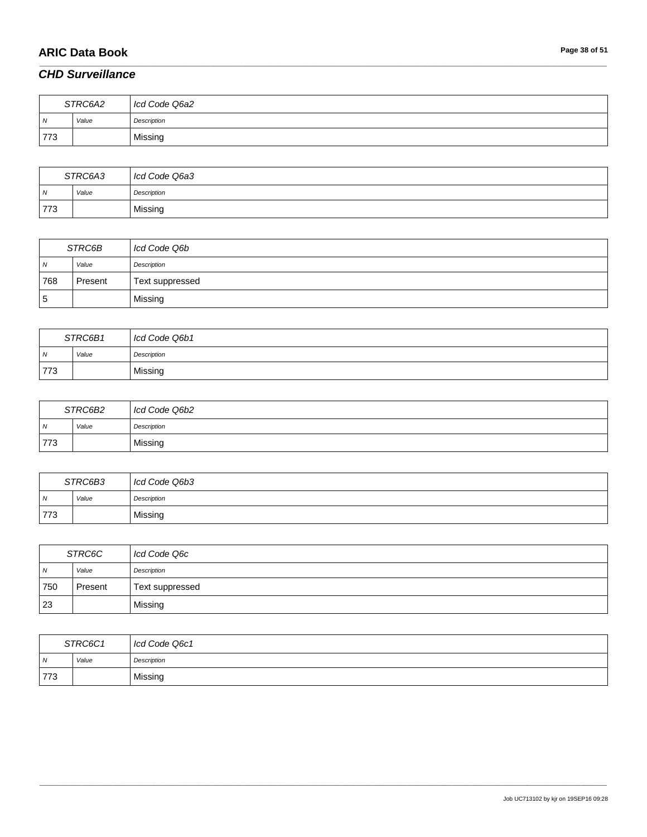# **ARIC Data Book Page 38 of 51**

### *CHD Surveillance*

| STRC6A2 |       | Icd Code Q6a2 |
|---------|-------|---------------|
| N       | Value | Description   |
| 773     |       | Missing       |

\_\_\_\_\_\_\_\_\_\_\_\_\_\_\_\_\_\_\_\_\_\_\_\_\_\_\_\_\_\_\_\_\_\_\_\_\_\_\_\_\_\_\_\_\_\_\_\_\_\_\_\_\_\_\_\_\_\_\_\_\_\_\_\_\_\_\_\_\_\_\_\_\_\_\_\_\_\_\_\_\_\_\_\_\_\_\_\_\_\_\_\_\_\_\_\_\_\_\_\_\_\_\_\_\_\_\_\_\_\_\_\_\_\_\_\_\_\_\_\_\_\_\_\_\_\_\_\_\_\_\_\_\_\_\_\_\_\_\_\_\_\_\_\_\_\_\_\_\_\_\_\_\_\_\_\_\_\_\_\_\_\_\_\_\_\_\_\_\_\_\_\_\_\_\_\_\_\_\_\_\_\_\_\_\_\_\_\_\_\_\_\_\_

| STRC6A3        |       | Icd Code Q6a3 |
|----------------|-------|---------------|
| $\overline{M}$ | Value | Description   |
| 773            |       | Missing       |

| STRC6B |         | Icd Code Q6b    |
|--------|---------|-----------------|
| N      | Value   | Description     |
| 768    | Present | Text suppressed |
| ۱5     |         | Missing         |

| STRC6B1 |       | Icd Code Q6b1 |
|---------|-------|---------------|
| ı N     | Value | Description   |
| 773     |       | Missing       |

| STRC6B2        |       | I cd Code Q6b2 |
|----------------|-------|----------------|
| $\overline{M}$ | Value | Description    |
| 773            |       | Missing        |

| STRC6B3    |       | Icd Code Q6b3 |
|------------|-------|---------------|
| $\sqrt{N}$ | Value | Description   |
| 773        |       | Missing       |

| STRC6C         |         | Icd Code Q6c    |
|----------------|---------|-----------------|
| $\overline{N}$ | Value   | Description     |
| 750            | Present | Text suppressed |
| 23             |         | Missing         |

| STRC6C1        |       | Icd Code Q6c1 |
|----------------|-------|---------------|
| $\overline{N}$ | Value | Description   |
| 773            |       | Missing       |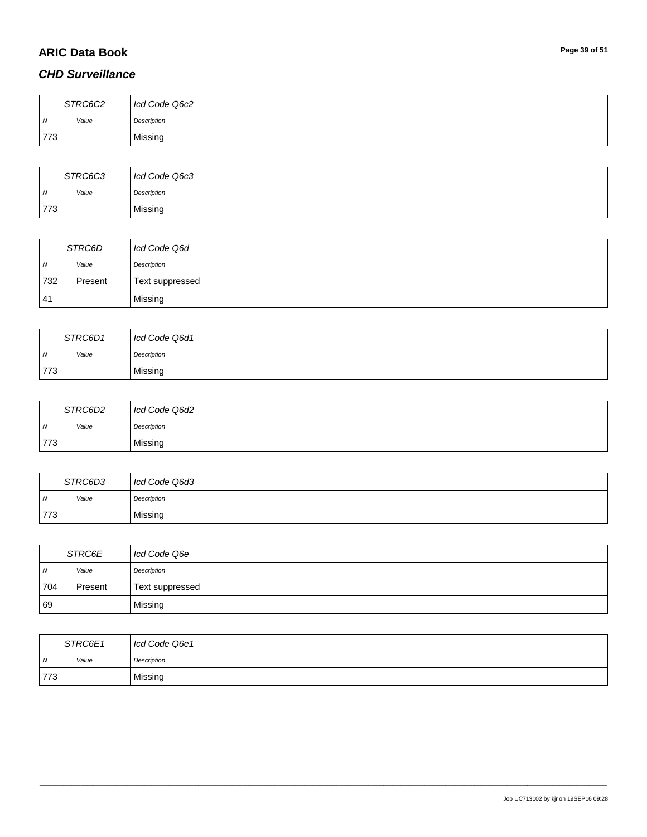# **ARIC Data Book Page 39 of 51**

### *CHD Surveillance*

| STRC6C2 |       | Icd Code Q6c2 |
|---------|-------|---------------|
| N       | Value | Description   |
| 773     |       | Missing       |

\_\_\_\_\_\_\_\_\_\_\_\_\_\_\_\_\_\_\_\_\_\_\_\_\_\_\_\_\_\_\_\_\_\_\_\_\_\_\_\_\_\_\_\_\_\_\_\_\_\_\_\_\_\_\_\_\_\_\_\_\_\_\_\_\_\_\_\_\_\_\_\_\_\_\_\_\_\_\_\_\_\_\_\_\_\_\_\_\_\_\_\_\_\_\_\_\_\_\_\_\_\_\_\_\_\_\_\_\_\_\_\_\_\_\_\_\_\_\_\_\_\_\_\_\_\_\_\_\_\_\_\_\_\_\_\_\_\_\_\_\_\_\_\_\_\_\_\_\_\_\_\_\_\_\_\_\_\_\_\_\_\_\_\_\_\_\_\_\_\_\_\_\_\_\_\_\_\_\_\_\_\_\_\_\_\_\_\_\_\_\_\_\_

| STRC6C3        |       | Icd Code Q6c3 |
|----------------|-------|---------------|
| $\overline{M}$ | Value | Description   |
| 773            |       | Missing       |

| STRC6D     |         | Icd Code Q6d    |
|------------|---------|-----------------|
| $\sqrt{N}$ | Value   | Description     |
| 732        | Present | Text suppressed |
| 41         |         | Missing         |

| STRC6D1        |       | Icd Code Q6d1 |
|----------------|-------|---------------|
| $\overline{N}$ | Value | Description   |
| 773            |       | Missing       |

| STRC6D2 |       | Icd Code Q6d2 |
|---------|-------|---------------|
| ı N     | Value | Description   |
| 773     |       | Missing       |

| STRC6D3        |       | Icd Code Q6d3 |
|----------------|-------|---------------|
| $\overline{N}$ | Value | Description   |
| 773            |       | Missing       |

| STRC6E         |         | Icd Code Q6e    |
|----------------|---------|-----------------|
| $\overline{N}$ | Value   | Description     |
| 704            | Present | Text suppressed |
| 69             |         | Missing         |

| STRC6E1        |       | Icd Code Q6e1 |
|----------------|-------|---------------|
| $\overline{N}$ | Value | Description   |
| 773            |       | Missing       |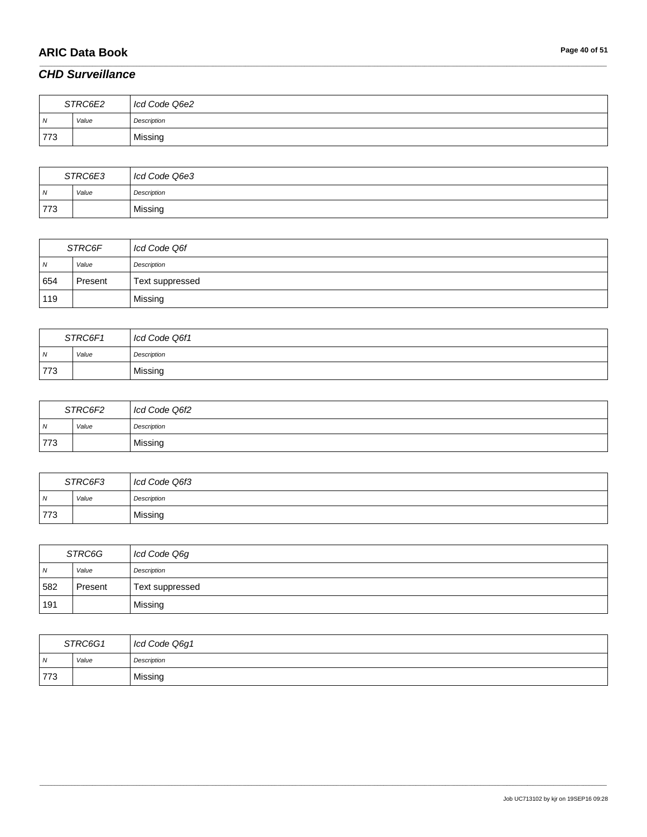# **ARIC Data Book Page 40 of 51**

### *CHD Surveillance*

| STRC6E2 |       | Icd Code Q6e2 |
|---------|-------|---------------|
| N       | Value | Description   |
| 773     |       | Missing       |

\_\_\_\_\_\_\_\_\_\_\_\_\_\_\_\_\_\_\_\_\_\_\_\_\_\_\_\_\_\_\_\_\_\_\_\_\_\_\_\_\_\_\_\_\_\_\_\_\_\_\_\_\_\_\_\_\_\_\_\_\_\_\_\_\_\_\_\_\_\_\_\_\_\_\_\_\_\_\_\_\_\_\_\_\_\_\_\_\_\_\_\_\_\_\_\_\_\_\_\_\_\_\_\_\_\_\_\_\_\_\_\_\_\_\_\_\_\_\_\_\_\_\_\_\_\_\_\_\_\_\_\_\_\_\_\_\_\_\_\_\_\_\_\_\_\_\_\_\_\_\_\_\_\_\_\_\_\_\_\_\_\_\_\_\_\_\_\_\_\_\_\_\_\_\_\_\_\_\_\_\_\_\_\_\_\_\_\_\_\_\_\_\_

| STRC6E3        |       | Icd Code Q6e3 |
|----------------|-------|---------------|
| $\overline{M}$ | Value | Description   |
| 773            |       | Missing       |

| STRC6F |         | Icd Code Q6f    |
|--------|---------|-----------------|
| N      | Value   | Description     |
| 654    | Present | Text suppressed |
| 119    |         | Missing         |

| STRC6F1        |       | Icd Code Q6f1 |
|----------------|-------|---------------|
| $\overline{N}$ | Value | Description   |
| 773            |       | Missing       |

| STRC6F2        |       | Icd Code Q6f2 |
|----------------|-------|---------------|
| $\overline{N}$ | Value | Description   |
| 773            |       | Missing       |

| STRC6F3 |       | Icd Code Q6f3 |
|---------|-------|---------------|
| N       | Value | Description   |
| 773     |       | Missing       |

| STRC6G         |         | Icd Code Q6g    |
|----------------|---------|-----------------|
| $\overline{N}$ | Value   | Description     |
| 582            | Present | Text suppressed |
| 191            |         | Missing         |

| STRC6G1        |       | Icd Code Q6g1 |
|----------------|-------|---------------|
| $\overline{N}$ | Value | Description   |
| 773            |       | Missing       |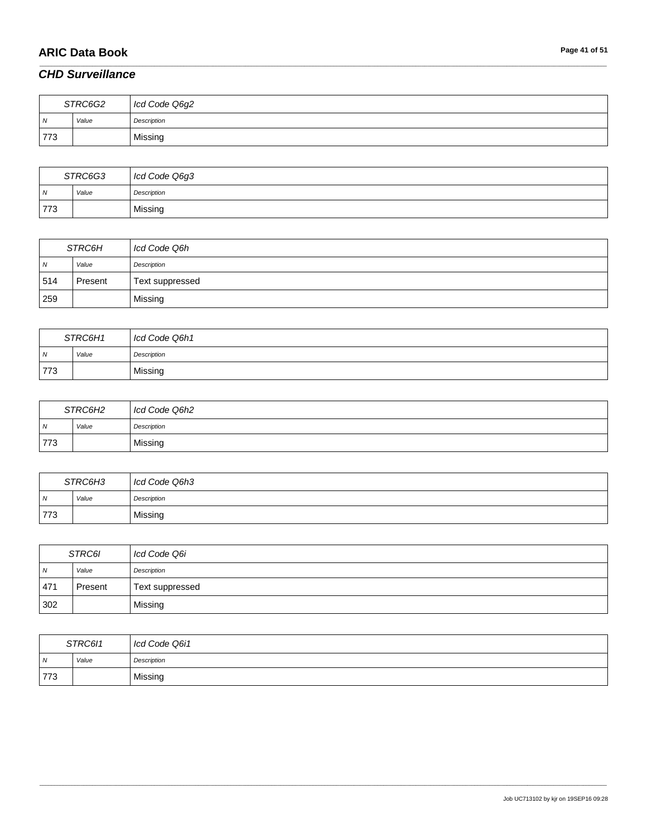# **ARIC Data Book Page 41 of 51**

# *CHD Surveillance*

| STRC6G2 |       | Icd Code Q6g2 |
|---------|-------|---------------|
| ı N     | Value | Description   |
| 773     |       | Missing       |

\_\_\_\_\_\_\_\_\_\_\_\_\_\_\_\_\_\_\_\_\_\_\_\_\_\_\_\_\_\_\_\_\_\_\_\_\_\_\_\_\_\_\_\_\_\_\_\_\_\_\_\_\_\_\_\_\_\_\_\_\_\_\_\_\_\_\_\_\_\_\_\_\_\_\_\_\_\_\_\_\_\_\_\_\_\_\_\_\_\_\_\_\_\_\_\_\_\_\_\_\_\_\_\_\_\_\_\_\_\_\_\_\_\_\_\_\_\_\_\_\_\_\_\_\_\_\_\_\_\_\_\_\_\_\_\_\_\_\_\_\_\_\_\_\_\_\_\_\_\_\_\_\_\_\_\_\_\_\_\_\_\_\_\_\_\_\_\_\_\_\_\_\_\_\_\_\_\_\_\_\_\_\_\_\_\_\_\_\_\_\_\_\_

| STRC6G3        |       | Icd Code Q6g3 |
|----------------|-------|---------------|
| $\overline{N}$ | Value | Description   |
| 773            |       | Missing       |

| STRC6H     |         | Icd Code Q6h    |
|------------|---------|-----------------|
| $\sqrt{N}$ | Value   | Description     |
| 514        | Present | Text suppressed |
| 259        |         | Missing         |

| STRC6H1        |       | Icd Code Q6h1 |
|----------------|-------|---------------|
| $\overline{N}$ | Value | Description   |
| 773            |       | Missing       |

| STRC6H2        |       | I Icd Code Q6h2 |
|----------------|-------|-----------------|
| $\overline{M}$ | Value | Description     |
| 773            |       | Missing         |

| STRC6H3        |       | Icd Code Q6h3 |
|----------------|-------|---------------|
| $\overline{N}$ | Value | Description   |
| 773            |       | Missing       |

| <i>STRC6I</i> |         | Icd Code Q6i    |
|---------------|---------|-----------------|
| IN.           | Value   | Description     |
| 471           | Present | Text suppressed |
| 302           |         | Missing         |

| STRC611        |       | Icd Code Q6i1 |
|----------------|-------|---------------|
| $\overline{M}$ | Value | Description   |
| 773            |       | Missing       |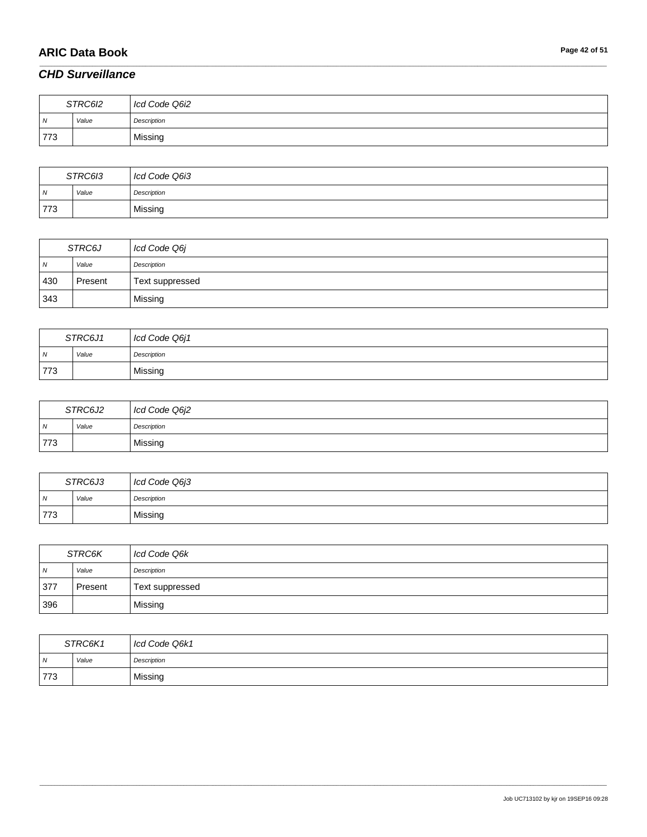# **ARIC Data Book Page 42 of 51**

### *CHD Surveillance*

| STRC6I2 |       | Icd Code Q6i2 |
|---------|-------|---------------|
| ı N     | Value | Description   |
| 773     |       | Missing       |

\_\_\_\_\_\_\_\_\_\_\_\_\_\_\_\_\_\_\_\_\_\_\_\_\_\_\_\_\_\_\_\_\_\_\_\_\_\_\_\_\_\_\_\_\_\_\_\_\_\_\_\_\_\_\_\_\_\_\_\_\_\_\_\_\_\_\_\_\_\_\_\_\_\_\_\_\_\_\_\_\_\_\_\_\_\_\_\_\_\_\_\_\_\_\_\_\_\_\_\_\_\_\_\_\_\_\_\_\_\_\_\_\_\_\_\_\_\_\_\_\_\_\_\_\_\_\_\_\_\_\_\_\_\_\_\_\_\_\_\_\_\_\_\_\_\_\_\_\_\_\_\_\_\_\_\_\_\_\_\_\_\_\_\_\_\_\_\_\_\_\_\_\_\_\_\_\_\_\_\_\_\_\_\_\_\_\_\_\_\_\_\_\_

| STRC6I3        |       | Icd Code Q6i3 |
|----------------|-------|---------------|
| $\overline{M}$ | Value | Description   |
| 773            |       | Missing       |

| STRC6J     |         | Icd Code Q6j    |
|------------|---------|-----------------|
| $\sqrt{N}$ | Value   | Description     |
| 430        | Present | Text suppressed |
| 343        |         | Missing         |

| STRC6J1        |       | Icd Code Q6j1 |
|----------------|-------|---------------|
| $\overline{N}$ | Value | Description   |
| 773            |       | Missing       |

| STRC6J2        |       | Icd Code Q6j2 |
|----------------|-------|---------------|
| $\overline{N}$ | Value | Description   |
| 773            |       | Missing       |

| STRC6J3 |       | Icd Code Q6j3 |
|---------|-------|---------------|
| N       | Value | Description   |
| 773     |       | Missing       |

| STRC6K         |         | Icd Code Q6k    |
|----------------|---------|-----------------|
| $\overline{N}$ | Value   | Description     |
| 1377           | Present | Text suppressed |
| 396            |         | Missing         |

| STRC6K1 |       | Icd Code Q6k1 |
|---------|-------|---------------|
| ı N     | Value | Description   |
| 773     |       | Missing       |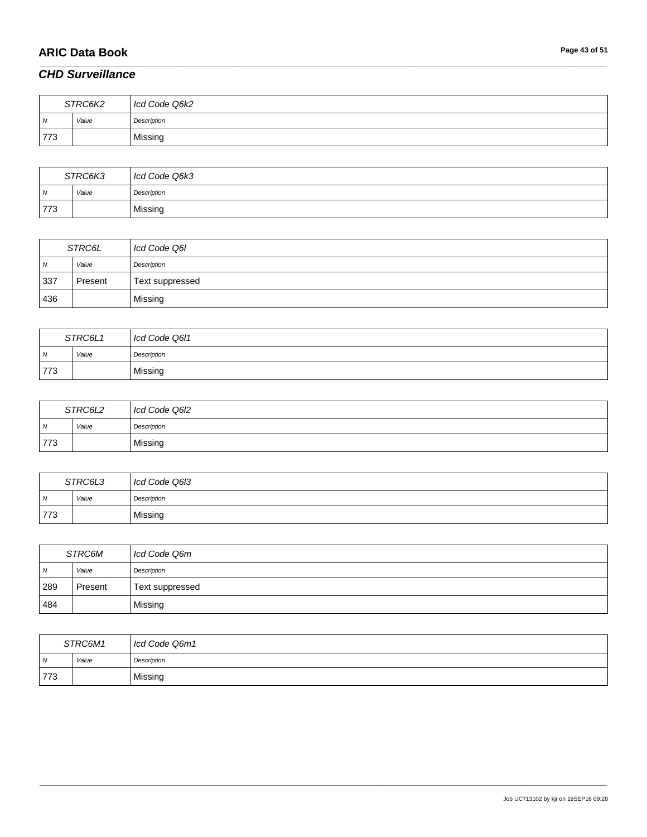# **ARIC Data Book Page 43 of 51**

### *CHD Surveillance*

| STRC6K2 |       | Icd Code Q6k2 |
|---------|-------|---------------|
| N       | Value | Description   |
| 773     |       | Missing       |

\_\_\_\_\_\_\_\_\_\_\_\_\_\_\_\_\_\_\_\_\_\_\_\_\_\_\_\_\_\_\_\_\_\_\_\_\_\_\_\_\_\_\_\_\_\_\_\_\_\_\_\_\_\_\_\_\_\_\_\_\_\_\_\_\_\_\_\_\_\_\_\_\_\_\_\_\_\_\_\_\_\_\_\_\_\_\_\_\_\_\_\_\_\_\_\_\_\_\_\_\_\_\_\_\_\_\_\_\_\_\_\_\_\_\_\_\_\_\_\_\_\_\_\_\_\_\_\_\_\_\_\_\_\_\_\_\_\_\_\_\_\_\_\_\_\_\_\_\_\_\_\_\_\_\_\_\_\_\_\_\_\_\_\_\_\_\_\_\_\_\_\_\_\_\_\_\_\_\_\_\_\_\_\_\_\_\_\_\_\_\_\_\_

| STRC6K3        |       | Icd Code Q6k3 |
|----------------|-------|---------------|
| $\overline{M}$ | Value | Description   |
| 773            |       | Missing       |

| <b>STRC6L</b> |         | Icd Code Q6I    |
|---------------|---------|-----------------|
| $\sqrt{N}$    | Value   | Description     |
| 337           | Present | Text suppressed |
| 436           |         | Missing         |

|                | STRC6L1 | Icd Code Q6I1 |
|----------------|---------|---------------|
| $\overline{N}$ | Value   | Description   |
| 773            |         | Missing       |

| STRC6L2        |       | Icd Code Q6I2 |
|----------------|-------|---------------|
| $\overline{N}$ | Value | Description   |
| 773            |       | Missing       |

| STRC6L3        |       | Icd Code Q6I3 |
|----------------|-------|---------------|
| $\overline{N}$ | Value | Description   |
| 773            |       | Missing       |

| STRC6M         |         | Icd Code Q6m    |
|----------------|---------|-----------------|
| $\overline{N}$ | Value   | Description     |
| 289            | Present | Text suppressed |
| 484            |         | Missing         |

| STRC6M1 |       | Icd Code Q6m1 |
|---------|-------|---------------|
| ı N     | Value | Description   |
| 773     |       | Missing       |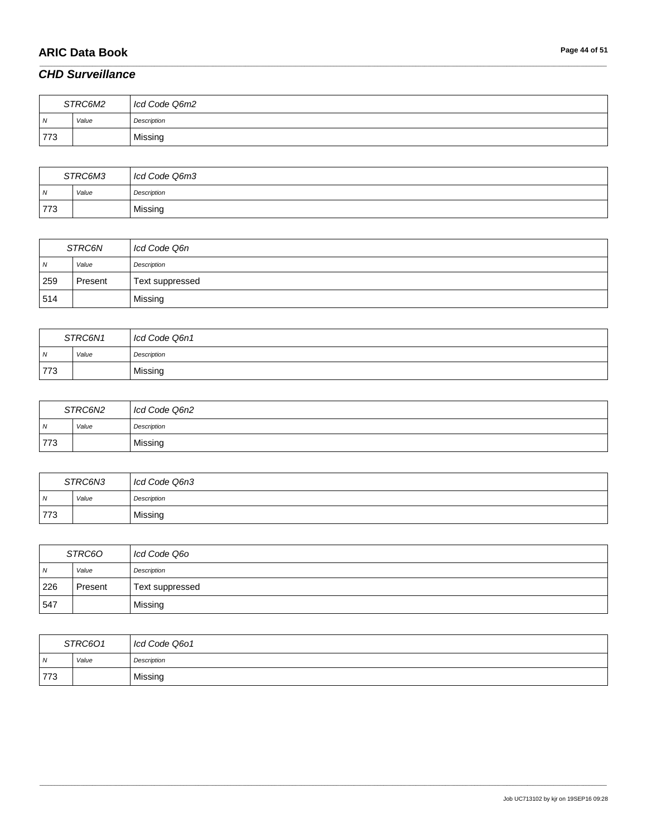# **ARIC Data Book Page 44 of 51**

# *CHD Surveillance*

|     | STRC6M2 | Icd Code Q6m2 |
|-----|---------|---------------|
| ıN. | Value   | Description   |
| 773 |         | Missing       |

\_\_\_\_\_\_\_\_\_\_\_\_\_\_\_\_\_\_\_\_\_\_\_\_\_\_\_\_\_\_\_\_\_\_\_\_\_\_\_\_\_\_\_\_\_\_\_\_\_\_\_\_\_\_\_\_\_\_\_\_\_\_\_\_\_\_\_\_\_\_\_\_\_\_\_\_\_\_\_\_\_\_\_\_\_\_\_\_\_\_\_\_\_\_\_\_\_\_\_\_\_\_\_\_\_\_\_\_\_\_\_\_\_\_\_\_\_\_\_\_\_\_\_\_\_\_\_\_\_\_\_\_\_\_\_\_\_\_\_\_\_\_\_\_\_\_\_\_\_\_\_\_\_\_\_\_\_\_\_\_\_\_\_\_\_\_\_\_\_\_\_\_\_\_\_\_\_\_\_\_\_\_\_\_\_\_\_\_\_\_\_\_\_

| STRC6M3        |       | Icd Code Q6m3 |
|----------------|-------|---------------|
| $\overline{N}$ | Value | Description   |
| 773            |       | Missing       |

| STRC6N |         | Icd Code Q6n    |
|--------|---------|-----------------|
| N      | Value   | Description     |
| 259    | Present | Text suppressed |
| 514    |         | Missing         |

|                | STRC6N1 | Icd Code Q6n1 |
|----------------|---------|---------------|
| $\overline{N}$ | Value   | Description   |
| 773            |         | Missing       |

| STRC6N2 |       | Icd Code Q6n2 |
|---------|-------|---------------|
| I N     | Value | Description   |
| 773     |       | Missing       |

| STRC6N3        |       | Icd Code Q6n3 |
|----------------|-------|---------------|
| $\overline{N}$ | Value | Description   |
| 773            |       | Missing       |

| STRC60         |         | Icd Code Q6o    |
|----------------|---------|-----------------|
| $\overline{N}$ | Value   | Description     |
| 226            | Present | Text suppressed |
| 547            |         | Missing         |

| STRC601        |       | Icd Code Q601 |
|----------------|-------|---------------|
| $\overline{N}$ | Value | Description   |
| 773            |       | Missing       |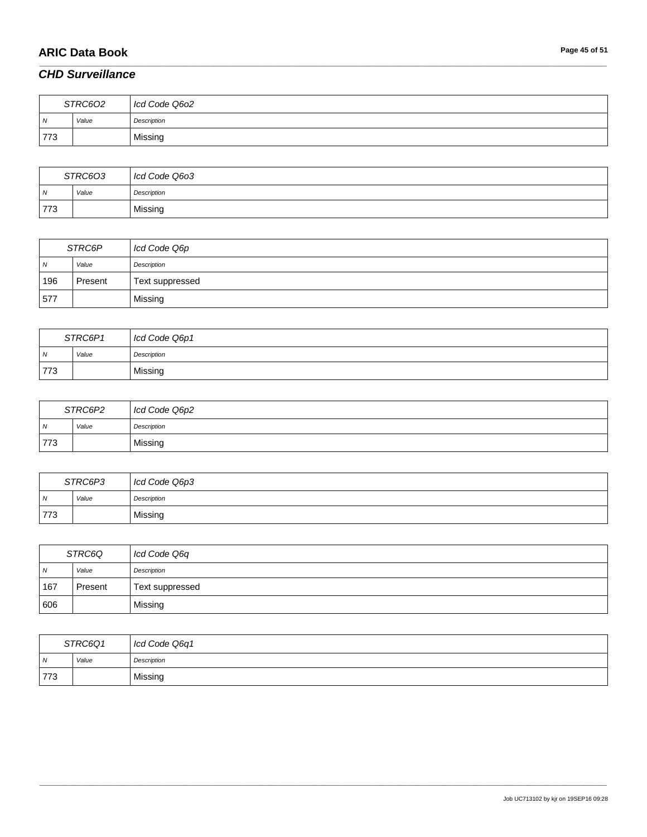# **ARIC Data Book Page 45 of 51**

### *CHD Surveillance*

| STRC602 |       | Icd Code Q6o2 |
|---------|-------|---------------|
| N       | Value | Description   |
| 773     |       | Missing       |

\_\_\_\_\_\_\_\_\_\_\_\_\_\_\_\_\_\_\_\_\_\_\_\_\_\_\_\_\_\_\_\_\_\_\_\_\_\_\_\_\_\_\_\_\_\_\_\_\_\_\_\_\_\_\_\_\_\_\_\_\_\_\_\_\_\_\_\_\_\_\_\_\_\_\_\_\_\_\_\_\_\_\_\_\_\_\_\_\_\_\_\_\_\_\_\_\_\_\_\_\_\_\_\_\_\_\_\_\_\_\_\_\_\_\_\_\_\_\_\_\_\_\_\_\_\_\_\_\_\_\_\_\_\_\_\_\_\_\_\_\_\_\_\_\_\_\_\_\_\_\_\_\_\_\_\_\_\_\_\_\_\_\_\_\_\_\_\_\_\_\_\_\_\_\_\_\_\_\_\_\_\_\_\_\_\_\_\_\_\_\_\_\_

| STRC603        |       | Icd Code Q603 |
|----------------|-------|---------------|
| $\overline{M}$ | Value | Description   |
| 773            |       | Missing       |

| STRC6P |         | Icd Code Q6p    |
|--------|---------|-----------------|
| N      | Value   | Description     |
| 196    | Present | Text suppressed |
| 1577   |         | Missing         |

| STRC6P1        |       | Icd Code Q6p1 |
|----------------|-------|---------------|
| $\overline{N}$ | Value | Description   |
| 773            |       | Missing       |

| STRC6P2        |       | Icd Code Q6p2 |
|----------------|-------|---------------|
| $\overline{N}$ | Value | Description   |
| 773            |       | Missing       |

| STRC6P3 |       | Icd Code Q6p3 |
|---------|-------|---------------|
| N       | Value | Description   |
| 773     |       | Missing       |

| STRC6Q         |         | Icd Code Q6q    |
|----------------|---------|-----------------|
| $\overline{N}$ | Value   | Description     |
| 167            | Present | Text suppressed |
| 606            |         | Missing         |

| STRC6Q1 |       | Icd Code Q6q1 |
|---------|-------|---------------|
| I N     | Value | Description   |
| 773     |       | Missing       |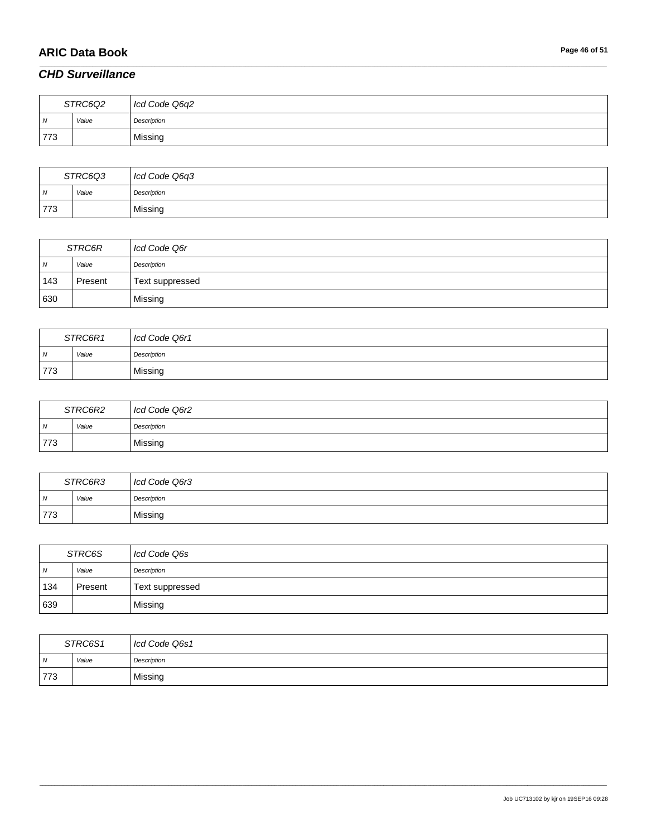# **ARIC Data Book Page 46 of 51**

### *CHD Surveillance*

| STRC6Q2 |       | Icd Code Q6q2 |
|---------|-------|---------------|
| N       | Value | Description   |
| 773     |       | Missing       |

\_\_\_\_\_\_\_\_\_\_\_\_\_\_\_\_\_\_\_\_\_\_\_\_\_\_\_\_\_\_\_\_\_\_\_\_\_\_\_\_\_\_\_\_\_\_\_\_\_\_\_\_\_\_\_\_\_\_\_\_\_\_\_\_\_\_\_\_\_\_\_\_\_\_\_\_\_\_\_\_\_\_\_\_\_\_\_\_\_\_\_\_\_\_\_\_\_\_\_\_\_\_\_\_\_\_\_\_\_\_\_\_\_\_\_\_\_\_\_\_\_\_\_\_\_\_\_\_\_\_\_\_\_\_\_\_\_\_\_\_\_\_\_\_\_\_\_\_\_\_\_\_\_\_\_\_\_\_\_\_\_\_\_\_\_\_\_\_\_\_\_\_\_\_\_\_\_\_\_\_\_\_\_\_\_\_\_\_\_\_\_\_\_

| STRC6Q3        |       | Icd Code Q6q3 |
|----------------|-------|---------------|
| $\overline{N}$ | Value | Description   |
| 773            |       | Missing       |

| STRC6R     |         | Icd Code Q6r    |
|------------|---------|-----------------|
| $\sqrt{N}$ | Value   | Description     |
| 143        | Present | Text suppressed |
| 630        |         | Missing         |

| STRC6R1        |       | Icd Code Q6r1 |
|----------------|-------|---------------|
| $\overline{N}$ | Value | Description   |
| 773            |       | Missing       |

| STRC6R2        |       | Icd Code Q6r2 |
|----------------|-------|---------------|
| $\overline{N}$ | Value | Description   |
| 773            |       | Missing       |

| STRC6R3        |       | Icd Code Q6r3 |
|----------------|-------|---------------|
| $\overline{N}$ | Value | Description   |
| 773            |       | Missing       |

| STRC6S         |         | Icd Code Q6s    |
|----------------|---------|-----------------|
| $\overline{N}$ | Value   | Description     |
| 134            | Present | Text suppressed |
| 639            |         | Missing         |

| STRC6S1        |       | Icd Code Q6s1 |
|----------------|-------|---------------|
| $\overline{N}$ | Value | Description   |
| 773            |       | Missing       |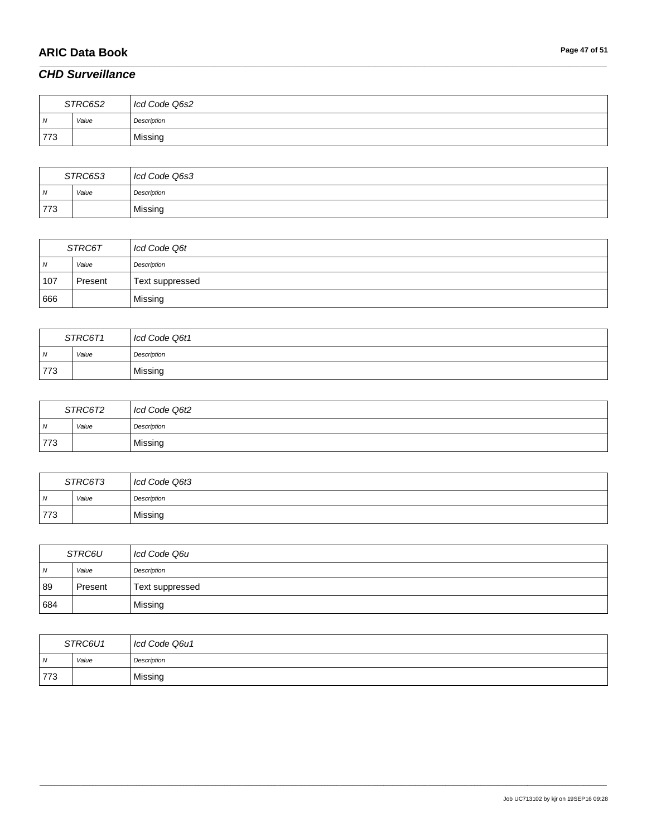# **ARIC Data Book Page 47 of 51**

# *CHD Surveillance*

| STRC6S2 |       | Icd Code Q6s2 |
|---------|-------|---------------|
| N       | Value | Description   |
| 773     |       | Missing       |

\_\_\_\_\_\_\_\_\_\_\_\_\_\_\_\_\_\_\_\_\_\_\_\_\_\_\_\_\_\_\_\_\_\_\_\_\_\_\_\_\_\_\_\_\_\_\_\_\_\_\_\_\_\_\_\_\_\_\_\_\_\_\_\_\_\_\_\_\_\_\_\_\_\_\_\_\_\_\_\_\_\_\_\_\_\_\_\_\_\_\_\_\_\_\_\_\_\_\_\_\_\_\_\_\_\_\_\_\_\_\_\_\_\_\_\_\_\_\_\_\_\_\_\_\_\_\_\_\_\_\_\_\_\_\_\_\_\_\_\_\_\_\_\_\_\_\_\_\_\_\_\_\_\_\_\_\_\_\_\_\_\_\_\_\_\_\_\_\_\_\_\_\_\_\_\_\_\_\_\_\_\_\_\_\_\_\_\_\_\_\_\_\_

| STRC6S3        |       | Icd Code Q6s3 |
|----------------|-------|---------------|
| $\overline{M}$ | Value | Description   |
| 773            |       | Missing       |

| STRC6T |         | Icd Code Q6t    |
|--------|---------|-----------------|
| N      | Value   | Description     |
| 107    | Present | Text suppressed |
| 666    |         | Missing         |

| STRC6T1        |       | Icd Code Q6t1 |
|----------------|-------|---------------|
| $\overline{N}$ | Value | Description   |
| 773            |       | Missing       |

| STRC6T2        |       | Icd Code Q6t2 |
|----------------|-------|---------------|
| $\overline{N}$ | Value | Description   |
| 773            |       | Missing       |

| STRC6T3        |       | Icd Code Q6t3 |
|----------------|-------|---------------|
| $\overline{N}$ | Value | Description   |
| 773            |       | Missing       |

| <i>STRC6U</i>  |         | Icd Code Q6u    |
|----------------|---------|-----------------|
| $\overline{N}$ | Value   | Description     |
| 89             | Present | Text suppressed |
| 684            |         | Missing         |

| STRC6U1        |       | Icd Code Q6u1 |
|----------------|-------|---------------|
| $\overline{N}$ | Value | Description   |
| 773            |       | Missing       |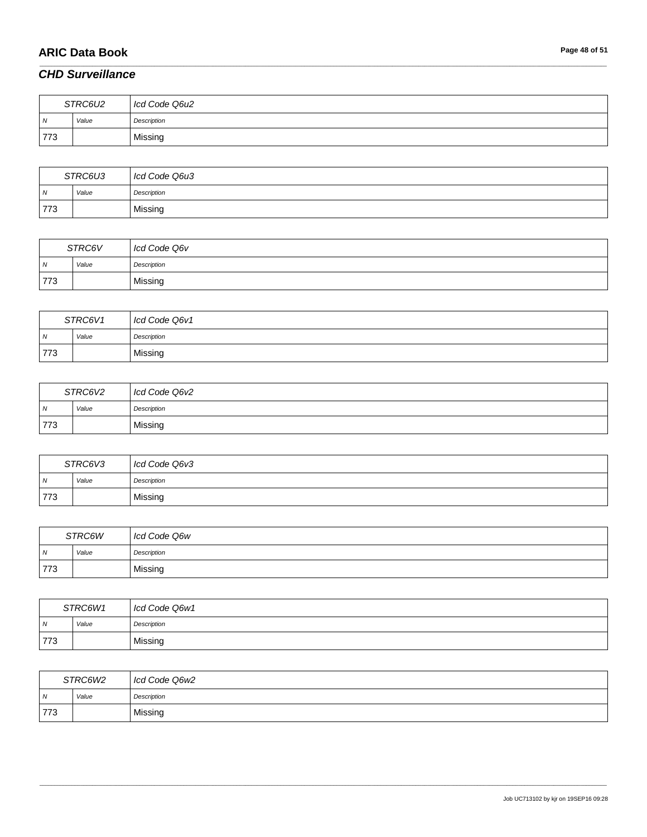# **ARIC Data Book Page 48 of 51**

### *CHD Surveillance*

| STRC6U2 |       | Icd Code Q6u2 |
|---------|-------|---------------|
| ıN.     | Value | Description   |
| 773     |       | Missing       |

\_\_\_\_\_\_\_\_\_\_\_\_\_\_\_\_\_\_\_\_\_\_\_\_\_\_\_\_\_\_\_\_\_\_\_\_\_\_\_\_\_\_\_\_\_\_\_\_\_\_\_\_\_\_\_\_\_\_\_\_\_\_\_\_\_\_\_\_\_\_\_\_\_\_\_\_\_\_\_\_\_\_\_\_\_\_\_\_\_\_\_\_\_\_\_\_\_\_\_\_\_\_\_\_\_\_\_\_\_\_\_\_\_\_\_\_\_\_\_\_\_\_\_\_\_\_\_\_\_\_\_\_\_\_\_\_\_\_\_\_\_\_\_\_\_\_\_\_\_\_\_\_\_\_\_\_\_\_\_\_\_\_\_\_\_\_\_\_\_\_\_\_\_\_\_\_\_\_\_\_\_\_\_\_\_\_\_\_\_\_\_\_\_

| STRC6U3        |       | Icd Code Q6u3 |
|----------------|-------|---------------|
| $\overline{N}$ | Value | Description   |
| 773            |       | Missing       |

| STRC6V         |       | Icd Code Q6v |
|----------------|-------|--------------|
| $\overline{N}$ | Value | Description  |
| 773            |       | Missing      |

| STRC6V1        |       | Icd Code Q6v1 |
|----------------|-------|---------------|
| $\overline{N}$ | Value | Description   |
| 773            |       | Missing       |

| STRC6V2 |       | Icd Code Q6v2 |
|---------|-------|---------------|
| N       | Value | Description   |
| 773     |       | Missing       |

| STRC6V3 |       | Icd Code Q6v3 |
|---------|-------|---------------|
| . N     | Value | Description   |
| 773     |       | Missing       |

| STRC6W |       | Icd Code Q6w |
|--------|-------|--------------|
| I N    | Value | Description  |
| 773    |       | Missing      |

| STRC6W1        |            | Icd Code Q6w1 |
|----------------|------------|---------------|
| $\overline{N}$ | Value<br>. | Description   |
| 773            |            | Missing       |

| STRC6W2 |       | Icd Code Q6w2 |
|---------|-------|---------------|
| N       | Value | Description   |
| 773     |       | Missing       |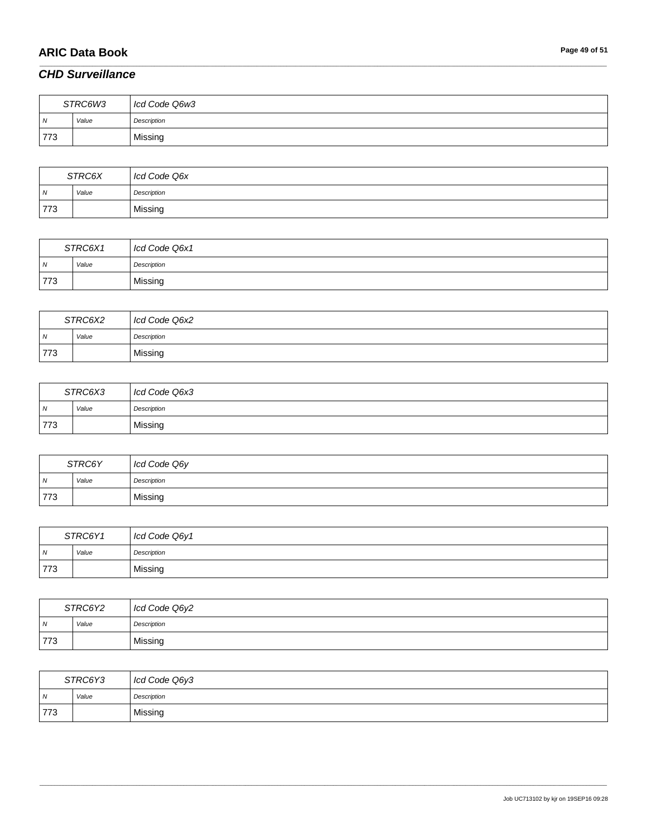# **ARIC Data Book Page 49 of 51**

### *CHD Surveillance*

| STRC6W3        |       | Icd Code Q6w3 |
|----------------|-------|---------------|
| $\overline{N}$ | Value | Description   |
| 773            |       | Missing       |

\_\_\_\_\_\_\_\_\_\_\_\_\_\_\_\_\_\_\_\_\_\_\_\_\_\_\_\_\_\_\_\_\_\_\_\_\_\_\_\_\_\_\_\_\_\_\_\_\_\_\_\_\_\_\_\_\_\_\_\_\_\_\_\_\_\_\_\_\_\_\_\_\_\_\_\_\_\_\_\_\_\_\_\_\_\_\_\_\_\_\_\_\_\_\_\_\_\_\_\_\_\_\_\_\_\_\_\_\_\_\_\_\_\_\_\_\_\_\_\_\_\_\_\_\_\_\_\_\_\_\_\_\_\_\_\_\_\_\_\_\_\_\_\_\_\_\_\_\_\_\_\_\_\_\_\_\_\_\_\_\_\_\_\_\_\_\_\_\_\_\_\_\_\_\_\_\_\_\_\_\_\_\_\_\_\_\_\_\_\_\_\_\_

| STRC6X         |       | Icd Code Q6x |
|----------------|-------|--------------|
| $\overline{M}$ | Value | Description  |
| 773            |       | Missing      |

| STRC6X1    |       | Icd Code Q6x1 |
|------------|-------|---------------|
| $\sqrt{N}$ | Value | Description   |
| 773        |       | Missing       |

| STRC6X2        |       | Icd Code Q6x2 |
|----------------|-------|---------------|
| $\overline{N}$ | Value | Description   |
| 773            |       | Missing       |

| STRC6X3 |       | Icd Code Q6x3 |
|---------|-------|---------------|
| N       | Value | Description   |
| 773     |       | Missing       |

| STRC6Y         |       | Icd Code Q6y |
|----------------|-------|--------------|
| $\overline{M}$ | Value | Description  |
| 773            |       | Missing      |

| STRC6Y1 |       | Icd Code Q6y1 |
|---------|-------|---------------|
| I N     | Value | Description   |
| 773     |       | Missing       |

| STRC6Y2        |       | Icd Code Q6y2 |
|----------------|-------|---------------|
| $\overline{N}$ | Value | Description   |
| 773            |       | Missing       |

| STRC6Y3 |       | Icd Code Q6y3 |
|---------|-------|---------------|
| N       | Value | Description   |
| 773     |       | Missing       |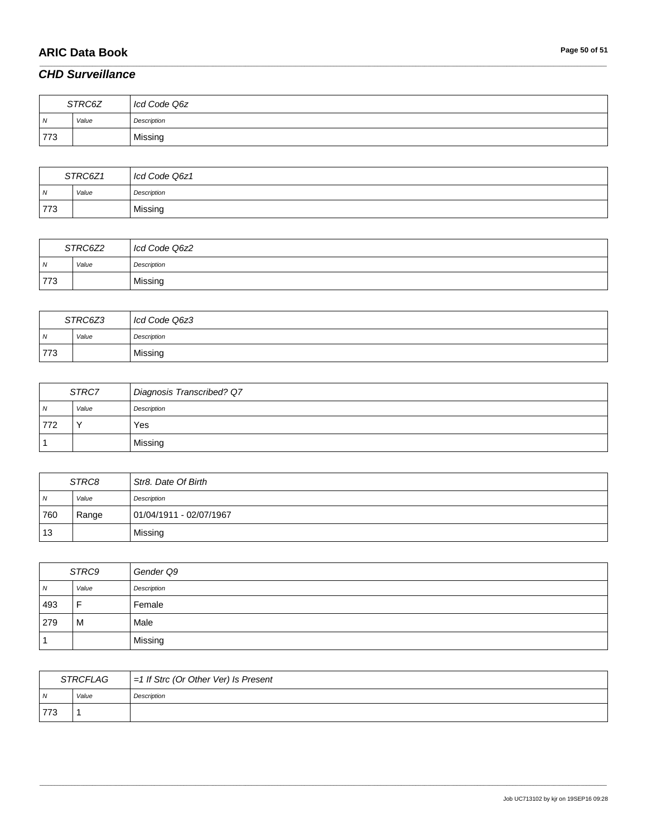# **ARIC Data Book Page 50 of 51**

### *CHD Surveillance*

| STRC6Z         |       | Icd Code Q6z |
|----------------|-------|--------------|
| $\overline{N}$ | Value | Description  |
| 773            |       | Missing      |

\_\_\_\_\_\_\_\_\_\_\_\_\_\_\_\_\_\_\_\_\_\_\_\_\_\_\_\_\_\_\_\_\_\_\_\_\_\_\_\_\_\_\_\_\_\_\_\_\_\_\_\_\_\_\_\_\_\_\_\_\_\_\_\_\_\_\_\_\_\_\_\_\_\_\_\_\_\_\_\_\_\_\_\_\_\_\_\_\_\_\_\_\_\_\_\_\_\_\_\_\_\_\_\_\_\_\_\_\_\_\_\_\_\_\_\_\_\_\_\_\_\_\_\_\_\_\_\_\_\_\_\_\_\_\_\_\_\_\_\_\_\_\_\_\_\_\_\_\_\_\_\_\_\_\_\_\_\_\_\_\_\_\_\_\_\_\_\_\_\_\_\_\_\_\_\_\_\_\_\_\_\_\_\_\_\_\_\_\_\_\_\_\_

| STRC6Z1        |       | Icd Code Q6z1 |
|----------------|-------|---------------|
| $\overline{M}$ | Value | Description   |
| 773            |       | Missing       |

| STRC6Z2 |       | Icd Code Q6z2 |
|---------|-------|---------------|
| N       | Value | Description   |
| 773     |       | Missing       |

| STRC6Z3 |       | Icd Code Q6z3 |
|---------|-------|---------------|
| N       | Value | Description   |
| 773     |       | Missing       |

| STRC7          |       | Diagnosis Transcribed? Q7 |
|----------------|-------|---------------------------|
| $\overline{N}$ | Value | Description               |
| 772            |       | Yes                       |
|                |       | Missing                   |

| STRC8 |       | Str8. Date Of Birth     |
|-------|-------|-------------------------|
| N     | Value | Description             |
| 760   | Range | 01/04/1911 - 02/07/1967 |
| 13    |       | Missing                 |

| STRC9          |                | Gender Q9   |
|----------------|----------------|-------------|
| $\overline{N}$ | Value          | Description |
| 493            | $\blacksquare$ | Female      |
| 279            | M              | Male        |
|                |                | Missing     |

| STRCFLAG       |       | $=1$ If Strc (Or Other Ver) Is Present |
|----------------|-------|----------------------------------------|
| N <sub>N</sub> | Value | Description                            |
| 773            |       |                                        |